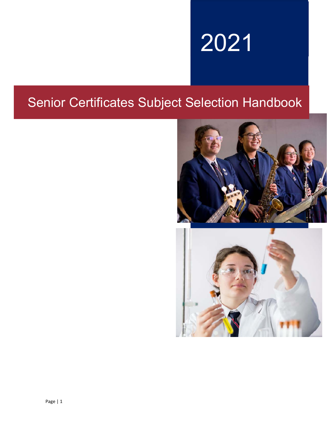# 2021

# Senior Certificates Subject Selection Handbook

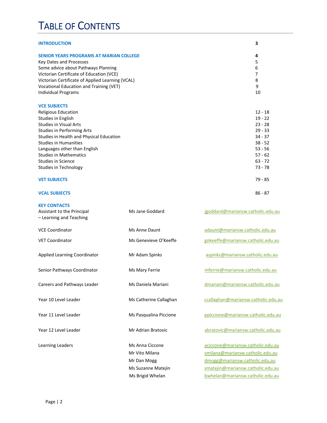# TABLE OF CONTENTS

| <b>INTRODUCTION</b>                              | 3         |
|--------------------------------------------------|-----------|
| <b>SENIOR YEARS PROGRAMS AT MARIAN COLLEGE</b>   | 4         |
| Key Dates and Processes                          | 5         |
| Some advice about Pathways Planning              | 6         |
| Victorian Certificate of Education (VCE)         | 7         |
| Victorian Certificate of Applied Learning (VCAL) | 8         |
| Vocational Education and Training (VET)          | 9         |
| <b>Individual Programs</b>                       | 10        |
| <b>VCE SUBJECTS</b>                              |           |
| Religious Education                              | $12 - 18$ |
| Studies in English                               | $19 - 22$ |
| <b>Studies in Visual Arts</b>                    | $23 - 28$ |
| <b>Studies in Performing Arts</b>                | $29 - 33$ |
| Studies in Health and Physical Education         | $34 - 37$ |
| <b>Studies in Humanities</b>                     | $38 - 52$ |
| Languages other than English                     | $53 - 56$ |
| <b>Studies in Mathematics</b>                    | $57 - 62$ |
| <b>Studies in Science</b>                        | $63 - 72$ |
| <b>Studies in Technology</b>                     | $73 - 78$ |
| <b>VET SUBJECTS</b>                              | $79 - 85$ |
| <b>VCAL SUBJECTS</b>                             | $86 - 87$ |

| <b>KEY CONTACTS</b><br>Assistant to the Principal<br>- Learning and Teaching | Ms Jane Goddard        | jgoddard@mariansw.catholic.edu.au   |
|------------------------------------------------------------------------------|------------------------|-------------------------------------|
| <b>VCE Coordinator</b>                                                       | Ms Anne Daunt          | adaunt@mariansw.catholic.edu.au     |
| <b>VET Coordinator</b>                                                       | Ms Genevieve O'Keeffe  | gokeeffe@mariansw.catholic.edu.au   |
| <b>Applied Learning Coordinator</b>                                          | Mr Adam Spinks         | aspinks@mariansw.catholic.edu.au    |
| Senior Pathways Coordinator                                                  | Ms Mary Ferrie         | mferrie@mariansw.catholic.edu.au    |
| Careers and Pathways Leader                                                  | Ms Daniela Mariani     | dmariani@mariansw.catholic.edu.au   |
| Year 10 Level Leader                                                         | Ms Catherine Callaghan | ccallaghan@mariansw.catholic.edu.au |
| Year 11 Level Leader                                                         | Ms Pasqualina Piccione | ppiccione@mariansw.catholic.edu.au  |
| Year 12 Level Leader                                                         | Mr Adrian Bratovic     | abratovic@mariansw.catholic.edu.au  |
| Learning Leaders                                                             | Ms Anna Ciccone        | aciccone@mariansw.catholic.edu.au   |
|                                                                              | Mr Vito Milana         | vmilana@mariansw.catholic.edu.au    |
|                                                                              | Mr Dan Mogg            | dmogg@mariansw.catholic.edu.au      |
|                                                                              | Ms Suzanne Matejin     | smatejin@mariansw.catholic.edu.au   |
|                                                                              | Ms Brigid Whelan       | bwhelan@mariansw.catholic.edu.au    |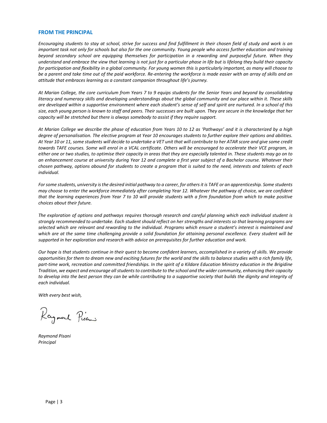#### **FROM THE PRINCIPAL**

*Encouraging students to stay at school, strive for success and find fulfillment in their chosen field of study and work is an important task not only for schools but also for the one community. Young people who access further education and training beyond secondary school are equipping themselves for participation in a rewarding and purposeful future. When they understand and embrace the view that learning is not just for a particular phase in life but is lifelong they build their capacity for participation and flexibility in a global community. For young women this is particularly important, as many will choose to be a parent and take time out of the paid workforce. Re‐entering the workforce is made easier with an array of skills and an attitude that embraces learning as a constant companion throughout life's journey.* 

*At Marian College, the core curriculum from Years 7 to 9 equips students for the Senior Years and beyond by consolidating literacy and numeracy skills and developing understandings about the global community and our place within it. These skills are developed within a supportive environment where each student's sense of self and spirit are nurtured. In a school of this size, each young person is known to staff and peers. Their successes are built upon. They are secure in the knowledge that her capacity will be stretched but there is always somebody to assist if they require support.* 

*At Marian College we describe the phase of education from Years 10 to 12 as 'Pathways' and it is characterized by a high degree of personalisation. The elective program at Year 10 encourages students to further explore their options and abilities. At Year 10 or 11, some students will decide to undertake a VET unit that will contribute to her ATAR score and give some credit towards TAFE courses. Some will enrol in a VCAL certificate. Others will be encouraged to accelerate their VCE program, in either one or two studies, to optimise their capacity in areas that they are especially talented in. These students may go on to an enhancement course at university during Year 12 and complete a first year subject of a Bachelor course. Whatever their chosen pathway, options abound for students to create a program that is suited to the need, interests and talents of each individual.* 

*For some students, university is the desired initial pathway to a career, for others it is TAFE or an apprenticeship. Some students may choose to enter the workforce immediately after completing Year 12. Whatever the pathway of choice, we are confident that the learning experiences from Year 7 to 10 will provide students with a firm foundation from which to make positive choices about their future.* 

*The exploration of options and pathways requires thorough research and careful planning which each individual student is strongly recommended to undertake. Each student should reflect on her strengths and interests so that learning programs are selected which are relevant and rewarding to the individual. Programs which ensure a student's interest is maintained and which are at the same time challenging provide a solid foundation for attaining personal excellence. Every student will be supported in her exploration and research with advice on prerequisites for further education and work.* 

*Our hope is that students continue in their quest to become confident learners, accomplished in a variety of skills. We provide opportunities for them to dream new and exciting futures for the world and the skills to balance studies with a rich family life, part‐time work, recreation and committed friendships. In the spirit of a Kildare Education Ministry education in the Brigidine Tradition, we expect and encourage all students to contribute to the school and the wider community, enhancing their capacity to develop into the best person they can be while contributing to a supportive society that builds the dignity and integrity of each individual.* 

*With every best wish,* 

Raymout Pisani

*Raymond Pisani Principal*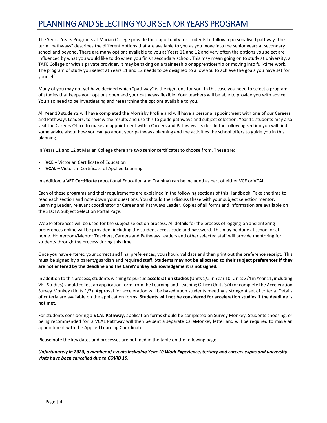# PLANNING AND SELECTING YOUR SENIOR YEARS PROGRAM

The Senior Years Programs at Marian College provide the opportunity for students to follow a personalised pathway. The term "pathways" describes the different options that are available to you as you move into the senior years at secondary school and beyond. There are many options available to you at Years 11 and 12 and very often the options you select are influenced by what you would like to do when you finish secondary school. This may mean going on to study at university, a TAFE College or with a private provider. It may be taking on a traineeship or apprenticeship or moving into full‐time work. The program of study you select at Years 11 and 12 needs to be designed to allow you to achieve the goals you have set for yourself.

Many of you may not yet have decided which "pathway" is the right one for you. In this case you need to select a program of studies that keeps your options open and your pathways flexible. Your teachers will be able to provide you with advice. You also need to be investigating and researching the options available to you.

All Year 10 students will have completed the Morrisby Profile and will have a personal appointment with one of our Careers and Pathways Leaders, to review the results and use this to guide pathways and subject selection. Year 11 students may also visit the Careers Office to make an appointment with a Careers and Pathways Leader. In the following section you will find some advice about how you can go about your pathways planning and the activities the school offers to guide you in this planning.

In Years 11 and 12 at Marian College there are two senior certificates to choose from. These are:

- **VCE –** Victorian Certificate of Education
- **VCAL –** Victorian Certificate of Applied Learning

In addition, a **VET Certificate** (Vocational Education and Training) can be included as part of either VCE or VCAL.

Each of these programs and their requirements are explained in the following sections of this Handbook. Take the time to read each section and note down your questions. You should then discuss these with your subject selection mentor, Learning Leader, relevant coordinator or Career and Pathways Leader. Copies of all forms and information are available on the SEQTA Subject Selection Portal Page.

Web Preferences will be used for the subject selection process. All details for the process of logging-on and entering preferences online will be provided, including the student access code and password. This may be done at school or at home. Homeroom/Mentor Teachers, Careers and Pathways Leaders and other selected staff will provide mentoring for students through the process during this time.

Once you have entered your correct and final preferences, you should validate and then print out the preference receipt. This must be signed by a parent/guardian and required staff. **Students may not be allocated to their subject preferences if they are not entered by the deadline and the CareMonkey acknowledgement is not signed.** 

In addition to this process, students wishing to pursue **acceleration studies** (Units 1/2 in Year 10, Units 3/4 in Year 11, including VET Studies) should collect an application form from the Learning and Teaching Office (Units 3/4) or complete the Acceleration Survey Monkey (Units 1/2). Approval for acceleration will be based upon students meeting a stringent set of criteria. Details of criteria are available on the application forms. **Students will not be considered for acceleration studies if the deadline is not met.**

For students considering a **VCAL Pathway**, application forms should be completed on Survey Monkey. Students choosing, or being recommended for, a VCAL Pathway will then be sent a separate CareMonkey letter and will be required to make an appointment with the Applied Learning Coordinator.

Please note the key dates and processes are outlined in the table on the following page.

*Unfortunately in 2020, a number of events including Year 10 Work Experience, tertiary and careers expos and university*  visits have been cancelled due to COVID 19.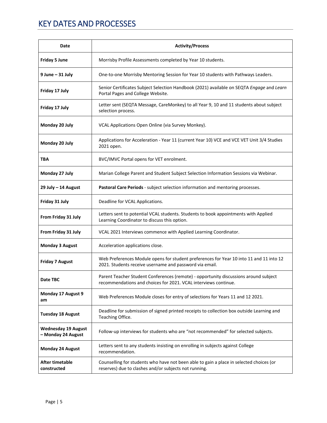# KEY DATES AND PROCESSES

| Date                                             | <b>Activity/Process</b>                                                                                                                                 |  |
|--------------------------------------------------|---------------------------------------------------------------------------------------------------------------------------------------------------------|--|
| <b>Friday 5 June</b>                             | Morrisby Profile Assessments completed by Year 10 students.                                                                                             |  |
| $9$ June $-31$ July                              | One-to-one Morrisby Mentoring Session for Year 10 students with Pathways Leaders.                                                                       |  |
| Friday 17 July                                   | Senior Certificates Subject Selection Handbook (2021) available on SEQTA Engage and Learn<br>Portal Pages and College Website.                          |  |
| Friday 17 July                                   | Letter sent (SEQTA Message, CareMonkey) to all Year 9, 10 and 11 students about subject<br>selection process.                                           |  |
| Monday 20 July                                   | VCAL Applications Open Online (via Survey Monkey).                                                                                                      |  |
| Monday 20 July                                   | Applications for Acceleration - Year 11 (current Year 10) VCE and VCE VET Unit 3/4 Studies<br>2021 open.                                                |  |
| TBA                                              | BVC/IMVC Portal opens for VET enrolment.                                                                                                                |  |
| Monday 27 July                                   | Marian College Parent and Student Subject Selection Information Sessions via Webinar.                                                                   |  |
| 29 July - 14 August                              | Pastoral Care Periods - subject selection information and mentoring processes.                                                                          |  |
| Friday 31 July                                   | Deadline for VCAL Applications.                                                                                                                         |  |
| From Friday 31 July                              | Letters sent to potential VCAL students. Students to book appointments with Applied<br>Learning Coordinator to discuss this option.                     |  |
| From Friday 31 July                              | VCAL 2021 Interviews commence with Applied Learning Coordinator.                                                                                        |  |
| <b>Monday 3 August</b>                           | Acceleration applications close.                                                                                                                        |  |
| <b>Friday 7 August</b>                           | Web Preferences Module opens for student preferences for Year 10 into 11 and 11 into 12<br>2021. Students receive username and password via email.      |  |
| Date TBC                                         | Parent Teacher Student Conferences (remote) - opportunity discussions around subject<br>recommendations and choices for 2021. VCAL interviews continue. |  |
| Monday 17 August 9<br>am                         | Web Preferences Module closes for entry of selections for Years 11 and 12 2021.                                                                         |  |
| <b>Tuesday 18 August</b>                         | Deadline for submission of signed printed receipts to collection box outside Learning and<br>Teaching Office.                                           |  |
| <b>Wednesday 19 August</b><br>- Monday 24 August | Follow-up interviews for students who are "not recommended" for selected subjects.                                                                      |  |
| <b>Monday 24 August</b>                          | Letters sent to any students insisting on enrolling in subjects against College<br>recommendation.                                                      |  |
| <b>After timetable</b><br>constructed            | Counselling for students who have not been able to gain a place in selected choices (or<br>reserves) due to clashes and/or subjects not running.        |  |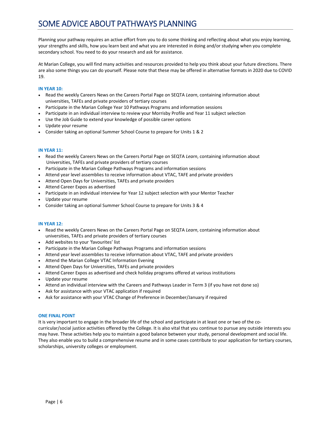# SOME ADVICE ABOUT PATHWAYS PLANNING

Planning your pathway requires an active effort from you to do some thinking and reflecting about what you enjoy learning, your strengths and skills, how you learn best and what you are interested in doing and/or studying when you complete secondary school. You need to do your research and ask for assistance.

At Marian College, you will find many activities and resources provided to help you think about your future directions. There are also some things you can do yourself. Please note that these may be offered in alternative formats in 2020 due to COVID 19.

#### **IN YEAR 10:**

- Read the weekly Careers News on the Careers Portal Page on SEQTA *Learn*, containing information about universities, TAFEs and private providers of tertiary courses
- Participate in the Marian College Year 10 Pathways Programs and information sessions
- Participate in an individual interview to review your Morrisby Profile and Year 11 subject selection
- Use the Job Guide to extend your knowledge of possible career options
- Update your resume
- Consider taking an optional Summer School Course to prepare for Units 1 & 2

#### **IN YEAR 11:**

- Read the weekly Careers News on the Careers Portal Page on SEQTA *Learn*, containing information about Universities, TAFEs and private providers of tertiary courses
- Participate in the Marian College Pathways Programs and information sessions
- Attend year level assemblies to receive information about VTAC, TAFE and private providers
- Attend Open Days for Universities, TAFEs and private providers
- Attend Career Expos as advertised
- Participate in an individual interview for Year 12 subject selection with your Mentor Teacher
- Update your resume
- Consider taking an optional Summer School Course to prepare for Units 3 & 4

#### **IN YEAR 12:**

- Read the weekly Careers News on the Careers Portal Page on SEQTA *Learn*, containing information about universities, TAFEs and private providers of tertiary courses
- Add websites to your 'favourites' list
- Participate in the Marian College Pathways Programs and information sessions
- Attend year level assemblies to receive information about VTAC, TAFE and private providers
- Attend the Marian College VTAC Information Evening
- Attend Open Days for Universities, TAFEs and private providers
- Attend Career Expos as advertised and check holiday programs offered at various institutions
- Update your resume
- Attend an individual interview with the Careers and Pathways Leader in Term 3 (if you have not done so)
- Ask for assistance with your VTAC application if required
- Ask for assistance with your VTAC Change of Preference in December/January if required

#### **ONE FINAL POINT**

It is very important to engage in the broader life of the school and participate in at least one or two of the cocurricular/social justice activities offered by the College. It is also vital that you continue to pursue any outside interests you may have. These activities help you to maintain a good balance between your study, personal development and social life. They also enable you to build a comprehensive resume and in some cases contribute to your application for tertiary courses, scholarships, university colleges or employment.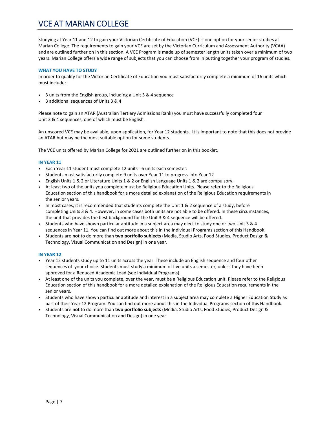# VCE AT MARIAN COLLEGE

Studying at Year 11 and 12 to gain your Victorian Certificate of Education (VCE) is one option for your senior studies at Marian College. The requirements to gain your VCE are set by the Victorian Curriculum and Assessment Authority (VCAA) and are outlined further on in this section. A VCE Program is made up of semester length units taken over a minimum of two years. Marian College offers a wide range of subjects that you can choose from in putting together your program of studies.

#### **WHAT YOU HAVE TO STUDY**

In order to qualify for the Victorian Certificate of Education you must satisfactorily complete a minimum of 16 units which must include:

- 3 units from the English group, including a Unit 3 & 4 sequence
- 3 additional sequences of Units 3 & 4

Please note to gain an ATAR (Australian Tertiary Admissions Rank) you must have successfully completed four Unit 3 & 4 sequences, one of which must be English.

An unscored VCE may be available, upon application, for Year 12 students. It is important to note that this does not provide an ATAR but may be the most suitable option for some students.

The VCE units offered by Marian College for 2021 are outlined further on in this booklet.

#### **IN YEAR 11**

- Each Year 11 student must complete 12 units ‐ 6 units each semester.
- Students must satisfactorily complete 9 units over Year 11 to progress into Year 12
- English Units 1 & 2 or Literature Units 1 & 2 or English Language Units 1 & 2 are compulsory.
- At least two of the units you complete must be Religious Education Units. Please refer to the Religious Education section of this handbook for a more detailed explanation of the Religious Education requirements in the senior years.
- In most cases, it is recommended that students complete the Unit 1 & 2 sequence of a study, before completing Units 3 & 4. However, in some cases both units are not able to be offered. In these circumstances, the unit that provides the best background for the Unit 3 & 4 sequence will be offered.
- Students who have shown particular aptitude in a subject area may elect to study one or two Unit 3 & 4 sequences in Year 11. You can find out more about this in the Individual Programs section of this Handbook.
- Students are **not** to do more than **two portfolio subjects** (Media, Studio Arts, Food Studies, Product Design & Technology, Visual Communication and Design) in one year.

#### **IN YEAR 12**

- Year 12 students study up to 11 units across the year. These include an English sequence and four other sequences of your choice. Students must study a minimum of five units a semester, unless they have been approved for a Reduced Academic Load (see Individual Programs).
- At least one of the units you complete, over the year, must be a Religious Education unit. Please refer to the Religious Education section of this handbook for a more detailed explanation of the Religious Education requirements in the senior years.
- Students who have shown particular aptitude and interest in a subject area may complete a Higher Education Study as part of their Year 12 Program. You can find out more about this in the Individual Programs section of this Handbook.
- Students are **not** to do more than **two portfolio subjects** (Media, Studio Arts, Food Studies, Product Design & Technology, Visual Communication and Design) in one year.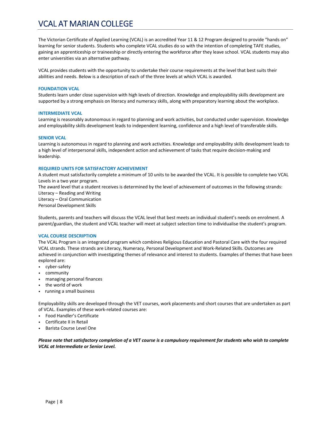# VCAL AT MARIAN COLLEGE

The Victorian Certificate of Applied Learning (VCAL) is an accredited Year 11 & 12 Program designed to provide "hands on" learning for senior students. Students who complete VCAL studies do so with the intention of completing TAFE studies, gaining an apprenticeship or traineeship or directly entering the workforce after they leave school. VCAL students may also enter universities via an alternative pathway.

VCAL provides students with the opportunity to undertake their course requirements at the level that best suits their abilities and needs. Below is a description of each of the three levels at which VCAL is awarded.

#### **FOUNDATION VCAL**

Students learn under close supervision with high levels of direction. Knowledge and employability skills development are supported by a strong emphasis on literacy and numeracy skills, along with preparatory learning about the workplace.

#### **INTERMEDIATE VCAL**

Learning is reasonably autonomous in regard to planning and work activities, but conducted under supervision. Knowledge and employability skills development leads to independent learning, confidence and a high level of transferable skills.

#### **SENIOR VCAL**

Learning is autonomous in regard to planning and work activities. Knowledge and employability skills development leads to a high level of interpersonal skills, independent action and achievement of tasks that require decision‐making and leadership.

#### **REQUIRED UNITS FOR SATISFACTORY ACHIEVEMENT**

A student must satisfactorily complete a minimum of 10 units to be awarded the VCAL. It is possible to complete two VCAL Levels in a two year program.

The award level that a student receives is determined by the level of achievement of outcomes in the following strands: Literacy – Reading and Writing Literacy – Oral Communication

Personal Development Skills

Students, parents and teachers will discuss the VCAL level that best meets an individual student's needs on enrolment. A parent/guardian, the student and VCAL teacher will meet at subject selection time to individualise the student's program.

#### **VCAL COURSE DESCRIPTION**

The VCAL Program is an integrated program which combines Religious Education and Pastoral Care with the four required VCAL strands. These strands are Literacy, Numeracy, Personal Development and Work‐Related Skills. Outcomes are achieved in conjunction with investigating themes of relevance and interest to students. Examples of themes that have been explored are:

- cyber‐safety
- community
- managing personal finances
- the world of work
- running a small business

Employability skills are developed through the VET courses, work placements and short courses that are undertaken as part of VCAL. Examples of these work‐related courses are:

- Food Handler's Certificate
- Certificate II in Retail
- Barista Course Level One

*Please note that satisfactory completion of a VET course is a compulsory requirement for students who wish to complete VCAL at Intermediate or Senior Level.*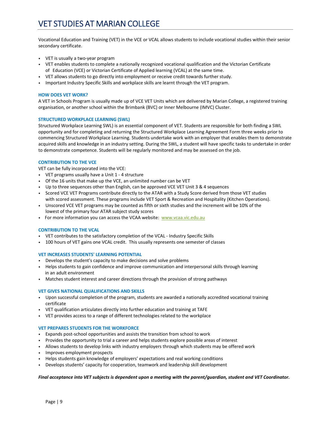# VET STUDIES AT MARIAN COLLEGE

Vocational Education and Training (VET) in the VCE or VCAL allows students to include vocational studies within their senior secondary certificate.

- VET is usually a two‐year program
- VET enables students to complete a nationally recognized vocational qualification and the Victorian Certificate of Education (VCE) or Victorian Certificate of Applied learning (VCAL) at the same time.
- VET allows students to go directly into employment or receive credit towards further study.
- Important Industry Specific Skills and workplace skills are learnt through the VET program.

#### **HOW DOES VET WORK?**

A VET in Schools Program is usually made up of VCE VET Units which are delivered by Marian College, a registered training organisation, or another school within the Brimbank (BVC) or Inner Melbourne (IMVC) Cluster.

#### **STRUCTURED WORKPLACE LEARNING (SWL)**

Structured Workplace Learning SWL) is an essential component of VET. Students are responsible for both finding a SWL opportunity and for completing and returning the Structured Workplace Learning Agreement Form three weeks prior to commencing Structured Workplace Learning. Students undertake work with an employer that enables them to demonstrate acquired skills and knowledge in an industry setting. During the SWL, a student will have specific tasks to undertake in order to demonstrate competence. Students will be regularly monitored and may be assessed on the job.

#### **CONTRIBUTION TO THE VCE**

VET can be fully incorporated into the VCE:

- VET programs usually have a Unit 1 4 structure
- Of the 16 units that make up the VCE, an unlimited number can be VET
- Up to three sequences other than English, can be approved VCE VET Unit 3 & 4 sequences
- Scored VCE VET Programs contribute directly to the ATAR with a Study Score derived from those VET studies with scored assessment. These programs include VET Sport & Recreation and Hospitality (Kitchen Operations).
- Unscored VCE VET programs may be counted as fifth or sixth studies and the increment will be 10% of the lowest of the primary four ATAR subject study scores
- For more information you can access the VCAA website: www.vcaa.vic.edu.au

#### **CONTRIBUTION TO THE VCAL**

- VET contributes to the satisfactory completion of the VCAL Industry Specific Skills
- 100 hours of VET gains one VCAL credit. This usually represents one semester of classes

#### **VET INCREASES STUDENTS' LEARNING POTENTIAL**

- Develops the student's capacity to make decisions and solve problems
- Helps students to gain confidence and improve communication and interpersonal skills through learning in an adult environment
- Matches student interest and career directions through the provision of strong pathways

#### **VET GIVES NATIONAL QUALIFICATIONS AND SKILLS**

- Upon successful completion of the program, students are awarded a nationally accredited vocational training certificate
- VET qualification articulates directly into further education and training at TAFE
- VET provides access to a range of different technologies related to the workplace

#### **VET PREPARES STUDENTS FOR THE WORKFORCE**

- Expands post‐school opportunities and assists the transition from school to work
- Provides the opportunity to trial a career and helps students explore possible areas of interest
- Allows students to develop links with industry employers through which students may be offered work
- Improves employment prospects
- Helps students gain knowledge of employers' expectations and real working conditions
- Develops students' capacity for cooperation, teamwork and leadership skill development

#### *Final acceptance into VET subjects is dependent upon a meeting with the parent/guardian, student and VET Coordinator.*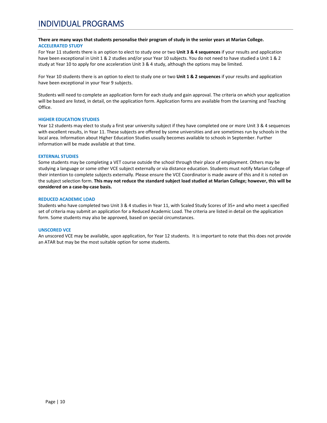#### **There are many ways that students personalise their program of study in the senior years at Marian College. ACCELERATED STUDY**

For Year 11 students there is an option to elect to study one or two **Unit 3 & 4 sequences** if your results and application have been exceptional in Unit 1 & 2 studies and/or your Year 10 subjects. You do not need to have studied a Unit 1 & 2 study at Year 10 to apply for one acceleration Unit 3 & 4 study, although the options may be limited.

For Year 10 students there is an option to elect to study one or two **Unit 1 & 2 sequences** if your results and application have been exceptional in your Year 9 subjects.

Students will need to complete an application form for each study and gain approval. The criteria on which your application will be based are listed, in detail, on the application form. Application forms are available from the Learning and Teaching Office.

#### **HIGHER EDUCATION STUDIES**

Year 12 students may elect to study a first year university subject if they have completed one or more Unit 3 & 4 sequences with excellent results, in Year 11. These subjects are offered by some universities and are sometimes run by schools in the local area. Information about Higher Education Studies usually becomes available to schools in September. Further information will be made available at that time.

#### **EXTERNAL STUDIES**

Some students may be completing a VET course outside the school through their place of employment. Others may be studying a language or some other VCE subject externally or via distance education. Students must notify Marian College of their intention to complete subjects externally. Please ensure the VCE Coordinator is made aware of this and it is noted on the subject selection form. **This may not reduce the standard subject load studied at Marian College; however, this will be considered on a case‐by‐case basis.**

#### **REDUCED ACADEMIC LOAD**

Students who have completed two Unit 3 & 4 studies in Year 11, with Scaled Study Scores of 35+ and who meet a specified set of criteria may submit an application for a Reduced Academic Load. The criteria are listed in detail on the application form. Some students may also be approved, based on special circumstances.

#### **UNSCORED VCE**

An unscored VCE may be available, upon application, for Year 12 students. It is important to note that this does not provide an ATAR but may be the most suitable option for some students.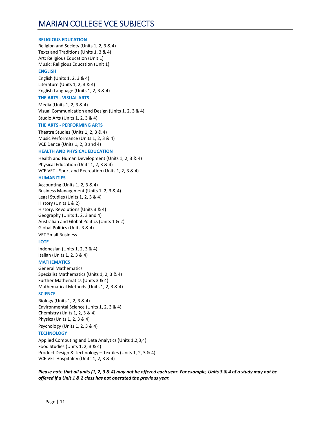#### **RELIGIOUS EDUCATION**

Religion and Society (Units 1, 2, 3 & 4) Texts and Traditions (Units 1, 3 & 4) Art: Religious Education (Unit 1) Music: Religious Education (Unit 1) **ENGLISH** 

#### English (Units 1, 2, 3 & 4) Literature (Units 1, 2, 3 & 4) English Language (Units 1, 2, 3 & 4)

#### **THE ARTS ‐ VISUAL ARTS**

Media (Units 1, 2, 3 & 4) Visual Communication and Design (Units 1, 2, 3 & 4) Studio Arts (Units 1, 2, 3 & 4)

#### **THE ARTS ‐ PERFORMING ARTS**

Theatre Studies (Units 1, 2, 3 & 4) Music Performance (Units 1, 2, 3 & 4) VCE Dance (Units 1, 2, 3 and 4)

#### **HEALTH AND PHYSICAL EDUCATION**

Health and Human Development (Units 1, 2, 3 & 4) Physical Education (Units 1, 2, 3 & 4) VCE VET ‐ Sport and Recreation (Units 1, 2, 3 & 4)

#### **HUMANITIES**

Accounting (Units 1, 2, 3 & 4) Business Management (Units 1, 2, 3 & 4) Legal Studies (Units 1, 2, 3 & 4) History (Units 1 & 2) History: Revolutions (Units 3 & 4) Geography (Units 1, 2, 3 and 4) Australian and Global Politics (Units 1 & 2) Global Politics (Units 3 & 4) VET Small Business

#### **LOTE**

Indonesian (Units 1, 2, 3 & 4) Italian (Units 1, 2, 3 & 4)

#### **MATHEMATICS**

General Mathematics Specialist Mathematics (Units 1, 2, 3 & 4) Further Mathematics (Units 3 & 4) Mathematical Methods (Units 1, 2, 3 & 4)

#### **SCIENCE**

Biology (Units 1, 2, 3 & 4) Environmental Science (Units 1, 2, 3 & 4) Chemistry (Units 1, 2, 3 & 4) Physics (Units 1, 2, 3 & 4)

Psychology (Units 1, 2, 3 & 4)

#### **TECHNOLOGY**

Applied Computing and Data Analytics (Units 1,2,3,4) Food Studies (Units 1, 2, 3 & 4) Product Design & Technology – Textiles (Units 1, 2, 3 & 4) VCE VET Hospitality (Units 1, 2, 3 & 4)

*Please note that all units (1, 2, 3 & 4) may not be offered each year. For example, Units 3 & 4 of a study may not be offered if a Unit 1 & 2 class has not operated the previous year.*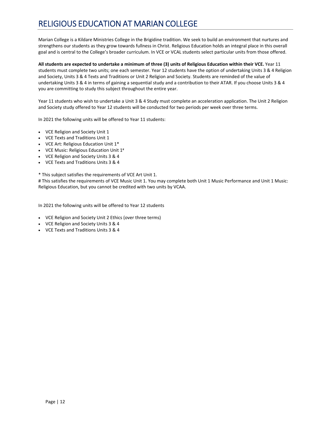# RELIGIOUS EDUCATION AT MARIAN COLLEGE

Marian College is a Kildare Ministries College in the Brigidine tradition. We seek to build an environment that nurtures and strengthens our students as they grow towards fullness in Christ. Religious Education holds an integral place in this overall goal and is central to the College's broader curriculum. In VCE or VCAL students select particular units from those offered.

**All students are expected to undertake a minimum of three (3) units of Religious Education within their VCE.** Year 11 students must complete two units; one each semester. Year 12 students have the option of undertaking Units 3 & 4 Religion and Society, Units 3 & 4 Texts and Traditions or Unit 2 Religion and Society. Students are reminded of the value of undertaking Units 3 & 4 in terms of gaining a sequential study and a contribution to their ATAR. If you choose Units 3 & 4 you are committing to study this subject throughout the entire year.

Year 11 students who wish to undertake a Unit 3 & 4 Study must complete an acceleration application. The Unit 2 Religion and Society study offered to Year 12 students will be conducted for two periods per week over three terms.

In 2021 the following units will be offered to Year 11 students:

- VCE Religion and Society Unit 1
- VCE Texts and Traditions Unit 1
- VCE Art: Religious Education Unit 1\*
- VCE Music: Religious Education Unit 1#
- VCE Religion and Society Units 3 & 4
- VCE Texts and Traditions Units 3 & 4

\* This subject satisfies the requirements of VCE Art Unit 1.

# This satisfies the requirements of VCE Music Unit 1. You may complete both Unit 1 Music Performance and Unit 1 Music: Religious Education, but you cannot be credited with two units by VCAA.

In 2021 the following units will be offered to Year 12 students

- VCE Religion and Society Unit 2 Ethics (over three terms)
- VCE Religion and Society Units 3 & 4
- VCE Texts and Traditions Units 3 & 4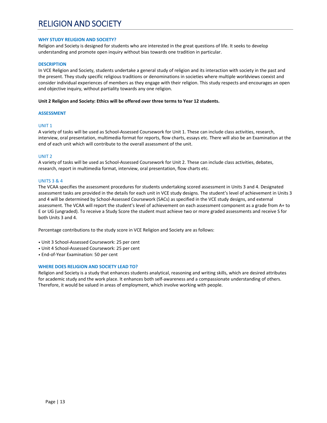# RELIGION AND SOCIETY

#### **WHY STUDY RELIGION AND SOCIETY?**

Religion and Society is designed for students who are interested in the great questions of life. It seeks to develop understanding and promote open inquiry without bias towards one tradition in particular.

#### **DESCRIPTION**

In VCE Religion and Society, students undertake a general study of religion and its interaction with society in the past and the present. They study specific religious traditions or denominations in societies where multiple worldviews coexist and consider individual experiences of members as they engage with their religion. This study respects and encourages an open and objective inquiry, without partiality towards any one religion.

#### **Unit 2 Religion and Society: Ethics will be offered over three terms to Year 12 students.**

#### **ASSESSMENT**

#### UNIT 1

A variety of tasks will be used as School‐Assessed Coursework for Unit 1. These can include class activities, research, interview, oral presentation, multimedia format for reports, flow charts, essays etc. There will also be an Examination at the end of each unit which will contribute to the overall assessment of the unit.

#### UNIT 2

A variety of tasks will be used as School‐Assessed Coursework for Unit 2. These can include class activities, debates, research, report in multimedia format, interview, oral presentation, flow charts etc.

#### UNITS 3 & 4

The VCAA specifies the assessment procedures for students undertaking scored assessment in Units 3 and 4. Designated assessment tasks are provided in the details for each unit in VCE study designs. The student's level of achievement in Units 3 and 4 will be determined by School‐Assessed Coursework (SACs) as specified in the VCE study designs, and external assessment. The VCAA will report the student's level of achievement on each assessment component as a grade from A+ to E or UG (ungraded). To receive a Study Score the student must achieve two or more graded assessments and receive S for both Units 3 and 4.

Percentage contributions to the study score in VCE Religion and Society are as follows:

- Unit 3 School‐Assessed Coursework: 25 per cent
- Unit 4 School‐Assessed Coursework: 25 per cent
- End‐of‐Year Examination: 50 per cent

#### **WHERE DOES RELIGION AND SOCIETY LEAD TO?**

Religion and Society is a study that enhances students analytical, reasoning and writing skills, which are desired attributes for academic study and the work place. It enhances both self‐awareness and a compassionate understanding of others. Therefore, it would be valued in areas of employment, which involve working with people.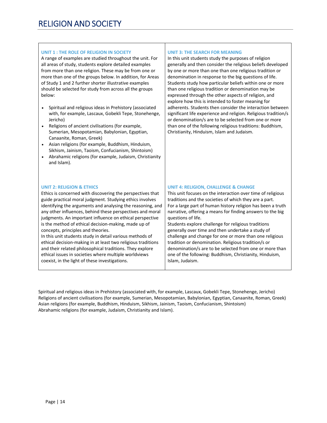#### **UNIT 1 : THE ROLE OF RELIGION IN SOCIETY**

A range of examples are studied throughout the unit. For all areas of study, students explore detailed examples from more than one religion. These may be from one or more than one of the groups below. In addition, for Areas of Study 1 and 2 further shorter illustrative examples should be selected for study from across all the groups below:

- Spiritual and religious ideas in Prehistory (associated with, for example, Lascaux, Gobekli Tepe, Stonehenge, Jericho)
- Religions of ancient civilisations (for example, Sumerian, Mesopotamian, Babylonian, Egyptian, Canaanite, Roman, Greek)
- Asian religions (for example, Buddhism, Hinduism, Sikhism, Jainism, Taoism, Confucianism, Shintoism)
- Abrahamic religions (for example, Judaism, Christianity and Islam).

#### **UNIT 3: THE SEARCH FOR MEANING**

In this unit students study the purposes of religion generally and then consider the religious beliefs developed by one or more than one than one religious tradition or denomination in response to the big questions of life. Students study how particular beliefs within one or more than one religious tradition or denomination may be expressed through the other aspects of religion, and explore how this is intended to foster meaning for adherents. Students then consider the interaction between significant life experience and religion. Religious tradition/s or denomination/s are to be selected from one or more than one of the following religious traditions: Buddhism, Christianity, Hinduism, Islam and Judaism.

#### **UNIT 2: RELIGION & ETHICS**

Ethics is concerned with discovering the perspectives that guide practical moral judgment. Studying ethics involves identifying the arguments and analysing the reasoning, and any other influences, behind these perspectives and moral judgments. An important influence on ethical perspective is the method of ethical decision‐making, made up of concepts, principles and theories.

In this unit students study in detail various methods of ethical decision‐making in at least two religious traditions and their related philosophical traditions. They explore ethical issues in societies where multiple worldviews coexist, in the light of these investigations.

#### **UNIT 4: RELIGION, CHALLENGE & CHANGE**

This unit focuses on the interaction over time of religious traditions and the societies of which they are a part. For a large part of human history religion has been a truth narrative, offering a means for finding answers to the big questions of life.

Students explore challenge for religious traditions generally over time and then undertake a study of challenge and change for one or more than one religious tradition or denomination. Religious tradition/s or denomination/s are to be selected from one or more than one of the following: Buddhism, Christianity, Hinduism, Islam, Judaism.

Spiritual and religious ideas in Prehistory (associated with, for example, Lascaux, Gobekli Tepe, Stonehenge, Jericho) Religions of ancient civilisations (for example, Sumerian, Mesopotamian, Babylonian, Egyptian, Canaanite, Roman, Greek) Asian religions (for example, Buddhism, Hinduism, Sikhism, Jainism, Taoism, Confucianism, Shintoism) Abrahamic religions (for example, Judaism, Christianity and Islam).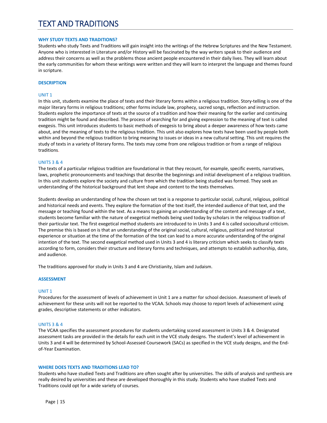# TEXT AND TRADITIONS

#### **WHY STUDY TEXTS AND TRADITIONS?**

Students who study Texts and Traditions will gain insight into the writings of the Hebrew Scriptures and the New Testament. Anyone who is interested in Literature and/or History will be fascinated by the way writers speak to their audience and address their concerns as well as the problems those ancient people encountered in their daily lives. They will learn about the early communities for whom these writings were written and they will learn to interpret the language and themes found in scripture.

#### **DESCRIPTION**

#### UNIT 1

In this unit, students examine the place of texts and their literary forms within a religious tradition. Story‐telling is one of the major literary forms in religious traditions; other forms include law, prophecy, sacred songs, reflection and instruction. Students explore the importance of texts at the source of a tradition and how their meaning for the earlier and continuing tradition might be found and described. The process of searching for and giving expression to the meaning of text is called exegesis. This unit introduces students to basic methods of exegesis to bring about a deeper awareness of how texts came about, and the meaning of texts to the religious tradition. This unit also explores how texts have been used by people both within and beyond the religious tradition to bring meaning to issues or ideas in a new cultural setting. This unit requires the study of texts in a variety of literary forms. The texts may come from one religious tradition or from a range of religious traditions.

#### UNITS 3 & 4

The texts of a particular religious tradition are foundational in that they recount, for example, specific events, narratives, laws, prophetic pronouncements and teachings that describe the beginnings and initial development of a religious tradition. In this unit students explore the society and culture from which the tradition being studied was formed. They seek an understanding of the historical background that lent shape and content to the texts themselves.

Students develop an understanding of how the chosen set text is a response to particular social, cultural, religious, political and historical needs and events. They explore the formation of the text itself, the intended audience of that text, and the message or teaching found within the text. As a means to gaining an understanding of the content and message of a text, students become familiar with the nature of exegetical methods being used today by scholars in the religious tradition of their particular text. The first exegetical method students are introduced to in Units 3 and 4 is called sociocultural criticism. The premise this is based on is that an understanding of the original social, cultural, religious, political and historical experience or situation at the time of the formation of the text can lead to a more accurate understanding of the original intention of the text. The second exegetical method used in Units 3 and 4 is literary criticism which seeks to classify texts according to form, considers their structure and literary forms and techniques, and attempts to establish authorship, date, and audience.

The traditions approved for study in Units 3 and 4 are Christianity, Islam and Judaism.

#### **ASSESSMENT**

#### UNIT 1

Procedures for the assessment of levels of achievement in Unit 1 are a matter for school decision. Assessment of levels of achievement for these units will not be reported to the VCAA. Schools may choose to report levels of achievement using grades, descriptive statements or other indicators.

#### UNITS 3 & 4

The VCAA specifies the assessment procedures for students undertaking scored assessment in Units 3 & 4. Designated assessment tasks are provided in the details for each unit in the VCE study designs. The student's level of achievement in Units 3 and 4 will be determined by School‐Assessed Coursework (SACs) as specified in the VCE study designs, and the End‐ of‐Year Examination.

#### **WHERE DOES TEXTS AND TRADITIONS LEAD TO?**

Students who have studied Texts and Traditions are often sought after by universities. The skills of analysis and synthesis are really desired by universities and these are developed thoroughly in this study. Students who have studied Texts and Traditions could opt for a wide variety of courses.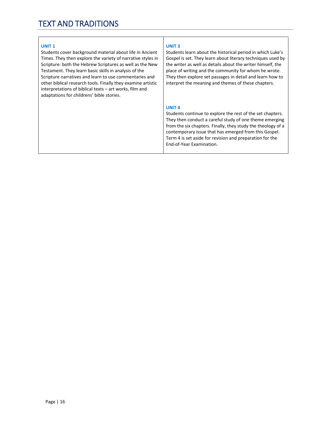#### **UNIT 1**

Students cover background material about life in Ancient Times. They then explore the variety of narrative styles in Scripture: both the Hebrew Scriptures as well as the New Testament. They learn basic skills in analysis of the Scripture narratives and learn to use commentaries and other biblical research tools. Finally they examine artistic interpretations of biblical texts – art works, film and adaptations for childrens' bible stories.

#### **UNIT 3**

Students learn about the historical period in which Luke's Gospel is set. They learn about literary techniques used by the writer as well as details about the writer himself, the place of writing and the community for whom he wrote. They then explore set passages in detail and learn how to interpret the meaning and themes of these chapters.

#### **UNIT 4**

Students continue to explore the rest of the set chapters. They then conduct a careful study of one theme emerging from the six chapters. Finally, they study the theology of a contemporary issue that has emerged from this Gospel. Term 4 is set aside for revision and preparation for the End‐of‐Year Examination.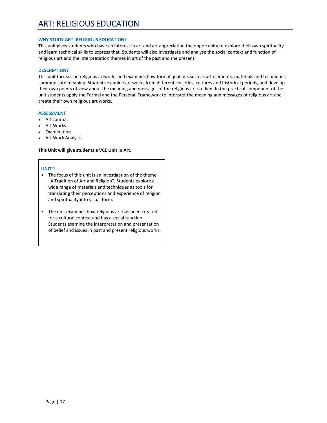#### **WHY STUDY ART: RELIGIOUS EDUCATION?**

This unit gives students who have an interest in art and art appreciation the opportunity to explore their own spirituality and learn technical skills to express that. Students will also investigate and analyse the social context and function of religious art and the interpretation themes in art of the past and the present.

#### **DESCRIPTION?**

This unit focuses on religious artworks and examines how formal qualities such as art elements, materials and techniques communicate meaning. Students examine art works from different societies, cultures and historical periods, and develop their own points of view about the meaning and messages of the religious art studied. In the practical component of the unit students apply the Formal and the Personal Framework to interpret the meaning and messages of religious art and create their own religious art works.

#### **ASSESSMENT**

- Art Journal
- Art Works
- Examination
- Art Work Analysis

#### **This Unit will give students a VCE Unit in Art.**

#### **UNIT 1**

- The focus of this unit is an investigation of the theme "A Tradition of Art and Religion". Students explore a wide range of materials and techniques as tools for translating their perceptions and experience of religion and spirituality into visual form.
- The unit examines how religious art has been created for a cultural context and has a social function. Students examine the interpretation and presentation of belief and issues in past and present religious works.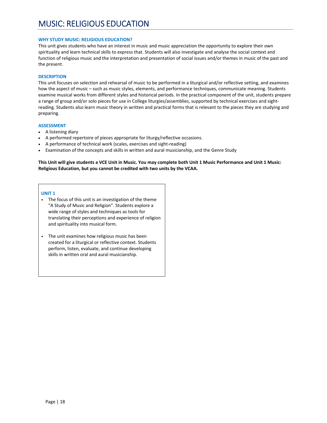#### **WHY STUDY MUSIC: RELIGIOUS EDUCATION?**

This unit gives students who have an interest in music and music appreciation the opportunity to explore their own spirituality and learn technical skills to express that. Students will also investigate and analyse the social context and function of religious music and the interpretation and presentation of social issues and/or themes in music of the past and the present.

#### **DESCRIPTION**

This unit focuses on selection and rehearsal of music to be performed in a liturgical and/or reflective setting, and examines how the aspect of music – such as music styles, elements, and performance techniques, communicate meaning. Students examine musical works from different styles and historical periods. In the practical component of the unit, students prepare a range of group and/or solo pieces for use in College liturgies/assemblies, supported by technical exercises and sightreading. Students also learn music theory in written and practical forms that is relevant to the pieces they are studying and preparing.

#### **ASSESSMENT**

- A listening diary
- A performed repertoire of pieces appropriate for liturgy/reflective occasions.
- A performance of technical work (scales, exercises and sight‐reading)
- Examination of the concepts and skills in written and aural musicianship, and the Genre Study

**This Unit will give students a VCE Unit in Music. You may complete both Unit 1 Music Performance and Unit 1 Music: Religious Education, but you cannot be credited with two units by the VCAA.** 

#### **UNIT 1**

- The focus of this unit is an investigation of the theme "A Study of Music and Religion". Students explore a wide range of styles and techniques as tools for translating their perceptions and experience of religion and spirituality into musical form.
- The unit examines how religious music has been created for a liturgical or reflective context. Students perform, listen, evaluate, and continue developing skills in written oral and aural musicianship.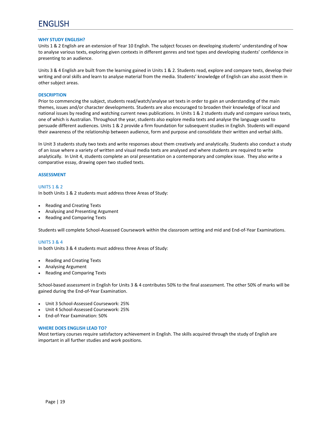#### **WHY STUDY ENGLISH?**

Units 1 & 2 English are an extension of Year 10 English. The subject focuses on developing students' understanding of how to analyse various texts, exploring given contexts in different genres and text types and developing students' confidence in presenting to an audience.

Units 3 & 4 English are built from the learning gained in Units 1 & 2. Students read, explore and compare texts, develop their writing and oral skills and learn to analyse material from the media. Students' knowledge of English can also assist them in other subject areas.

#### **DESCRIPTION**

Prior to commencing the subject, students read/watch/analyse set texts in order to gain an understanding of the main themes, issues and/or character developments. Students are also encouraged to broaden their knowledge of local and national issues by reading and watching current news publications. In Units 1 & 2 students study and compare various texts, one of which is Australian. Throughout the year, students also explore media texts and analyse the language used to persuade different audiences. Units 1 & 2 provide a firm foundation for subsequent studies in English. Students will expand their awareness of the relationship between audience, form and purpose and consolidate their written and verbal skills.

In Unit 3 students study two texts and write responses about them creatively and analytically. Students also conduct a study of an issue where a variety of written and visual media texts are analysed and where students are required to write analytically. In Unit 4, students complete an oral presentation on a contemporary and complex issue. They also write a comparative essay, drawing open two studied texts.

#### **ASSESSMENT**

UNITS 1 & 2 In both Units 1 & 2 students must address three Areas of Study:

- Reading and Creating Texts
- Analysing and Presenting Argument
- Reading and Comparing Texts

Students will complete School‐Assessed Coursework within the classroom setting and mid and End‐of‐Year Examinations.

#### UNITS 3 & 4

In both Units 3 & 4 students must address three Areas of Study:

- Reading and Creating Texts
- Analysing Argument
- Reading and Comparing Texts

School-based assessment in English for Units 3 & 4 contributes 50% to the final assessment. The other 50% of marks will be gained during the End‐of‐Year Examination.

- Unit 3 School‐Assessed Coursework: 25%
- Unit 4 School‐Assessed Coursework: 25%
- End‐of‐Year Examination: 50%

#### **WHERE DOES ENGLISH LEAD TO?**

Most tertiary courses require satisfactory achievement in English. The skills acquired through the study of English are important in all further studies and work positions.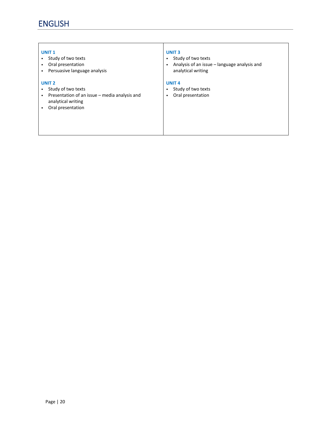#### **UNIT 1**

- Study of two texts
- Oral presentation
- Persuasive language analysis

#### **UNIT 2**

- Study of two texts
- Presentation of an issue media analysis and analytical writing
- Oral presentation

#### **UNIT 3**

- Study of two texts
- Analysis of an issue language analysis and analytical writing

#### **UNIT 4**

- Study of two texts
- Oral presentation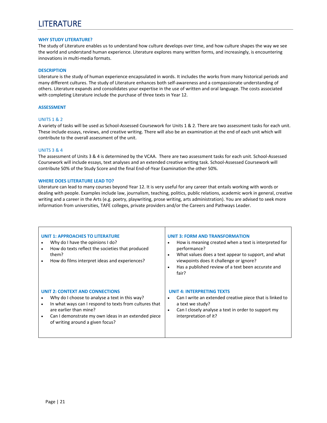# LITERATURE

#### **WHY STUDY LITERATURE?**

The study of Literature enables us to understand how culture develops over time, and how culture shapes the way we see the world and understand human experience. Literature explores many written forms, and increasingly, is encountering innovations in multi‐media formats.

#### **DESCRIPTION**

Literature is the study of human experience encapsulated in words. It includes the works from many historical periods and many different cultures. The study of Literature enhances both self‐awareness and a compassionate understanding of others. Literature expands and consolidates your expertise in the use of written and oral language. The costs associated with completing Literature include the purchase of three texts in Year 12.

#### **ASSESSMENT**

#### UNITS 1 & 2

A variety of tasks will be used as School‐Assessed Coursework for Units 1 & 2. There are two assessment tasks for each unit. These include essays, reviews, and creative writing. There will also be an examination at the end of each unit which will contribute to the overall assessment of the unit.

#### UNITS 3 & 4

The assessment of Units 3 & 4 is determined by the VCAA. There are two assessment tasks for each unit. School‐Assessed Coursework will include essays, text analyses and an extended creative writing task. School‐Assessed Coursework will contribute 50% of the Study Score and the final End‐of‐Year Examination the other 50%.

#### **WHERE DOES LITERATURE LEAD TO?**

Literature can lead to many courses beyond Year 12. It is very useful for any career that entails working with words or dealing with people. Examples include law, journalism, teaching, politics, public relations, academic work in general, creative writing and a career in the Arts (e.g. poetry, playwriting, prose writing, arts administration). You are advised to seek more information from universities, TAFE colleges, private providers and/or the Careers and Pathways Leader.

| <b>UNIT 1: APPROACHES TO LITERATURE</b><br>Why do I have the opinions I do?<br>How do texts reflect the societies that produced<br>them?<br>How do films interpret ideas and experiences? | <b>UNIT 3: FORM AND TRANSFORMATION</b><br>How is meaning created when a text is interpreted for<br>٠<br>performance?<br>What values does a text appear to support, and what<br>$\bullet$<br>viewpoints does it challenge or ignore?<br>Has a published review of a text been accurate and<br>$\bullet$<br>fair? |
|-------------------------------------------------------------------------------------------------------------------------------------------------------------------------------------------|-----------------------------------------------------------------------------------------------------------------------------------------------------------------------------------------------------------------------------------------------------------------------------------------------------------------|
| <b>UNIT 2: CONTEXT AND CONNECTIONS</b>                                                                                                                                                    | <b>UNIT 4: INTERPRETING TEXTS</b>                                                                                                                                                                                                                                                                               |
| Why do I choose to analyse a text in this way?                                                                                                                                            | Can I write an extended creative piece that is linked to                                                                                                                                                                                                                                                        |
| In what ways can I respond to texts from cultures that                                                                                                                                    | $\bullet$                                                                                                                                                                                                                                                                                                       |
| $\bullet$                                                                                                                                                                                 | a text we study?                                                                                                                                                                                                                                                                                                |
| are earlier than mine?                                                                                                                                                                    | Can I closely analyse a text in order to support my                                                                                                                                                                                                                                                             |
| Can I demonstrate my own ideas in an extended piece                                                                                                                                       | $\bullet$                                                                                                                                                                                                                                                                                                       |
| of writing around a given focus?                                                                                                                                                          | interpretation of it?                                                                                                                                                                                                                                                                                           |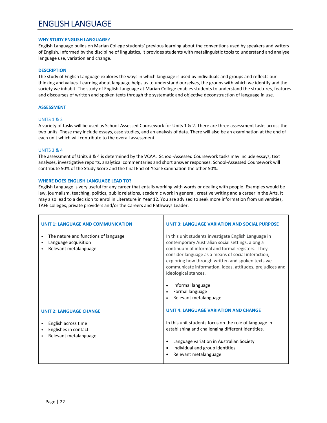### ENGLISH LANGUAGE

#### **WHY STUDY ENGLISH LANGUAGE?**

English Language builds on Marian College students' previous learning about the conventions used by speakers and writers of English. Informed by the discipline of linguistics, it provides students with metalinguistic tools to understand and analyse language use, variation and change.

#### **DESCRIPTION**

The study of English Language explores the ways in which language is used by individuals and groups and reflects our thinking and values. Learning about language helps us to understand ourselves, the groups with which we identify and the society we inhabit. The study of English Language at Marian College enables students to understand the structures, features and discourses of written and spoken texts through the systematic and objective deconstruction of language in use.

#### **ASSESSMENT**

#### UNITS 1 & 2

A variety of tasks will be used as School‐Assessed Coursework for Units 1 & 2. There are three assessment tasks across the two units. These may include essays, case studies, and an analysis of data. There will also be an examination at the end of each unit which will contribute to the overall assessment.

#### UNITS 3 & 4

The assessment of Units 3 & 4 is determined by the VCAA. School‐Assessed Coursework tasks may include essays, text analyses, investigative reports, analytical commentaries and short answer responses. School‐Assessed Coursework will contribute 50% of the Study Score and the final End‐of‐Year Examination the other 50%.

#### **WHERE DOES ENGLISH LANGUAGE LEAD TO?**

English Language is very useful for any career that entails working with words or dealing with people. Examples would be law, journalism, teaching, politics, public relations, academic work in general, creative writing and a career in the Arts. It may also lead to a decision to enrol in Literature in Year 12. You are advised to seek more information from universities, TAFE colleges, private providers and/or the Careers and Pathways Leader.

| <b>UNIT 1: LANGUAGE AND COMMUNICATION</b>                                             | <b>UNIT 3: LANGUAGE VARIATION AND SOCIAL PURPOSE</b>                                                                                                                                                                                                                                                                                                                                                                                                      |
|---------------------------------------------------------------------------------------|-----------------------------------------------------------------------------------------------------------------------------------------------------------------------------------------------------------------------------------------------------------------------------------------------------------------------------------------------------------------------------------------------------------------------------------------------------------|
| The nature and functions of language<br>Language acquisition<br>Relevant metalanguage | In this unit students investigate English Language in<br>contemporary Australian social settings, along a<br>continuum of informal and formal registers. They<br>consider language as a means of social interaction,<br>exploring how through written and spoken texts we<br>communicate information, ideas, attitudes, prejudices and<br>ideological stances.<br>Informal language<br>$\bullet$<br>Formal language<br>$\bullet$<br>Relevant metalanguage |
| <b>UNIT 2: LANGUAGE CHANGE</b>                                                        | <b>UNIT 4: LANGUAGE VARIATION AND CHANGE</b>                                                                                                                                                                                                                                                                                                                                                                                                              |
| English across time<br>Englishes in contact<br>Relevant metalanguage                  | In this unit students focus on the role of language in<br>establishing and challenging different identities.<br>Language variation in Australian Society<br>Individual and group identities<br>$\bullet$<br>Relevant metalanguage                                                                                                                                                                                                                         |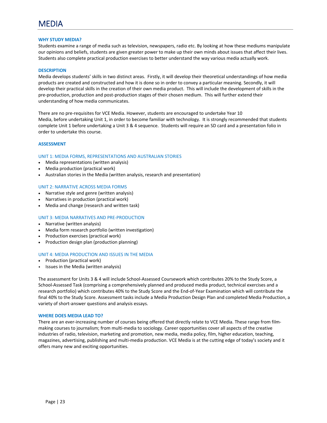#### **WHY STUDY MEDIA?**

Students examine a range of media such as television, newspapers, radio etc. By looking at how these mediums manipulate our opinions and beliefs, students are given greater power to make up their own minds about issues that affect their lives. Students also complete practical production exercises to better understand the way various media actually work.

#### **DESCRIPTION**

Media develops students' skills in two distinct areas. Firstly, it will develop their theoretical understandings of how media products are created and constructed and how it is done so in order to convey a particular meaning. Secondly, it will develop their practical skills in the creation of their own media product. This will include the development of skills in the pre‐production, production and post‐production stages of their chosen medium. This will further extend their understanding of how media communicates.

There are no pre‐requisites for VCE Media. However, students are encouraged to undertake Year 10 Media, before undertaking Unit 1, in order to become familiar with technology. It is strongly recommended that students complete Unit 1 before undertaking a Unit 3 & 4 sequence. Students will require an SD card and a presentation folio in order to undertake this course.

#### **ASSESSMENT**

#### UNIT 1: MEDIA FORMS, REPRESENTATIONS AND AUSTRALIAN STORIES

- Media representations (written analysis)
- Media production (practical work)
- Australian stories in the Media (written analysis, research and presentation)

#### UNIT 2: NARRATIVE ACROSS MEDIA FORMS

- Narrative style and genre (written analysis)
- Narratives in production (practical work)
- Media and change (research and written task)

#### UNIT 3: MEDIA NARRATIVES AND PRE‐PRODUCTION

- Narrative (written analysis)
- Media form research portfolio (written investigation)
- Production exercises (practical work)
- Production design plan (production planning)

#### UNIT 4: MEDIA PRODUCTION AND ISSUES IN THE MEDIA

- Production (practical work)
- Issues in the Media (written analysis)

The assessment for Units 3 & 4 will include School‐Assessed Coursework which contributes 20% to the Study Score, a School‐Assessed Task (comprising a comprehensively planned and produced media product, technical exercises and a research portfolio) which contributes 40% to the Study Score and the End‐of‐Year Examination which will contribute the final 40% to the Study Score. Assessment tasks include a Media Production Design Plan and completed Media Production, a variety of short‐answer questions and analysis essays.

#### **WHERE DOES MEDIA LEAD TO?**

There are an ever-increasing number of courses being offered that directly relate to VCE Media. These range from filmmaking courses to journalism; from multi‐media to sociology. Career opportunities cover all aspects of the creative industries of radio, television, marketing and promotion, new media, media policy, film, higher education, teaching, magazines, advertising, publishing and multi‐media production. VCE Media is at the cutting edge of today's society and it offers many new and exciting opportunities.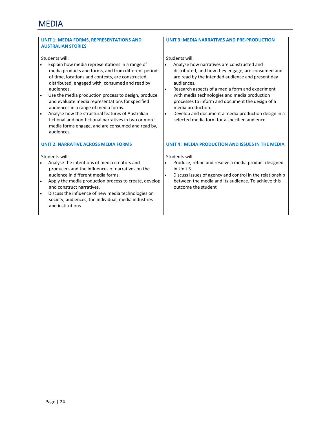| <b>UNIT 3: MEDIA NARRATIVES AND PRE-PRODUCTION</b>                                                                                                                                                                                                                                                                                                                                                                                                                                     |
|----------------------------------------------------------------------------------------------------------------------------------------------------------------------------------------------------------------------------------------------------------------------------------------------------------------------------------------------------------------------------------------------------------------------------------------------------------------------------------------|
|                                                                                                                                                                                                                                                                                                                                                                                                                                                                                        |
| Students will:<br>Analyse how narratives are constructed and<br>distributed, and how they engage, are consumed and<br>are read by the intended audience and present day<br>audiences.<br>Research aspects of a media form and experiment<br>with media technologies and media production<br>processes to inform and document the design of a<br>media production.<br>Develop and document a media production design in a<br>$\bullet$<br>selected media form for a specified audience. |
| UNIT 4: MEDIA PRODUCTION AND ISSUES IN THE MEDIA                                                                                                                                                                                                                                                                                                                                                                                                                                       |
| Students will:                                                                                                                                                                                                                                                                                                                                                                                                                                                                         |
| Produce, refine and resolve a media product designed<br>in Unit 3.<br>Discuss issues of agency and control in the relationship<br>between the media and its audience. To achieve this<br>outcome the student                                                                                                                                                                                                                                                                           |
|                                                                                                                                                                                                                                                                                                                                                                                                                                                                                        |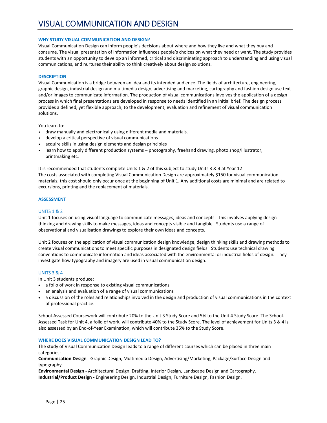#### **WHY STUDY VISUAL COMMUNICATION AND DESIGN?**

Visual Communication Design can inform people's decisions about where and how they live and what they buy and consume. The visual presentation of information influences people's choices on what they need or want. The study provides students with an opportunity to develop an informed, critical and discriminating approach to understanding and using visual communications, and nurtures their ability to think creatively about design solutions.

#### **DESCRIPTION**

Visual Communication is a bridge between an idea and its intended audience. The fields of architecture, engineering, graphic design, industrial design and multimedia design, advertising and marketing, cartography and fashion design use text and/or images to communicate information. The production of visual communications involves the application of a design process in which final presentations are developed in response to needs identified in an initial brief. The design process provides a defined, yet flexible approach, to the development, evaluation and refinement of visual communication solutions.

You learn to:

- draw manually and electronically using different media and materials.
- develop a critical perspective of visual communications
- acquire skills in using design elements and design principles
- learn how to apply different production systems photography, freehand drawing, photo shop/illustrator, printmaking etc.

It is recommended that students complete Units 1 & 2 of this subject to study Units 3 & 4 at Year 12 The costs associated with completing Visual Communication Design are approximately \$150 for visual communication materials; this cost should only occur once at the beginning of Unit 1. Any additional costs are minimal and are related to excursions, printing and the replacement of materials.

#### **ASSESSMENT**

#### UNITS 1 & 2

Unit 1 focuses on using visual language to communicate messages, ideas and concepts. This involves applying design thinking and drawing skills to make messages, ideas and concepts visible and tangible. Students use a range of observational and visualisation drawings to explore their own ideas and concepts.

Unit 2 focuses on the application of visual communication design knowledge, design thinking skills and drawing methods to create visual communications to meet specific purposes in designated design fields. Students use technical drawing conventions to communicate information and ideas associated with the environmental or industrial fields of design. They investigate how typography and imagery are used in visual communication design.

#### UNITS 3 & 4

In Unit 3 students produce:

- a folio of work in response to existing visual communications
- an analysis and evaluation of a range of visual communications
- a discussion of the roles and relationships involved in the design and production of visual communications in the context of professional practice.

School‐Assessed Coursework will contribute 20% to the Unit 3 Study Score and 5% to the Unit 4 Study Score. The School‐ Assessed Task for Unit 4, a folio of work, will contribute 40% to the Study Score. The level of achievement for Units 3 & 4 is also assessed by an End‐of‐Year Examination, which will contribute 35% to the Study Score.

#### **WHERE DOES VISUAL COMMUNICATION DESIGN LEAD TO?**

The study of Visual Communication Design leads to a range of different courses which can be placed in three main categories:

**Communication Design** ‐ Graphic Design, Multimedia Design, Advertising/Marketing, Package/Surface Design and typography.

**Environmental Design ‐** Architectural Design, Drafting, Interior Design, Landscape Design and Cartography. **Industrial/Product Design ‐** Engineering Design, Industrial Design, Furniture Design, Fashion Design.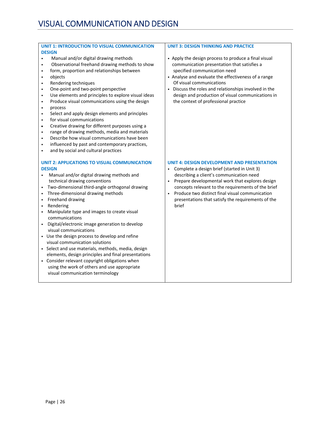#### **UNIT 1: INTRODUCTION TO VISUAL COMMUNICATION DESIGN**

- Manual and/or digital drawing methods
- Observational freehand drawing methods to show
- form, proportion and relationships between
- objects
- Rendering techniques
- One‐point and two‐point perspective
- Use elements and principles to explore visual ideas
- Produce visual communications using the design
- process
- Select and apply design elements and principles
- for visual communications
- Creative drawing for different purposes using a
- range of drawing methods, media and materials
- Describe how visual communications have been
- influenced by past and contemporary practices,
- and by social and cultural practices

#### **UNIT 2: APPLICATIONS TO VISUAL COMMUNICATION DESIGN**

- Manual and/or digital drawing methods and technical drawing conventions
- Two-dimensional third-angle orthogonal drawing
- Three-dimensional drawing methods
- Freehand drawing
- Rendering
- Manipulate type and images to create visual communications
- Digital/electronic image generation to develop visual communications
- Use the design process to develop and refine visual communication solutions
- Select and use materials, methods, media, design elements, design principles and final presentations
- Consider relevant copyright obligations when using the work of others and use appropriate visual communication terminology

#### **UNIT 3: DESIGN THINKING AND PRACTICE**

- Apply the design process to produce a final visual communication presentation that satisfies a specified communication need
- Analyse and evaluate the effectiveness of a range Of visual communications
- Discuss the roles and relationships involved in the design and production of visual communications in the context of professional practice

#### **UNIT 4: DESIGN DEVELOPMENT AND PRESENTATION**

- Complete a design brief (started in Unit 3) describing a client's communication need
- Prepare developmental work that explores design concepts relevant to the requirements of the brief
- Produce two distinct final visual communication presentations that satisfy the requirements of the brief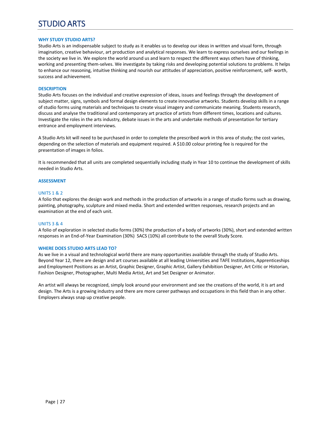# STUDIO ARTS

#### **WHY STUDY STUDIO ARTS?**

Studio Arts is an indispensable subject to study as it enables us to develop our ideas in written and visual form, through imagination, creative behaviour, art production and analytical responses. We learn to express ourselves and our feelings in the society we live in. We explore the world around us and learn to respect the different ways others have of thinking, working and presenting them‐selves. We investigate by taking risks and developing potential solutions to problems. It helps to enhance our reasoning, intuitive thinking and nourish our attitudes of appreciation, positive reinforcement, self- worth, success and achievement.

#### **DESCRIPTION**

Studio Arts focuses on the individual and creative expression of ideas, issues and feelings through the development of subject matter, signs, symbols and formal design elements to create innovative artworks. Students develop skills in a range of studio forms using materials and techniques to create visual imagery and communicate meaning. Students research, discuss and analyse the traditional and contemporary art practice of artists from different times, locations and cultures. Investigate the roles in the arts industry, debate issues in the arts and undertake methods of presentation for tertiary entrance and employment interviews.

A Studio Arts kit will need to be purchased in order to complete the prescribed work in this area of study; the cost varies, depending on the selection of materials and equipment required. A \$10.00 colour printing fee is required for the presentation of images in folios.

It is recommended that all units are completed sequentially including study in Year 10 to continue the development of skills needed in Studio Arts.

#### **ASSESSMENT**

#### UNITS 1 & 2

A folio that explores the design work and methods in the production of artworks in a range of studio forms such as drawing, painting, photography, sculpture and mixed media. Short and extended written responses, research projects and an examination at the end of each unit.

#### UNITS 3 & 4

A folio of exploration in selected studio forms (30%) the production of a body of artworks (30%), short and extended written responses in an End‐of‐Year Examination (30%) SACS (10%) all contribute to the overall Study Score.

#### **WHERE DOES STUDIO ARTS LEAD TO?**

As we live in a visual and technological world there are many opportunities available through the study of Studio Arts. Beyond Year 12, there are design and art courses available at all leading Universities and TAFE Institutions, Apprenticeships and Employment Positions as an Artist, Graphic Designer, Graphic Artist, Gallery Exhibition Designer, Art Critic or Historian, Fashion Designer, Photographer, Multi Media Artist, Art and Set Designer or Animator.

An artist will always be recognized, simply look around your environment and see the creations of the world, it is art and design. The Arts is a growing industry and there are more career pathways and occupations in this field than in any other. Employers always snap up creative people.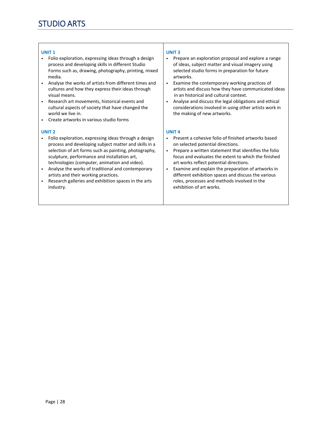#### **UNIT 1**

- Folio exploration, expressing ideas through a design process and developing skills in different Studio Forms such as, drawing, photography, printing, mixed media.
- Analyse the works of artists from different times and cultures and how they express their ideas through visual means.
- Research art movements, historical events and cultural aspects of society that have changed the world we live in.
- Create artworks in various studio forms

#### **UNIT 2**

- Folio exploration, expressing ideas through a design process and developing subject matter and skills in a selection of art forms such as painting, photography, sculpture, performance and installation art, technologies (computer, animation and video).
- Analyse the works of traditional and contemporary artists and their working practices.
- Research galleries and exhibition spaces in the arts industry.

#### **UNIT 3**

- Prepare an exploration proposal and explore a range of ideas, subject matter and visual imagery using selected studio forms in preparation for future artworks.
- Examine the contemporary working practices of artists and discuss how they have communicated ideas in an historical and cultural context.
- Analyse and discuss the legal obligations and ethical considerations involved in using other artists work in the making of new artworks.

#### **UNIT 4**

- Present a cohesive folio of finished artworks based on selected potential directions.
- Prepare a written statement that identifies the folio focus and evaluates the extent to which the finished art works reflect potential directions.
- Examine and explain the preparation of artworks in different exhibition spaces and discuss the various roles, processes and methods involved in the exhibition of art works.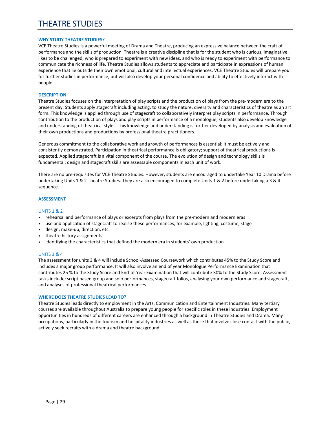# THEATRE STUDIES

#### **WHY STUDY THEATRE STUDIES?**

VCE Theatre Studies is a powerful meeting of Drama and Theatre, producing an expressive balance between the craft of performance and the skills of production. Theatre is a creative discipline that is for the student who is curious, imaginative, likes to be challenged, who is prepared to experiment with new ideas, and who is ready to experiment with performance to communicate the richness of life. Theatre Studies allows students to appreciate and participate in expressions of human experience that lie outside their own emotional, cultural and intellectual experiences. VCE Theatre Studies will prepare you for further studies in performance, but will also develop your personal confidence and ability to effectively interact with people.

#### **DESCRIPTION**

Theatre Studies focuses on the interpretation of play scripts and the production of plays from the pre‐modern era to the present day. Students apply stagecraft including acting, to study the nature, diversity and characteristics of theatre as an art form. This knowledge is applied through use of stagecraft to collaboratively interpret play scripts in performance. Through contribution to the production of plays and play scripts in performance of a monologue, students also develop knowledge and understanding of theatrical styles. This knowledge and understanding is further developed by analysis and evaluation of their own productions and productions by professional theatre practitioners.

Generous commitment to the collaborative work and growth of performances is essential; it must be actively and consistently demonstrated. Participation in theatrical performance is obligatory; support of theatrical productions is expected. Applied stagecraft is a vital component of the course. The evolution of design and technology skills is fundamental; design and stagecraft skills are assessable components in each unit of work.

There are no pre-requisites for VCE Theatre Studies. However, students are encouraged to undertake Year 10 Drama before undertaking Units 1 & 2 Theatre Studies. They are also encouraged to complete Units 1 & 2 before undertaking a 3 & 4 sequence.

#### **ASSESSMENT**

#### UNITS 1 & 2

- rehearsal and performance of plays or excerpts from plays from the pre-modern and modern eras
- use and application of stagecraft to realise these performances, for example, lighting, costume, stage
- design, make‐up, direction, etc.
- theatre history assignments
- identifying the characteristics that defined the modern era in students' own production

#### UNITS 3 & 4

The assessment for units 3 & 4 will include School‐Assessed Coursework which contributes 45% to the Study Score and includes a major group performance. It will also involve an end of year Monologue Performance Examination that contributes 25 % to the Study Score and End‐of‐Year Examination that will contribute 30% to the Study Score. Assessment tasks include: script based group and solo performances, stagecraft folios, analysing your own performance and stagecraft, and analyses of professional theatrical performances.

#### **WHERE DOES THEATRE STUDIES LEAD TO?**

Theatre Studies leads directly to employment in the Arts, Communication and Entertainment Industries. Many tertiary courses are available throughout Australia to prepare young people for specific roles in these industries. Employment opportunities in hundreds of different careers are enhanced through a background in Theatre Studies and Drama. Many occupations, particularly in the tourism and hospitality industries as well as those that involve close contact with the public, actively seek recruits with a drama and theatre background.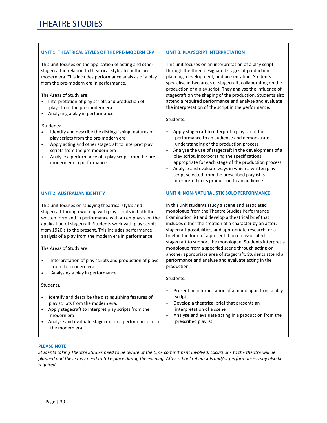#### **UNIT 1: THEATRICAL STYLES OF THE PRE‐MODERN ERA**

This unit focuses on the application of acting and other stagecraft in relation to theatrical styles from the pre‐ modern era. This includes performance analysis of a play from the pre‐modern era in performance.

The Areas of Study are:

- Interpretation of play scripts and production of plays from the pre‐modern era
- Analysing a play in performance

#### Students:

- Identify and describe the distinguishing features of play scripts from the pre‐modern era
- Apply acting and other stagecraft to interpret play scripts from the pre‐modern era
- Analyse a performance of a play script from the premodern era in performance

#### **UNIT 2: AUSTRALIAN IDENTITY**

This unit focuses on studying theatrical styles and stagecraft through working with play scripts in both their written form and in performance with an emphasis on the application of stagecraft. Students work with play scripts from 1920's to the present. This includes performance analysis of a play from the modern era in performance.

The Areas of Study are:

- Interpretation of play scripts and production of plays from the modern era
- Analysing a play in performance

Students*:* 

- Identify and describe the distinguishing features of play scripts from the modern era.
- Apply stagecraft to interpret play scripts from the modern era
- Analyse and evaluate stagecraft in a performance from the modern era

#### **UNIT 3: PLAYSCRIPT INTERPRETATION**

This unit focuses on an interpretation of a play script through the three designated stages of production: planning, development, and presentation. Students specialise in two areas of stagecraft, collaborating on the production of a play script. They analyse the influence of stagecraft on the shaping of the production. Students also attend a required performance and analyse and evaluate the interpretation of the script in the performance.

Students:

- Apply stagecraft to interpret a play script for performance to an audience and demonstrate understanding of the production process
- Analyse the use of stagecraft in the development of a play script, incorporating the specifications appropriate for each stage of the production process
- Analyse and evaluate ways in which a written play script selected from the prescribed playlist is interpreted in its production to an audience

#### **UNIT 4: NON‐NATURALISTIC SOLO PERFORMANCE**

In this unit students study a scene and associated monologue from the Theatre Studies Performance Examination list and develop a theatrical brief that includes either the creation of a character by an actor, stagecraft possibilities, and appropriate research, or a brief in the form of a presentation on associated stagecraft to support the monologue. Students interpret a monologue from a specified scene through acting or another appropriate area of stagecraft. Students attend a performance and analyse and evaluate acting in the production.

Students:

- Present an interpretation of a monologue from a play script
- Develop a theatrical brief that presents an interpretation of a scene
- Analyse and evaluate acting in a production from the prescribed playlist

#### **PLEASE NOTE:**

*Students taking Theatre Studies need to be aware of the time commitment involved. Excursions to the theatre will be planned and these may need to take place during the evening. After‐school rehearsals and/or performances may also be required.*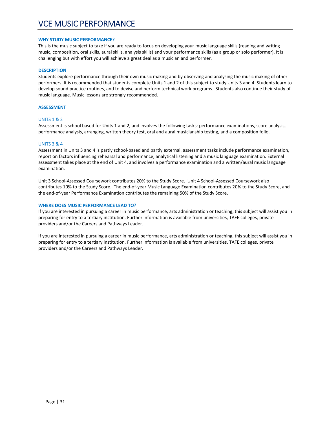#### **WHY STUDY MUSIC PERFORMANCE?**

This is the music subject to take if you are ready to focus on developing your music language skills (reading and writing music, composition, oral skills, aural skills, analysis skills) and your performance skills (as a group or solo performer). It is challenging but with effort you will achieve a great deal as a musician and performer.

#### **DESCRIPTION**

Students explore performance through their own music making and by observing and analysing the music making of other performers. It is recommended that students complete Units 1 and 2 of this subject to study Units 3 and 4. Students learn to develop sound practice routines, and to devise and perform technical work programs. Students also continue their study of music language. Music lessons are strongly recommended.

#### **ASSESSMENT**

#### UNITS 1 & 2

Assessment is school based for Units 1 and 2, and involves the following tasks: performance examinations, score analysis, performance analysis, arranging, written theory test, oral and aural musicianship testing, and a composition folio.

#### UNITS 3 & 4

Assessment in Units 3 and 4 is partly school‐based and partly external. assessment tasks include performance examination, report on factors influencing rehearsal and performance, analytical listening and a music language examination. External assessment takes place at the end of Unit 4, and involves a performance examination and a written/aural music language examination.

Unit 3 School‐Assessed Coursework contributes 20% to the Study Score. Unit 4 School‐Assessed Coursework also contributes 10% to the Study Score. The end‐of‐year Music Language Examination contributes 20% to the Study Score, and the end-of-year Performance Examination contributes the remaining 50% of the Study Score.

#### **WHERE DOES MUSIC PERFORMANCE LEAD TO?**

If you are interested in pursuing a career in music performance, arts administration or teaching, this subject will assist you in preparing for entry to a tertiary institution. Further information is available from universities, TAFE colleges, private providers and/or the Careers and Pathways Leader.

If you are interested in pursuing a career in music performance, arts administration or teaching, this subject will assist you in preparing for entry to a tertiary institution. Further information is available from universities, TAFE colleges, private providers and/or the Careers and Pathways Leader.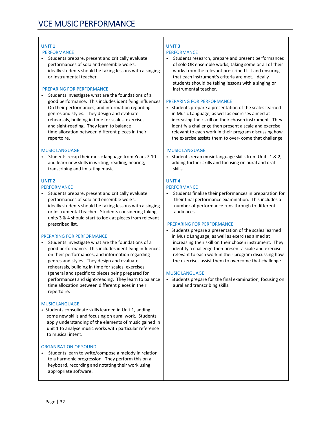#### **UNIT 1**

#### PERFORMANCE

• Students prepare, present and critically evaluate performances of solo and ensemble works. ideally students should be taking lessons with a singing or Instrumental teacher.

#### PREPARING FOR PERFORMANCE

• Students investigate what are the foundations of a good performance. This includes identifying influences On their performances, and information regarding genres and styles. They design and evaluate rehearsals, building in time for scales, exercises and sight‐reading. They learn to balance time allocation between different pieces in their repertoire.

#### MUSIC LANGUAGE

• Students recap their music language from Years 7‐10 and learn new skills in writing, reading, hearing, transcribing and imitating music.

#### **UNIT 2**

#### PERFORMANCE

• Students prepare, present and critically evaluate performances of solo and ensemble works. ideally students should be taking lessons with a singing or Instrumental teacher. Students considering taking units 3 & 4 should start to look at pieces from relevant prescribed list.

#### PREPARING FOR PERFORMANCE

• Students investigate what are the foundations of a good performance. This includes identifying influences on their performances, and information regarding genres and styles. They design and evaluate rehearsals, building in time for scales, exercises (general and specific to pieces being prepared for performance) and sight‐reading. They learn to balance time allocation between different pieces in their repertoire.

#### MUSIC LANGUAGE

• Students consolidate skills learned in Unit 1, adding some new skills and focusing on aural work. Students apply understanding of the elements of music gained in unit 1 to analyse music works with particular reference to musical intent.

#### ORGANISATION OF SOUND

• Students learn to write/compose a melody in relation to a harmonic progression. They perform this on a keyboard, recording and notating their work using appropriate software.

#### **UNIT 3**

#### PERFORMANCE

• Students research, prepare and present performances of solo OR ensemble works, taking some or all of their works from the relevant prescribed list and ensuring that each instrument's criteria are met. Ideally students should be taking lessons with a singing or instrumental teacher.

#### PREPARING FOR PERFORMANCE

• Students prepare a presentation of the scales learned in Music Language, as well as exercises aimed at increasing their skill on their chosen instrument. They identify a challenge then present a scale and exercise relevant to each work in their program discussing how the exercise assists them to over‐ come that challenge

#### MUSIC LANGUAGE

• Students recap music language skills from Units 1 & 2, adding further skills and focusing on aural and oral skills.

#### **UNIT 4**

#### PERFORMANCE

• Students finalise their performances in preparation for their final performance examination. This includes a number of performance runs through to different audiences.

#### PREPARING FOR PERFORMANCE

• Students prepare a presentation of the scales learned in Music Language, as well as exercises aimed at increasing their skill on their chosen instrument. They identify a challenge then present a scale and exercise relevant to each work in their program discussing how the exercises assist them to overcome that challenge.

#### MUSIC LANGUAGE

• Students prepare for the final examination, focusing on aural and transcribing skills.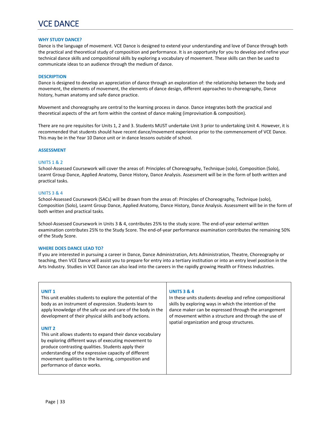# VCE DANCE

#### **WHY STUDY DANCE?**

Dance is the language of movement. VCE Dance is designed to extend your understanding and love of Dance through both the practical and theoretical study of composition and performance. It is an opportunity for you to develop and refine your technical dance skills and compositional skills by exploring a vocabulary of movement. These skills can then be used to communicate ideas to an audience through the medium of dance.

#### **DESCRIPTION**

Dance is designed to develop an appreciation of dance through an exploration of: the relationship between the body and movement, the elements of movement, the elements of dance design, different approaches to choreography, Dance history, human anatomy and safe dance practice.

Movement and choreography are central to the learning process in dance. Dance integrates both the practical and theoretical aspects of the art form within the context of dance making (improvisation & composition).

There are no pre requisites for Units 1, 2 and 3. Students MUST undertake Unit 3 prior to undertaking Unit 4. However, it is recommended that students should have recent dance/movement experience prior to the commencement of VCE Dance. This may be in the Year 10 Dance unit or in dance lessons outside of school.

#### **ASSESSMENT**

#### UNITS 1 & 2

School‐Assessed Coursework will cover the areas of: Principles of Choreography, Technique (solo), Composition (Solo), Learnt Group Dance, Applied Anatomy, Dance History, Dance Analysis. Assessment will be in the form of both written and practical tasks.

#### UNITS 3 & 4

School‐Assessed Coursework (SACs) will be drawn from the areas of: Principles of Choreography, Technique (solo), Composition (Solo), Learnt Group Dance, Applied Anatomy, Dance History, Dance Analysis. Assessment will be in the form of both written and practical tasks.

School‐Assessed Coursework in Units 3 & 4, contributes 25% to the study score. The end‐of‐year external written examination contributes 25% to the Study Score. The end‐of‐year performance examination contributes the remaining 50% of the Study Score.

#### **WHERE DOES DANCE LEAD TO?**

If you are interested in pursuing a career in Dance, Dance Administration, Arts Administration, Theatre, Choreography or teaching, then VCE Dance will assist you to prepare for entry into a tertiary institution or into an entry level position in the Arts Industry. Studies in VCE Dance can also lead into the careers in the rapidly growing Health or Fitness Industries.

#### **UNIT 1**

This unit enables students to explore the potential of the body as an instrument of expression. Students learn to apply knowledge of the safe use and care of the body in the development of their physical skills and body actions.

#### **UNIT 2**

This unit allows students to expand their dance vocabulary by exploring different ways of executing movement to produce contrasting qualities. Students apply their understanding of the expressive capacity of different movement qualities to the learning, composition and performance of dance works.

#### **UNITS 3 & 4**

In these units students develop and refine compositional skills by exploring ways in which the intention of the dance maker can be expressed through the arrangement of movement within a structure and through the use of spatial organization and group structures.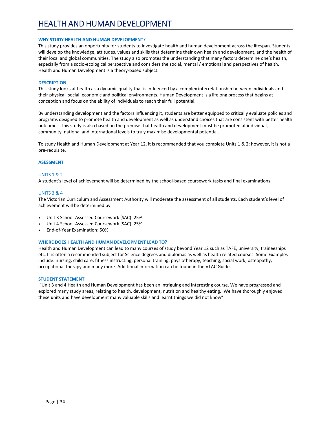# HEALTH AND HUMAN DEVELOPMENT

#### **WHY STUDY HEALTH AND HUMAN DEVELOPMENT?**

This study provides an opportunity for students to investigate health and human development across the lifespan. Students will develop the knowledge, attitudes, values and skills that determine their own health and development, and the health of their local and global communities. The study also promotes the understanding that many factors determine one's health, especially from a socio‐ecological perspective and considers the social, mental / emotional and perspectives of health. Health and Human Development is a theory‐based subject.

#### **DESCRIPTION**

This study looks at health as a dynamic quality that is influenced by a complex interrelationship between individuals and their physical, social, economic and political environments. Human Development is a lifelong process that begins at conception and focus on the ability of individuals to reach their full potential.

By understanding development and the factors influencing it, students are better equipped to critically evaluate policies and programs designed to promote health and development as well as understand choices that are consistent with better health outcomes. This study is also based on the premise that health and development must be promoted at individual, community, national and international levels to truly maximise developmental potential.

To study Health and Human Development at Year 12, it is recommended that you complete Units 1 & 2; however, it is not a pre‐requisite.

#### **ASESSMENT**

#### UNITS 1 & 2

A student's level of achievement will be determined by the school‐based coursework tasks and final examinations.

#### UNITS 3 & 4

The Victorian Curriculum and Assessment Authority will moderate the assessment of all students. Each student's level of achievement will be determined by:

- Unit 3 School‐Assessed Coursework (SAC): 25%
- Unit 4 School‐Assessed Coursework (SAC): 25%
- End‐of‐Year Examination: 50%

#### **WHERE DOES HEALTH AND HUMAN DEVELOPMENT LEAD TO?**

Health and Human Development can lead to many courses of study beyond Year 12 such as TAFE, university, traineeships etc. It is often a recommended subject for Science degrees and diplomas as well as health related courses. Some Examples include: nursing, child care, fitness instructing, personal training, physiotherapy, teaching, social work, osteopathy, occupational therapy and many more. Additional information can be found in the VTAC Guide.

#### **STUDENT STATEMENT**

"Unit 3 and 4 Health and Human Development has been an intriguing and interesting course. We have progressed and explored many study areas, relating to health, development, nutrition and healthy eating. We have thoroughly enjoyed these units and have development many valuable skills and learnt things we did not know"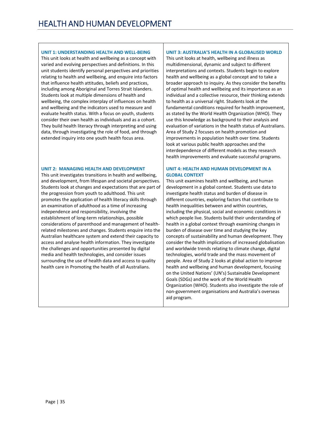#### **UNIT 1: UNDERSTANDING HEALTH AND WELL‐BEING**

This unit looks at health and wellbeing as a concept with varied and evolving perspectives and definitions. In this unit students identify personal perspectives and priorities relating to health and wellbeing, and enquire into factors that influence health attitudes, beliefs and practices, including among Aboriginal and Torres Strait Islanders. Students look at multiple dimensions of health and wellbeing, the complex interplay of influences on health and wellbeing and the indicators used to measure and evaluate health status. With a focus on youth, students consider their own health as individuals and as a cohort. They build health literacy through interpreting and using data, through investigating the role of food, and through extended inquiry into one youth health focus area.

#### **UNIT 2: MANAGING HEALTH AND DEVELOPMENT**

This unit investigates transitions in health and wellbeing, and development, from lifespan and societal perspectives. Students look at changes and expectations that are part of the progression from youth to adulthood. This unit promotes the application of health literacy skills through an examination of adulthood as a time of increasing independence and responsibility, involving the establishment of long‐term relationships, possible considerations of parenthood and management of health‐ related milestones and changes. Students enquire into the Australian healthcare system and extend their capacity to access and analyse health information. They investigate the challenges and opportunities presented by digital media and health technologies, and consider issues surrounding the use of health data and access to quality health care in Promoting the health of all Australians.

#### **UNIT 3: AUSTRALIA'S HEALTH IN A GLOBALISED WORLD**

This unit looks at health, wellbeing and illness as multidimensional, dynamic and subject to different interpretations and contexts. Students begin to explore health and wellbeing as a global concept and to take a broader approach to inquiry. As they consider the benefits of optimal health and wellbeing and its importance as an individual and a collective resource, their thinking extends to health as a universal right. Students look at the fundamental conditions required for health improvement, as stated by the World Health Organization (WHO). They use this knowledge as background to their analysis and evaluation of variations in the health status of Australians. Area of Study 2 focuses on health promotion and improvements in population health over time. Students look at various public health approaches and the interdependence of different models as they research health improvements and evaluate successful programs.

#### **UNIT 4: HEALTH AND HUMAN DEVELOPMENT IN A GLOBAL CONTEXT**

This unit examines health and wellbeing, and human development in a global context. Students use data to investigate health status and burden of disease in different countries, exploring factors that contribute to health inequalities between and within countries, including the physical, social and economic conditions in which people live. Students build their understanding of health in a global context through examining changes in burden of disease over time and studying the key concepts of sustainability and human development. They consider the health implications of increased globalisation and worldwide trends relating to climate change, digital technologies, world trade and the mass movement of people. Area of Study 2 looks at global action to improve health and wellbeing and human development, focusing on the United Nations' (UN's) Sustainable Development Goals (SDGs) and the work of the World Health Organization (WHO). Students also investigate the role of non‐government organisations and Australia's overseas aid program.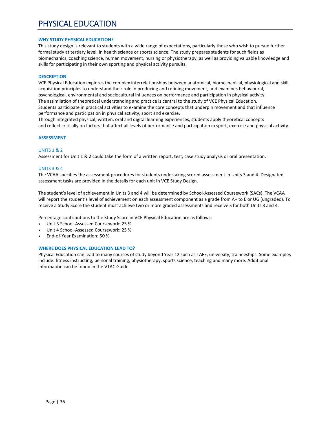# PHYSICAL EDUCATION

#### **WHY STUDY PHYSICAL EDUCATION?**

This study design is relevant to students with a wide range of expectations, particularly those who wish to pursue further formal study at tertiary level, in health science or sports science. The study prepares students for such fields as biomechanics, coaching science, human movement, nursing or physiotherapy, as well as providing valuable knowledge and skills for participating in their own sporting and physical activity pursuits.

#### **DESCRIPTION**

VCE Physical Education explores the complex interrelationships between anatomical, biomechanical, physiological and skill acquisition principles to understand their role in producing and refining movement, and examines behavioural, psychological, environmental and sociocultural influences on performance and participation in physical activity. The assimilation of theoretical understanding and practice is central to the study of VCE Physical Education. Students participate in practical activities to examine the core concepts that underpin movement and that influence performance and participation in physical activity, sport and exercise.

Through integrated physical, written, oral and digital learning experiences, students apply theoretical concepts and reflect critically on factors that affect all levels of performance and participation in sport, exercise and physical activity.

#### **ASSESSMENT**

#### UNITS 1 & 2

Assessment for Unit 1 & 2 could take the form of a written report, test, case study analysis or oral presentation.

#### UNITS 3 & 4

The VCAA specifies the assessment procedures for students undertaking scored assessment in Units 3 and 4. Designated assessment tasks are provided in the details for each unit in VCE Study Design.

The student's level of achievement in Units 3 and 4 will be determined by School‐Assessed Coursework (SACs). The VCAA will report the student's level of achievement on each assessment component as a grade from A+ to E or UG (ungraded). To receive a Study Score the student must achieve two or more graded assessments and receive S for both Units 3 and 4.

Percentage contributions to the Study Score in VCE Physical Education are as follows:

- Unit 3 School‐Assessed Coursework: 25 %
- Unit 4 School-Assessed Coursework: 25 %
- End‐of‐Year Examination: 50 %

#### **WHERE DOES PHYSICAL EDUCATION LEAD TO?**

Physical Education can lead to many courses of study beyond Year 12 such as TAFE, university, traineeships. Some examples include: fitness instructing, personal training, physiotherapy, sports science, teaching and many more. Additional information can be found in the VTAC Guide.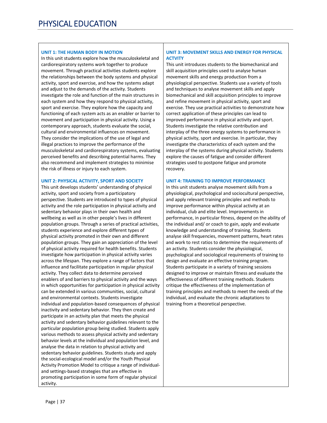# **UNIT 1: THE HUMAN BODY IN MOTION**

In this unit students explore how the musculoskeletal and cardiorespiratory systems work together to produce movement. Through practical activities students explore the relationships between the body systems and physical activity, sport and exercise, and how the systems adapt and adjust to the demands of the activity. Students investigate the role and function of the main structures in each system and how they respond to physical activity, sport and exercise. They explore how the capacity and functioning of each system acts as an enabler or barrier to movement and participation in physical activity. Using a contemporary approach, students evaluate the social, cultural and environmental influences on movement. They consider the implications of the use of legal and illegal practices to improve the performance of the musculoskeletal and cardiorespiratory systems, evaluating perceived benefits and describing potential harms. They also recommend and implement strategies to minimise the risk of illness or injury to each system.

# **UNIT 2: PHYSICAL ACTIVITY, SPORT AND SOCIETY**

This unit develops students' understanding of physical activity, sport and society from a participatory perspective. Students are introduced to types of physical activity and the role participation in physical activity and sedentary behavior plays in their own health and wellbeing as well as in other people's lives in different population groups. Through a series of practical activities, students experience and explore different types of physical activity promoted in their own and different population groups. They gain an appreciation of the level of physical activity required for health benefits. Students investigate how participation in physical activity varies across the lifespan. They explore a range of factors that influence and facilitate participation in regular physical activity. They collect data to determine perceived enablers of and barriers to physical activity and the ways in which opportunities for participation in physical activity can be extended in various communities, social, cultural and environmental contexts. Students investigate individual and population‐based consequences of physical inactivity and sedentary behavior. They then create and participate in an activity plan that meets the physical activity and sedentary behavior guidelines relevant to the particular population group being studied. Students apply various methods to assess physical activity and sedentary behavior levels at the individual and population level, and analyse the data in relation to physical activity and sedentary behavior guidelines. Students study and apply the social‐ecological model and/or the Youth Physical Activity Promotion Model to critique a range of individual‐ and settings‐based strategies that are effective in promoting participation in some form of regular physical activity.

# **UNIT 3: MOVEMENT SKILLS AND ENERGY FOR PHYSICAL ACTVITY**

This unit introduces students to the biomechanical and skill acquisition principles used to analyse human movement skills and energy production from a physiological perspective. Students use a variety of tools and techniques to analyse movement skills and apply biomechanical and skill acquisition principles to improve and refine movement in physical activity, sport and exercise. They use practical activities to demonstrate how correct application of these principles can lead to improved performance in physical activity and sport. Students investigate the relative contribution and interplay of the three energy systems to performance in physical activity, sport and exercise. In particular, they investigate the characteristics of each system and the interplay of the systems during physical activity. Students explore the causes of fatigue and consider different strategies used to postpone fatigue and promote recovery.

# **UNIT 4: TRAINING TO IMPROVE PERFORMANCE**

In this unit students analyse movement skills from a physiological, psychological and sociocultural perspective, and apply relevant training principles and methods to improve performance within physical activity at an individual, club and elite level. Improvements in performance, in particular fitness, depend on the ability of the individual and/ or coach to gain, apply and evaluate knowledge and understanding of training. Students analyse skill frequencies, movement patterns, heart rates and work to rest ratios to determine the requirements of an activity. Students consider the physiological, psychological and sociological requirements of training to design and evaluate an effective training program. Students participate in a variety of training sessions designed to improve or maintain fitness and evaluate the effectiveness of different training methods. Students critique the effectiveness of the implementation of training principles and methods to meet the needs of the individual, and evaluate the chronic adaptations to training from a theoretical perspective.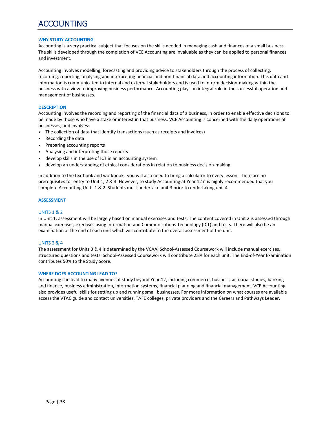# ACCOUNTING

### **WHY STUDY ACCOUNTING**

Accounting is a very practical subject that focuses on the skills needed in managing cash and finances of a small business. The skills developed through the completion of VCE Accounting are invaluable as they can be applied to personal finances and investment.

Accounting involves modelling, forecasting and providing advice to stakeholders through the process of collecting, recording, reporting, analysing and interpreting financial and non-financial data and accounting information. This data and information is communicated to internal and external stakeholders and is used to inform decision‐making within the business with a view to improving business performance. Accounting plays an integral role in the successful operation and management of businesses.

## **DESCRIPTION**

Accounting involves the recording and reporting of the financial data of a business, in order to enable effective decisions to be made by those who have a stake or interest in that business. VCE Accounting is concerned with the daily operations of businesses, and involves:

- The collection of data that identify transactions (such as receipts and invoices)
- Recording the data
- Preparing accounting reports
- Analysing and interpreting those reports
- develop skills in the use of ICT in an accounting system
- develop an understanding of ethical considerations in relation to business decision‐making

In addition to the textbook and workbook, you will also need to bring a calculator to every lesson. There are no prerequisites for entry to Unit 1, 2 & 3. However, to study Accounting at Year 12 it is highly recommended that you complete Accounting Units 1 & 2. Students must undertake unit 3 prior to undertaking unit 4.

## **ASSESSMENT**

### UNITS 1 & 2

In Unit 1, assessment will be largely based on manual exercises and tests. The content covered in Unit 2 is assessed through manual exercises, exercises using Information and Communications Technology (ICT) and tests. There will also be an examination at the end of each unit which will contribute to the overall assessment of the unit.

## UNITS 3 & 4

The assessment for Units 3 & 4 is determined by the VCAA. School-Assessed Coursework will include manual exercises, structured questions and tests. School‐Assessed Coursework will contribute 25% for each unit. The End‐of‐Year Examination contributes 50% to the Study Score.

## **WHERE DOES ACCOUNTING LEAD TO?**

Accounting can lead to many avenues of study beyond Year 12, including commerce, business, actuarial studies, banking and finance, business administration, information systems, financial planning and financial management. VCE Accounting also provides useful skills for setting up and running small businesses. For more information on what courses are available access the VTAC guide and contact universities, TAFE colleges, private providers and the Careers and Pathways Leader.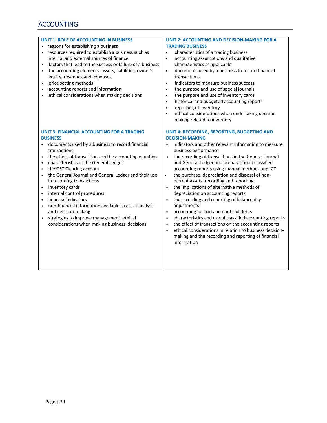# ACCOUNTING

- reasons for establishing a business
- resources required to establish a business such as internal and external sources of finance
- factors that lead to the success or failure of a business • the accounting elements: assets, liabilities, owner's
- equity, revenues and expenses
- price setting methods
- accounting reports and information
- ethical considerations when making decisions

#### **UNIT 3: FINANCIAL ACCOUNTING FOR A TRADING BUSINESS**

- documents used by a business to record financial transactions
- the effect of transactions on the accounting equation
- characteristics of the General Ledger
- the GST Clearing account
- the General Journal and General Ledger and their use in recording transactions
- inventory cards
- internal control procedures
- financial indicators
- non‐financial information available to assist analysis and decision‐making
- strategies to improve management ethical considerations when making business decisions

## **UNIT 2: ACCOUNTING AND DECISION‐MAKING FOR A TRADING BUSINESS**

- characteristics of a trading business
- accounting assumptions and qualitative characteristics as applicable
- documents used by a business to record financial transactions
- indicators to measure business success
- the purpose and use of special journals
- the purpose and use of inventory cards
- historical and budgeted accounting reports
- reporting of inventory
- ethical considerations when undertaking decisionmaking related to inventory.

### **UNIT 4: RECORDING, REPORTING, BUDGETING AND DECISION‐MAKING**

- indicators and other relevant information to measure business performance
- the recording of transactions in the General Journal and General Ledger and preparation of classified accounting reports using manual methods and ICT
- the purchase, depreciation and disposal of noncurrent assets: recording and reporting
- the implications of alternative methods of depreciation on accounting reports
- the recording and reporting of balance day adjustments
- accounting for bad and doubtful debts
- characteristics and use of classified accounting reports
- the effect of transactions on the accounting reports
- ethical considerations in relation to business decision- making and the recording and reporting of financial information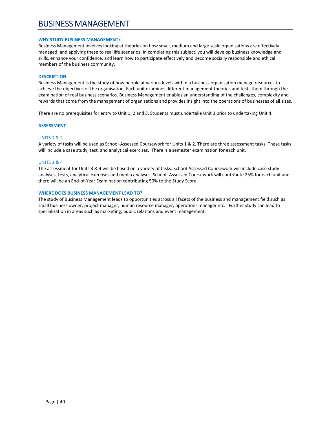# BUSINESS MANAGEMENT

#### **WHY STUDY BUSINESS MANAGEMENT?**

Business Management involves looking at theories on how small, medium and large scale organisations are effectively managed, and applying these to real life scenarios. In completing this subject, you will develop business knowledge and skills, enhance your confidence, and learn how to participate effectively and become socially responsible and ethical members of the business community.

#### **DESCRIPTION**

Business Management is the study of how people at various levels within a business organisation manage resources to achieve the objectives of the organisation. Each unit examines different management theories and tests them through the examination of real business scenarios. Business Management enables an understanding of the challenges, complexity and rewards that come from the management of organisations and provides insight into the operations of businesses of all sizes.

There are no prerequisites for entry to Unit 1, 2 and 3. Students must undertake Unit 3 prior to undertaking Unit 4.

#### **ASSESSMENT**

## UNITS 1 & 2

A variety of tasks will be used as School‐Assessed Coursework for Units 1 & 2. There are three assessment tasks. These tasks will include a case study, test, and analytical exercises. There is a semester examination for each unit.

#### UNITS 3 & 4

The assessment for Units 3 & 4 will be based on a variety of tasks. School‐Assessed Coursework will include case study analyses, tests, analytical exercises and media analyses. School‐ Assessed Coursework will contribute 25% for each unit and there will be an End‐of‐Year Examination contributing 50% to the Study Score.

#### **WHERE DOES BUSINESS MANAGEMENT LEAD TO?**

The study of Business Management leads to opportunities across all facets of the business and management field such as small business owner, project manager, human resource manager, operations manager etc. Further study can lead to specialization in areas such as marketing, public relations and event management.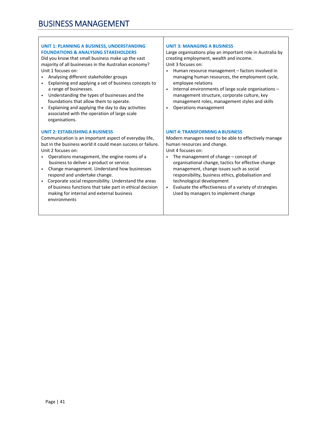# **UNIT 1: PLANNING A BUSINESS, UNDERSTANDING FOUNDATIONS & ANALYSING STAKEHOLDERS**

Did you know that small business make up the vast majority of all businesses in the Australian economy? Unit 1 focuses on:

- Analysing different stakeholder groups
- Explaining and applying a set of business concepts to a range of businesses.
- Understanding the types of businesses and the foundations that allow them to operate.
- Explaining and applying the day to day activities associated with the operation of large scale organisations.

# **UNIT 2: ESTABLISHING A BUSINESS**

Communication is an important aspect of everyday life, but in the business world it could mean success or failure. Unit 2 focuses on:

- Operations management, the engine rooms of a business to deliver a product or service.
- Change management. Understand how businesses respond and undertake change.
- Corporate social responsibility. Understand the areas of business functions that take part in ethical decision making for internal and external business environments

## **UNIT 3: MANAGING A BUSINESS**

Large organisations play an important role in Australia by creating employment, wealth and income. Unit 3 focuses on:

- Human resource management factors involved in managing human resources, the employment cycle, employee relations
- Internal environments of large scale organisations management structure, corporate culture, key management roles, management styles and skills
- Operations management

## **UNIT 4: TRANSFORMING A BUSINESS**

Modern managers need to be able to effectively manage human resources and change.

Unit 4 focuses on:

- The management of change concept of organisational change, tactics for effective change management, change issues such as social responsibility, business ethics, globalisation and technological development
- Evaluate the effectiveness of a variety of strategies Used by managers to implement change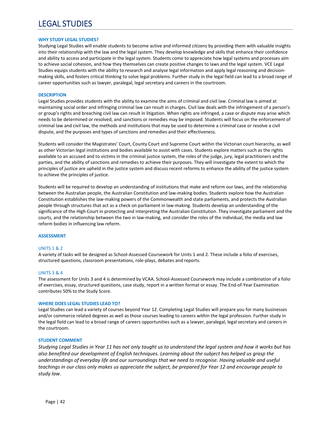# LEGAL STUDIES

#### **WHY STUDY LEGAL STUDIES?**

Studying Legal Studies will enable students to become active and informed citizens by providing them with valuable insights into their relationship with the law and the legal system. They develop knowledge and skills that enhance their confidence and ability to access and participate in the legal system. Students come to appreciate how legal systems and processes aim to achieve social cohesion, and how they themselves can create positive changes to laws and the legal system. VCE Legal Studies equips students with the ability to research and analyse legal information and apply legal reasoning and decisionmaking skills, and fosters critical thinking to solve legal problems. Further study in the legal field can lead to a broad range of career opportunities such as lawyer, paralegal, legal secretary and careers in the courtroom.

#### **DESCRIPTION**

Legal Studies provides students with the ability to examine the aims of criminal and civil law. Criminal law is aimed at maintaining social order and infringing criminal law can result in charges. Civil law deals with the infringement of a person's or group's rights and breaching civil law can result in litigation. When rights are infringed, a case or dispute may arise which needs to be determined or resolved, and sanctions or remedies may be imposed. Students will focus on the enforcement of criminal law and civil law, the methods and institutions that may be used to determine a criminal case or resolve a civil dispute, and the purposes and types of sanctions and remedies and their effectiveness.

Students will consider the Magistrates' Court, County Court and Supreme Court within the Victorian court hierarchy, as well as other Victorian legal institutions and bodies available to assist with cases. Students explore matters such as the rights available to an accused and to victims in the criminal justice system, the roles of the judge, jury, legal practitioners and the parties, and the ability of sanctions and remedies to achieve their purposes. They will investigate the extent to which the principles of justice are upheld in the justice system and discuss recent reforms to enhance the ability of the justice system to achieve the principles of justice.

Students will be required to develop an understanding of institutions that make and reform our laws, and the relationship between the Australian people, the Australian Constitution and law-making bodies. Students explore how the Australian Constitution establishes the law‐making powers of the Commonwealth and state parliaments, and protects the Australian people through structures that act as a check on parliament in law‐making. Students develop an understanding of the significance of the High Court in protecting and interpreting the Australian Constitution. They investigate parliament and the courts, and the relationship between the two in law-making, and consider the roles of the individual, the media and law reform bodies in influencing law reform.

#### **ASSESSMENT**

## UNITS 1 & 2

A variety of tasks will be designed as School‐Assessed Coursework for Units 1 and 2. These include a folio of exercises, structured questions, classroom presentations, role‐plays, debates and reports.

#### UNITS 3 & 4

The assessment for Units 3 and 4 is determined by VCAA. School‐Assessed Coursework may include a combination of a folio of exercises, essay, structured questions, case study, report in a written format or essay. The End‐of‐Year Examination contributes 50% to the Study Score.

#### **WHERE DOES LEGAL STUDIES LEAD TO?**

Legal Studies can lead a variety of courses beyond Year 12. Completing Legal Studies will prepare you for many businesses and/or commerce related degrees as well as those courses leading to careers within the legal profession. Further study in the legal field can lead to a broad range of careers opportunities such as a lawyer, paralegal, legal secretary and careers in the courtroom.

## **STUDENT COMMENT**

*Studying Legal Studies in Year 11 has not only taught us to understand the legal system and how it works but has also benefited our development of English techniques. Learning about the subject has helped us grasp the understandings of everyday life and our surroundings that we need to recognise. Having valuable and useful teachings in our class only makes us appreciate the subject, be prepared for Year 12 and encourage people to study law.*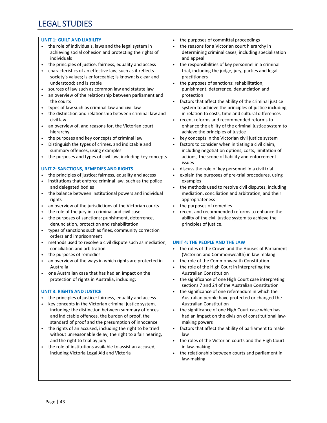# LEGAL STUDIES

### **UNIT 1: GUILT AND LIABILITY**

- the role of individuals, laws and the legal system in achieving social cohesion and protecting the rights of individuals
- the principles of justice: fairness, equality and access
- characteristics of an effective law, such as it reflects society's values; is enforceable; is known; is clear and understood; and is stable
- sources of law such as common law and statute law
- an overview of the relationship between parliament and the courts
- types of law such as criminal law and civil law
- the distinction and relationship between criminal law and civil law
- an overview of, and reasons for, the Victorian court hierarchy.
- the purposes and key concepts of criminal law
- Distinguish the types of crimes, and indictable and summary offences, using examples
- the purposes and types of civil law, including key concepts

## **UNIT 2: SANCTIONS, REMEDIES AND RIGHTS**

- the principles of justice: fairness, equality and access
- institutions that enforce criminal law, such as the police and delegated bodies
- the balance between institutional powers and individual rights
- an overview of the jurisdictions of the Victorian courts
- the role of the jury in a criminal and civil case
- the purposes of sanctions: punishment, deterrence, denunciation, protection and rehabilitation
- types of sanctions such as fines, community correction orders and imprisonment
- methods used to resolve a civil dispute such as mediation, conciliation and arbitration
- the purposes of remedies
- an overview of the ways in which rights are protected in Australia
- one Australian case that has had an impact on the protection of rights in Australia, including:

## **UNIT 3: RIGHTS AND JUSTICE**

- the principles of justice: fairness, equality and access
- key concepts in the Victorian criminal justice system, including: the distinction between summary offences and indictable offences, the burden of proof, the standard of proof and the presumption of innocence
- the rights of an accused, including the right to be tried without unreasonable delay, the right to a fair hearing, and the right to trial by jury
- the role of institutions available to assist an accused, including Victoria Legal Aid and Victoria
- the purposes of committal proceedings
- the reasons for a Victorian court hierarchy in determining criminal cases, including specialisation and appeal
- the responsibilities of key personnel in a criminal trial, including the judge, jury, parties and legal practitioners
- the purposes of sanctions: rehabilitation, punishment, deterrence, denunciation and protection
- factors that affect the ability of the criminal justice system to achieve the principles of justice including in relation to costs, time and cultural differences
- recent reforms and recommended reforms to enhance the ability of the criminal justice system to achieve the principles of justice
- key concepts in the Victorian civil justice system
- factors to consider when initiating a civil claim, including negotiation options, costs, limitation of actions, the scope of liability and enforcement issues
- discuss the role of key personnel in a civil trial
- explain the purposes of pre-trial procedures, using examples
- the methods used to resolve civil disputes, including mediation, conciliation and arbitration, and their appropriateness
- the purposes of remedies
- recent and recommended reforms to enhance the ability of the civil justice system to achieve the principles of justice.

## **UNIT 4: THE PEOPLE AND THE LAW**

- the roles of the Crown and the Houses of Parliament (Victorian and Commonwealth) in law‐making
- the role of the Commonwealth Constitution
- the role of the High Court in interpreting the Australian Constitution
- the significance of one High Court case interpreting sections 7 and 24 of the Australian Constitution
- the significance of one referendum in which the Australian people have protected or changed the Australian Constitution
- the significance of one High Court case which has had an impact on the division of constitutional law‐ making powers
- factors that affect the ability of parliament to make law
- the roles of the Victorian courts and the High Court in law‐making
- the relationship between courts and parliament in law‐making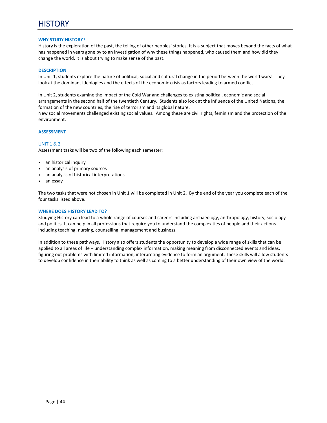### **WHY STUDY HISTORY?**

History is the exploration of the past, the telling of other peoples' stories. It is a subject that moves beyond the facts of what has happened in years gone by to an investigation of why these things happened, who caused them and how did they change the world. It is about trying to make sense of the past.

#### **DESCRIPTION**

In Unit 1, students explore the nature of political, social and cultural change in the period between the world wars! They look at the dominant ideologies and the effects of the economic crisis as factors leading to armed conflict.

In Unit 2, students examine the impact of the Cold War and challenges to existing political, economic and social arrangements in the second half of the twentieth Century. Students also look at the influence of the United Nations, the formation of the new countries, the rise of terrorism and its global nature. New social movements challenged existing social values. Among these are civil rights, feminism and the protection of the environment.

#### **ASSESSMENT**

#### UNIT 1 & 2

Assessment tasks will be two of the following each semester:

- an historical inquiry
- an analysis of primary sources
- an analysis of historical interpretations
- an essay

The two tasks that were not chosen in Unit 1 will be completed in Unit 2. By the end of the year you complete each of the four tasks listed above.

#### **WHERE DOES HISTORY LEAD TO?**

Studying History can lead to a whole range of courses and careers including archaeology, anthropology, history, sociology and politics. It can help in all professions that require you to understand the complexities of people and their actions including teaching, nursing, counselling, management and business.

In addition to these pathways, History also offers students the opportunity to develop a wide range of skills that can be applied to all areas of life – understanding complex information, making meaning from disconnected events and ideas, figuring out problems with limited information, interpreting evidence to form an argument. These skills will allow students to develop confidence in their ability to think as well as coming to a better understanding of their own view of the world.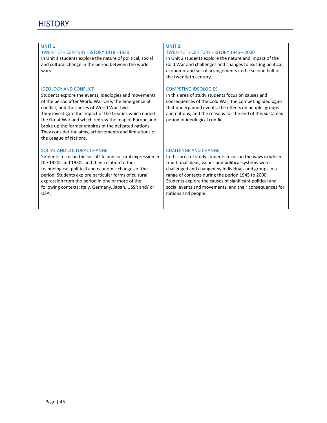# **UNIT 1:**

## TWENTIETH CENTURY HISTORY 1918 ‐ 1939

In Unit 1 students explore the nature of political, social and cultural change in the period between the world wars.

### IDEOLOGY AND CONFLICT

Students explore the events, ideologies and movements of the period after World War One; the emergence of conflict; and the causes of World War Two. They investigate the impact of the treaties which ended the Great War and which redrew the map of Europe and broke up the former empires of the defeated nations. They consider the aims, achievements and limitations of the League of Nations.

#### SOCIAL AND CULTURAL CHANGE

Students focus on the social life and cultural expression in the 1920s and 1930s and their relation to the technological, political and economic changes of the period. Students explore particular forms of cultural expression from the period in one or more of the following contexts: Italy, Germany, Japan, USSR and/ or USA.

# **UNIT 2:**

## TWENTIETH CENTURY HISTORY 1945 – 2000

In Unit 2 students explore the nature and impact of the Cold War and challenges and changes to existing political, economic and social arrangements in the second half of the twentieth century.

#### COMPETING IDEOLOGIES

In this area of study students focus on causes and consequences of the Cold War; the competing ideologies that underpinned events, the effects on people, groups and nations, and the reasons for the end of this sustained period of ideological conflict.

#### CHALLENGE AND CHANGE

In this area of study students focus on the ways in which traditional ideas, values and political systems were challenged and changed by individuals and groups in a range of contexts during the period 1945 to 2000. Students explore the causes of significant political and social events and movements, and their consequences for nations and people.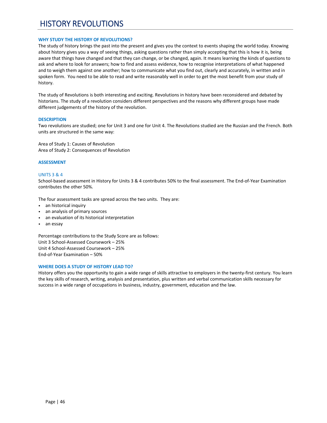# HISTORY REVOLUTIONS

### **WHY STUDY THE HISTORY OF REVOLUTIONS?**

The study of history brings the past into the present and gives you the context to events shaping the world today. Knowing about history gives you a way of seeing things, asking questions rather than simply accepting that this is how it is, being aware that things have changed and that they can change, or be changed, again. It means learning the kinds of questions to ask and where to look for answers; how to find and assess evidence, how to recognise interpretations of what happened and to weigh them against one another; how to communicate what you find out, clearly and accurately, in written and in spoken form. You need to be able to read and write reasonably well in order to get the most benefit from your study of history.

The study of Revolutions is both interesting and exciting. Revolutions in history have been reconsidered and debated by historians. The study of a revolution considers different perspectives and the reasons why different groups have made different judgements of the history of the revolution.

#### **DESCRIPTION**

Two revolutions are studied; one for Unit 3 and one for Unit 4. The Revolutions studied are the Russian and the French. Both units are structured in the same way:

Area of Study 1: Causes of Revolution Area of Study 2: Consequences of Revolution

#### **ASSESSMENT**

#### UNITS 3 & 4

School‐based assessment in History for Units 3 & 4 contributes 50% to the final assessment. The End‐of‐Year Examination contributes the other 50%.

The four assessment tasks are spread across the two units. They are:

- an historical inquiry
- an analysis of primary sources
- an evaluation of its historical interpretation
- an essay

Percentage contributions to the Study Score are as follows: Unit 3 School‐Assessed Coursework – 25% Unit 4 School‐Assessed Coursework – 25% End‐of‐Year Examination – 50%

#### **WHERE DOES A STUDY OF HISTORY LEAD TO?**

History offers you the opportunity to gain a wide range of skills attractive to employers in the twenty-first century. You learn the key skills of research, writing, analysis and presentation, plus written and verbal communication skills necessary for success in a wide range of occupations in business, industry, government, education and the law.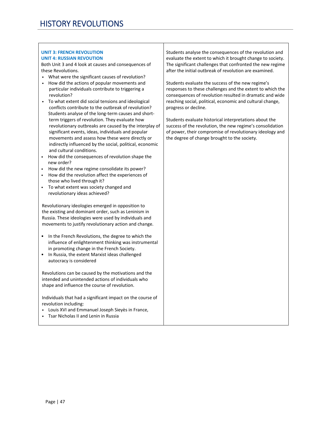# **UNIT 3: FRENCH REVOLUTION UNIT 4: RUSSIAN REVOUTION**

Both Unit 3 and 4 look at causes and consequences of these Revolutions.

- What were the significant causes of revolution?
- How did the actions of popular movements and particular individuals contribute to triggering a revolution?
- To what extent did social tensions and ideological conflicts contribute to the outbreak of revolution? Students analyse of the long-term causes and shortterm triggers of revolution. They evaluate how revolutionary outbreaks are caused by the interplay of significant events, ideas, individuals and popular movements and assess how these were directly or indirectly influenced by the social, political, economic and cultural conditions.
- How did the consequences of revolution shape the new order?
- How did the new regime consolidate its power?
- How did the revolution affect the experiences of those who lived through it?
- To what extent was society changed and revolutionary ideas achieved?

Revolutionary ideologies emerged in opposition to the existing and dominant order, such as Leninism in Russia. These ideologies were used by individuals and movements to justify revolutionary action and change.

- In the French Revolutions, the degree to which the influence of enlightenment thinking was instrumental in promoting change in the French Society.
- In Russia, the extent Marxist ideas challenged autocracy is considered

Revolutions can be caused by the motivations and the intended and unintended actions of individuals who shape and influence the course of revolution.

Individuals that had a significant impact on the course of revolution including:

- Louis XVI and Emmanuel Joseph Sieyès in France,
- Tsar Nicholas II and Lenin in Russia

Students analyse the consequences of the revolution and evaluate the extent to which it brought change to society. The significant challenges that confronted the new regime after the initial outbreak of revolution are examined.

Students evaluate the success of the new regime's responses to these challenges and the extent to which the consequences of revolution resulted in dramatic and wide reaching social, political, economic and cultural change, progress or decline.

Students evaluate historical interpretations about the success of the revolution, the new regime's consolidation of power, their compromise of revolutionary ideology and the degree of change brought to the society.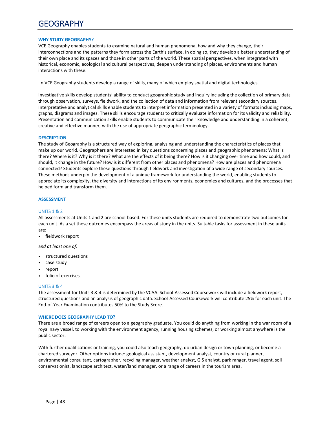# **GEOGRAPHY**

#### **WHY STUDY GEOGRAPHY?**

VCE Geography enables students to examine natural and human phenomena, how and why they change, their interconnections and the patterns they form across the Earth's surface. In doing so, they develop a better understanding of their own place and its spaces and those in other parts of the world. These spatial perspectives, when integrated with historical, economic, ecological and cultural perspectives, deepen understanding of places, environments and human interactions with these.

In VCE Geography students develop a range of skills, many of which employ spatial and digital technologies.

Investigative skills develop students' ability to conduct geographic study and inquiry including the collection of primary data through observation, surveys, fieldwork, and the collection of data and information from relevant secondary sources. Interpretative and analytical skills enable students to interpret information presented in a variety of formats including maps, graphs, diagrams and images. These skills encourage students to critically evaluate information for its validity and reliability. Presentation and communication skills enable students to communicate their knowledge and understanding in a coherent, creative and effective manner, with the use of appropriate geographic terminology.

#### **DESCRIPTION**

The study of Geography is a structured way of exploring, analysing and understanding the characteristics of places that make up our world. Geographers are interested in key questions concerning places and geographic phenomena: What is there? Where is it? Why is it there? What are the effects of it being there? How is it changing over time and how could, and should, it change in the future? How is it different from other places and phenomena? How are places and phenomena connected? Students explore these questions through fieldwork and investigation of a wide range of secondary sources. These methods underpin the development of a unique framework for understanding the world, enabling students to appreciate its complexity, the diversity and interactions of its environments, economies and cultures, and the processes that helped form and transform them.

## **ASSESSMENT**

#### UNITS 1 & 2

All assessments at Units 1 and 2 are school‐based. For these units students are required to demonstrate two outcomes for each unit. As a set these outcomes encompass the areas of study in the units. Suitable tasks for assessment in these units are:

fieldwork report

a*nd at least one of:* 

- structured questions
- case study
- report
- folio of exercises.

#### UNITS 3 & 4

The assessment for Units 3 & 4 is determined by the VCAA. School-Assessed Coursework will include a fieldwork report, structured questions and an analysis of geographic data. School‐Assessed Coursework will contribute 25% for each unit. The End‐of‐Year Examination contributes 50% to the Study Score.

#### **WHERE DOES GEOGRAPHY LEAD TO?**

There are a broad range of careers open to a geography graduate. You could do anything from working in the war room of a royal navy vessel, to working with the environment agency, running housing schemes, or working almost anywhere is the public sector.

With further qualifications or training, you could also teach geography, do urban design or town planning, or become a chartered surveyor. Other options include: geological assistant, development analyst, country or rural planner, environmental consultant, cartographer, recycling manager, weather analyst, GIS analyst, park ranger, travel agent, soil conservationist, landscape architect, water/land manager, or a range of careers in the tourism area.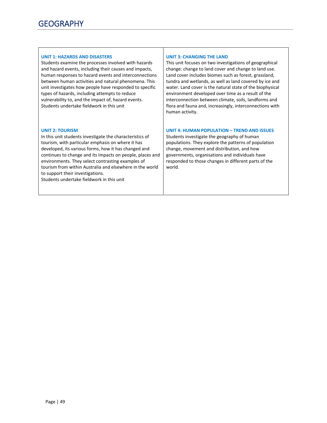### **UNIT 1: HAZARDS AND DISASTERS**

Students examine the processes involved with hazards and hazard events, including their causes and impacts, human responses to hazard events and interconnections between human activities and natural phenomena. This unit investigates how people have responded to specific types of hazards, including attempts to reduce vulnerability to, and the impact of, hazard events. Students undertake fieldwork in this unit

# **UNIT 2: TOURISM**

In this unit students investigate the characteristics of tourism, with particular emphasis on where it has developed, its various forms, how it has changed and continues to change and its impacts on people, places and environments. They select contrasting examples of tourism from within Australia and elsewhere in the world to support their investigations.

Students undertake fieldwork in this unit

## **UNIT 3: CHANGING THE LAND**

This unit focuses on two investigations of geographical change: change to land cover and change to land use. Land cover includes biomes such as forest, grassland, tundra and wetlands, as well as land covered by ice and water. Land cover is the natural state of the biophysical environment developed over time as a result of the interconnection between climate, soils, landforms and flora and fauna and, increasingly, interconnections with human activity.

# **UNIT 4: HUMAN POPULATION – TREND AND ISSUES**

Students investigate the geography of human populations. They explore the patterns of population change, movement and distribution, and how governments, organisations and individuals have responded to those changes in different parts of the world.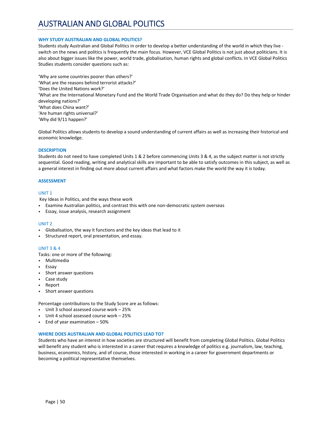# AUSTRALIAN AND GLOBAL POLITICS

### **WHY STUDY AUSTRALIAN AND GLOBAL POLITICS?**

Students study Australian and Global Politics in order to develop a better understanding of the world in which they live ‐ switch on the news and politics is frequently the main focus. However, VCE Global Politics is not just about politicians. It is also about bigger issues like the power, world trade, globalisation, human rights and global conflicts. In VCE Global Politics Studies students consider questions such as:

'Why are some countries poorer than others?' 'What are the reasons behind terrorist attacks?' 'Does the United Nations work?' 'What are the International Monetary Fund and the World Trade Organisation and what do they do? Do they help or hinder developing nations?' 'What does China want?' 'Are human rights universal?' 'Why did 9/11 happen?'

Global Politics allows students to develop a sound understanding of current affairs as well as increasing their historical and economic knowledge.

#### **DESCRIPTION**

Students do not need to have completed Units 1 & 2 before commencing Units 3 & 4, as the subject matter is not strictly sequential. Good reading, writing and analytical skills are important to be able to satisfy outcomes in this subject, as well as a general interest in finding out more about current affairs and what factors make the world the way it is today.

#### **ASSESSMENT**

#### UNIT 1

Key Ideas in Politics, and the ways these work

- Examine Australian politics, and contrast this with one non-democratic system overseas
- Essay, issue analysis, research assignment

#### UNIT 2

- Globalisation, the way it functions and the key ideas that lead to it
- Structured report, oral presentation, and essay.

## UNIT 3 & 4

Tasks: one or more of the following:

- Multimedia
- Essay
- Short answer questions
- Case study
- Report
- Short answer questions

Percentage contributions to the Study Score are as follows:

- Unit 3 school assessed course work 25%
- Unit 4 school assessed course work 25%
- End of year examination 50%

#### **WHERE DOES AUSTRALIAN AND GLOBAL POLITICS LEAD TO?**

Students who have an interest in how societies are structured will benefit from completing Global Politics. Global Politics will benefit any student who is interested in a career that requires a knowledge of politics e.g. journalism, law, teaching, business, economics, history, and of course, those interested in working in a career for government departments or becoming a political representative themselves.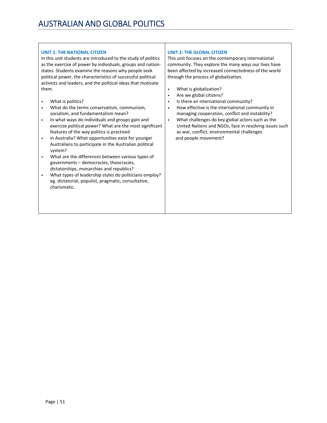# **UNIT 1: THE NATIONAL CITIZEN**

In this unit students are introduced to the study of politics as the exercise of power by individuals, groups and nation‐ states. Students examine the reasons why people seek political power, the characteristics of successful political activists and leaders, and the political ideas that motivate them.

- What is politics?
- What do the terms conservatism, communism, socialism, and fundamentalism mean?
- In what ways do individuals and groups gain and exercise political power? What are the most significant features of the way politics is practised
- in Australia? What opportunities exist for younger Australians to participate in the Australian political system?
- What are the differences between various types of governments – democracies, theocracies, dictatorships, monarchies and republics?
- What types of leadership styles do politicians employ? eg. dictatorial, populist, pragmatic, consultative, charismatic.

# **UNIT 2: THE GLOBAL CITIZEN**

This unit focuses on the contemporary international community. They explore the many ways our lives have been affected by increased connectedness of the world through the process of globalization.

- What is globalization?
- Are we global citizens?
- Is there an international community?
- How effective is the international community in managing cooperation, conflict and instability?
- What challenges do key global actors such as the United Nations and NGOs, face in resolving issues such as war, conflict, environmental challenges and people movement?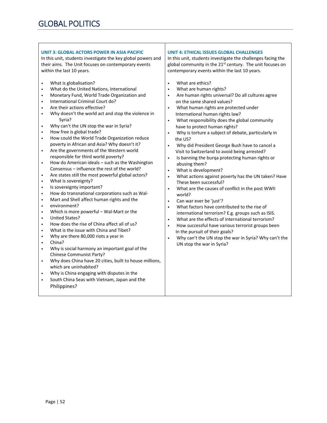| <b>UNIT 3: GLOBAL ACTORS POWER IN ASIA PACIFIC</b>                                                           | <b>UNIT 4: ETHICAL ISSUES GLOBAL CHALLENGES</b>                        |
|--------------------------------------------------------------------------------------------------------------|------------------------------------------------------------------------|
| In this unit, students investigate the key global powers and                                                 | In this unit, students investigate the challenges facing the           |
| their aims. The Unit focuses on contemporary events                                                          | global community in the 21 <sup>st</sup> century. The unit focuses on  |
| within the last 10 years.                                                                                    | contemporary events within the last 10 years.                          |
|                                                                                                              |                                                                        |
| What is globalisation?<br>$\bullet$                                                                          | What are ethics?<br>$\bullet$                                          |
| What do the United Nations, International<br>$\bullet$                                                       | What are human rights?<br>$\bullet$                                    |
| Monetary Fund, World Trade Organization and<br>$\bullet$                                                     | Are human rights universal? Do all cultures agree<br>$\bullet$         |
| International Criminal Court do?<br>$\bullet$                                                                | on the same shared values?                                             |
| Are their actions effective?<br>$\bullet$                                                                    | What human rights are protected under<br>$\bullet$                     |
| Why doesn't the world act and stop the violence in<br>$\bullet$                                              | International human rights law?                                        |
| Syria?                                                                                                       | What responsibility does the global community<br>$\bullet$             |
| Why can't the UN stop the war in Syria?<br>$\bullet$                                                         | have to protect human rights?                                          |
| How free is global trade?<br>$\bullet$                                                                       | Why is torture a subject of debate, particularly in<br>$\bullet$       |
| How could the World Trade Organization reduce<br>$\bullet$                                                   | the US?                                                                |
| poverty in African and Asia? Why doesn't it?                                                                 | Why did President George Bush have to cancel a<br>$\bullet$            |
| Are the governments of the Western world<br>$\bullet$                                                        | Visit to Switzerland to avoid being arrested?                          |
| responsible for third world poverty?                                                                         | Is banning the burqa protecting human rights or<br>$\bullet$           |
| How do American ideals - such as the Washington<br>$\bullet$<br>Consensus - influence the rest of the world? | abusing them?                                                          |
| Are states still the most powerful global actors?<br>$\bullet$                                               | What is development?<br>$\bullet$                                      |
| What is sovereignty?<br>$\bullet$                                                                            | What actions against poverty has the UN taken? Have<br>$\bullet$       |
| Is sovereignty important?<br>$\bullet$                                                                       | These been successful?                                                 |
| How do transnational corporations such as Wal-<br>$\bullet$                                                  | What are the causes of conflict in the post WWII<br>$\bullet$          |
| Mart and Shell affect human rights and the<br>$\bullet$                                                      | world?<br>Can war ever be 'just'?                                      |
| environment?<br>$\bullet$                                                                                    | $\bullet$<br>What factors have contributed to the rise of<br>$\bullet$ |
| Which is more powerful - Wal-Mart or the<br>$\bullet$                                                        | international terrorism? E.g. groups such as ISIS.                     |
| <b>United States?</b><br>$\bullet$                                                                           | What are the effects of international terrorism?<br>$\bullet$          |
| How does the rise of China affect all of us?<br>$\bullet$                                                    | How successful have various terrorist groups been<br>$\bullet$         |
| What is the issue with China and Tibet?<br>$\bullet$                                                         | In the pursuit of their goals?                                         |
| Why are there 80,000 riots a year in<br>$\bullet$                                                            | Why can't the UN stop the war in Syria? Why can't the<br>$\bullet$     |
| China?<br>$\bullet$                                                                                          | UN stop the war in Syria?                                              |
| Why is social harmony an important goal of the<br>$\bullet$                                                  |                                                                        |
| Chinese Communist Party?                                                                                     |                                                                        |
| Why does China have 20 cities, built to house millions,<br>$\bullet$                                         |                                                                        |
| which are uninhabited?                                                                                       |                                                                        |
| Why is China engaging with disputes in the<br>$\bullet$                                                      |                                                                        |
| South China Seas with Vietnam, Japan and the<br>$\bullet$                                                    |                                                                        |
| Philippines?                                                                                                 |                                                                        |
|                                                                                                              |                                                                        |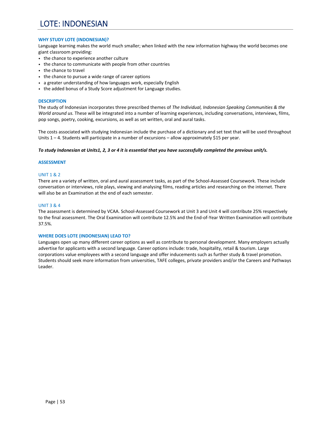# LOTE: INDONESIAN

## **WHY STUDY LOTE (INDONESIAN)?**

Language learning makes the world much smaller; when linked with the new information highway the world becomes one giant classroom providing:

- the chance to experience another culture
- the chance to communicate with people from other countries
- the chance to travel
- the chance to pursue a wide range of career options
- a greater understanding of how languages work, especially English
- the added bonus of a Study Score adjustment for Language studies.

## **DESCRIPTION**

The study of Indonesian incorporates three prescribed themes of *The Individual, Indonesian Speaking Communities & the World around us.* These will be integrated into a number of learning experiences, including conversations, interviews, films, pop songs, poetry, cooking, excursions, as well as set written, oral and aural tasks.

The costs associated with studying Indonesian include the purchase of a dictionary and set text that will be used throughout Units  $1 - 4$ . Students will participate in a number of excursions – allow approximately \$15 per year.

#### *To study Indonesian at Units1, 2, 3 or 4 it is essential that you have successfully completed the previous unit/s.*

## **ASSESSMENT**

## UNIT 1 & 2

There are a variety of written, oral and aural assessment tasks, as part of the School‐Assessed Coursework. These include conversation or interviews, role plays, viewing and analysing films, reading articles and researching on the internet. There will also be an Examination at the end of each semester.

## UNIT 3 & 4

The assessment is determined by VCAA. School‐Assessed Coursework at Unit 3 and Unit 4 will contribute 25% respectively to the final assessment. The Oral Examination will contribute 12.5% and the End‐of‐Year Written Examination will contribute 37.5%.

## **WHERE DOES LOTE (INDONESIAN) LEAD TO?**

Languages open up many different career options as well as contribute to personal development. Many employers actually advertise for applicants with a second language. Career options include: trade, hospitality, retail & tourism. Large corporations value employees with a second language and offer inducements such as further study & travel promotion. Students should seek more information from universities, TAFE colleges, private providers and/or the Careers and Pathways Leader.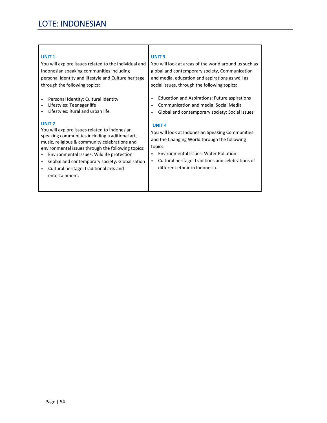# LOTE: INDONESIAN

# **UNIT 1**

You will explore issues related to the Individual and Indonesian speaking communities including personal identity and lifestyle and Culture heritage through the following topics:

- Personal Identity: Cultural Identity
- Lifestyles: Teenager life
- Lifestyles: Rural and urban life

# **UNIT 2**

You will explore issues related to Indonesian speaking communities including traditional art, music, religious & community celebrations and environmental issues through the following topics:

- Environmental Issues: Wildlife protection
- Global and contemporary society: Globalisation
- Cultural heritage: traditional arts and entertainment.

# **UNIT 3**

You will look at areas of the world around us such as global and contemporary society, Communication and media, education and aspirations as well as social issues, through the following topics:

- Education and Aspirations: Future aspirations
- Communication and media: Social Media
- Global and contemporary society: Social Issues

# **UNIT 4**

You will look at Indonesian Speaking Communities and the Changing World through the following topics:

- Environmental Issues: Water Pollution
- Cultural heritage: traditions and celebrations of different ethnic in Indonesia.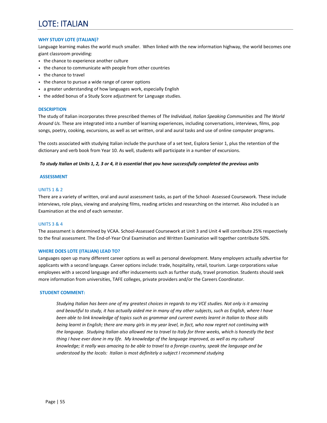# LOTE: ITALIAN

### **WHY STUDY LOTE (ITALIAN)?**

Language learning makes the world much smaller. When linked with the new information highway, the world becomes one giant classroom providing:

- the chance to experience another culture
- the chance to communicate with people from other countries
- the chance to travel
- the chance to pursue a wide range of career options
- a greater understanding of how languages work, especially English
- the added bonus of a Study Score adjustment for Language studies.

#### **DESCRIPTION**

The study of Italian incorporates three prescribed themes of *The Individual, Italian Speaking Communities* and *The World Around Us.* These are integrated into a number of learning experiences, including conversations, interviews, films, pop songs, poetry, cooking, excursions, as well as set written, oral and aural tasks and use of online computer programs.

The costs associated with studying Italian include the purchase of a set text, Esplora Senior 1, plus the retention of the dictionary and verb book from Year 10. As well, students will participate in a number of excursions.

#### *To study Italian at Units 1, 2, 3 or 4, it is essential that you have successfully completed the previous units*

#### **ASSESSMENT**

#### UNITS 1 & 2

There are a variety of written, oral and aural assessment tasks, as part of the School‐ Assessed Coursework. These include interviews, role plays, viewing and analysing films, reading articles and researching on the internet. Also included is an Examination at the end of each semester.

#### UNITS 3 & 4

The assessment is determined by VCAA. School‐Assessed Coursework at Unit 3 and Unit 4 will contribute 25% respectively to the final assessment. The End-of-Year Oral Examination and Written Examination will together contribute 50%.

#### **WHERE DOES LOTE (ITALIAN) LEAD TO?**

Languages open up many different career options as well as personal development. Many employers actually advertise for applicants with a second language. Career options include: trade, hospitality, retail, tourism. Large corporations value employees with a second language and offer inducements such as further study, travel promotion. Students should seek more information from universities, TAFE colleges, private providers and/or the Careers Coordinator.

#### **STUDENT COMMENT:**

*Studying Italian has been one of my greatest choices in regards to my VCE studies. Not only is it amazing and beautiful to study, it has actually aided me in many of my other subjects, such as English, where I have been able to link knowledge of topics such as grammar and current events learnt in Italian to those skills being learnt in English; there are many girls in my year level, in fact, who now regret not continuing with the language. Studying Italian also allowed me to travel to Italy for three weeks, which is honestly the best thing I have ever done in my life. My knowledge of the language improved, as well as my cultural knowledge; it really was amazing to be able to travel to a foreign country, speak the language and be understood by the locals: Italian is most definitely a subject I recommend studying*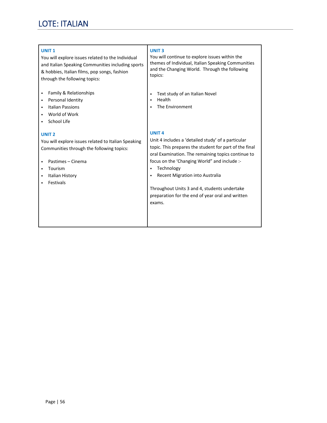# LOTE: ITALIAN

# **UNIT 1**

You will explore issues related to the Individual and Italian Speaking Communities including sports & hobbies, Italian films, pop songs, fashion through the following topics:

- Family & Relationships
- Personal Identity
- Italian Passions
- World of Work
- School Life

# **UNIT 2**

You will explore issues related to Italian Speaking Communities through the following topics:

- Pastimes Cinema
- Tourism
- Italian History
- Festivals

# **UNIT 3**

You will continue to explore issues within the themes of Individual, Italian Speaking Communities and the Changing World. Through the following topics:

- Text study of an Italian Novel
- Health
- The Environment

# **UNIT 4**

Unit 4 includes a 'detailed study' of a particular topic. This prepares the student for part of the final oral Examination. The remaining topics continue to focus on the 'Changing World" and include :‐

- Technology
- Recent Migration into Australia

Throughout Units 3 and 4, students undertake preparation for the end of year oral and written exams.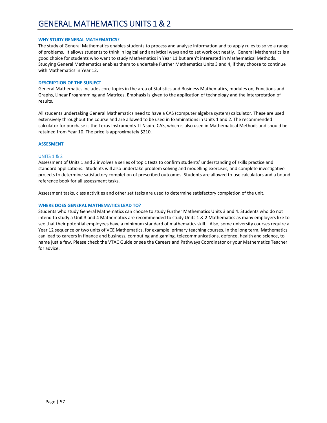### **WHY STUDY GENERAL MATHEMATICS?**

The study of General Mathematics enables students to process and analyse information and to apply rules to solve a range of problems. It allows students to think in logical and analytical ways and to set work out neatly. General Mathematics is a good choice for students who want to study Mathematics in Year 11 but aren't interested in Mathematical Methods. Studying General Mathematics enables them to undertake Further Mathematics Units 3 and 4, if they choose to continue with Mathematics in Year 12.

### **DESCRIPTION OF THE SUBJECT**

General Mathematics includes core topics in the area of Statistics and Business Mathematics, modules on, Functions and Graphs, Linear Programming and Matrices. Emphasis is given to the application of technology and the interpretation of results.

All students undertaking General Mathematics need to have a CAS (computer algebra system) calculator. These are used extensively throughout the course and are allowed to be used in Examinations in Units 1 and 2. The recommended calculator for purchase is the Texas Instruments TI‐Nspire CAS, which is also used in Mathematical Methods and should be retained from Year 10. The price is approximately \$210.

#### **ASSESMENT**

## UNITS 1 & 2

Assessment of Units 1 and 2 involves a series of topic tests to confirm students' understanding of skills practice and standard applications. Students will also undertake problem solving and modelling exercises, and complete investigative projects to determine satisfactory completion of prescribed outcomes. Students are allowed to use calculators and a bound reference book for all assessment tasks.

Assessment tasks, class activities and other set tasks are used to determine satisfactory completion of the unit.

#### **WHERE DOES GENERAL MATHEMATICS LEAD TO?**

Students who study General Mathematics can choose to study Further Mathematics Units 3 and 4. Students who do not intend to study a Unit 3 and 4 Mathematics are recommended to study Units 1 & 2 Mathematics as many employers like to see that their potential employees have a minimum standard of mathematics skill. Also, some university courses require a Year 12 sequence or two units of VCE Mathematics, for example primary teaching courses. In the long term, Mathematics can lead to careers in finance and business, computing and gaming, telecommunications, defence, health and science, to name just a few. Please check the VTAC Guide or see the Careers and Pathways Coordinator or your Mathematics Teacher for advice.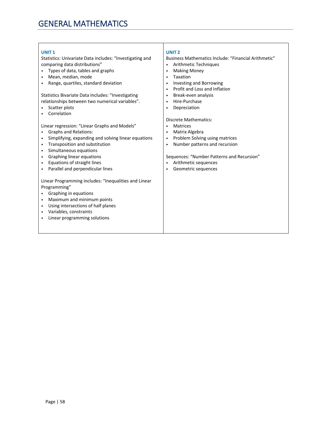| <b>UNIT1</b>                                                     | <b>UNIT 2</b>                                        |
|------------------------------------------------------------------|------------------------------------------------------|
| Statistics: Univariate Data includes: "Investigating and         | Business Mathematics Include: "Financial Arithmetic" |
| comparing data distributions"                                    | <b>Arithmetic Techniques</b><br>$\bullet$            |
| Types of data, tables and graphs                                 | <b>Making Money</b><br>$\bullet$                     |
| Mean, median, mode                                               | Taxation<br>$\bullet$                                |
| Range, quartiles, standard deviation                             | <b>Investing and Borrowing</b><br>$\bullet$          |
|                                                                  | Profit and Loss and Inflation<br>$\bullet$           |
| Statistics Bivariate Data Includes: "Investigating               | Break-even analysis<br>$\bullet$                     |
| relationships between two numerical variables".                  | Hire-Purchase<br>$\bullet$                           |
| Scatter plots                                                    | Depreciation<br>$\bullet$                            |
| Correlation                                                      |                                                      |
|                                                                  | Discrete Mathematics:                                |
| Linear regression: "Linear Graphs and Models"                    | <b>Matrices</b><br>٠                                 |
| <b>Graphs and Relations:</b>                                     | Matrix Algebra<br>$\bullet$                          |
| Simplifying, expanding and solving linear equations<br>$\bullet$ | Problem Solving using matrices<br>$\bullet$          |
| Transposition and substitution                                   | Number patterns and recursion<br>$\bullet$           |
| Simultaneous equations<br>$\bullet$                              |                                                      |
| Graphing linear equations<br>$\bullet$                           | Sequences: "Number Patterns and Recursion"           |
| Equations of straight lines<br>$\bullet$                         | Arithmetic sequences                                 |
| Parallel and perpendicular lines<br>$\bullet$                    | Geometric sequences<br>$\bullet$                     |
|                                                                  |                                                      |
| Linear Programming includes: "Inequalities and Linear            |                                                      |
| Programming"                                                     |                                                      |
| Graphing in equations                                            |                                                      |
| Maximum and minimum points<br>$\bullet$                          |                                                      |
| Using intersections of half planes<br>$\bullet$                  |                                                      |
| Variables, constraints                                           |                                                      |
| Linear programming solutions                                     |                                                      |
|                                                                  |                                                      |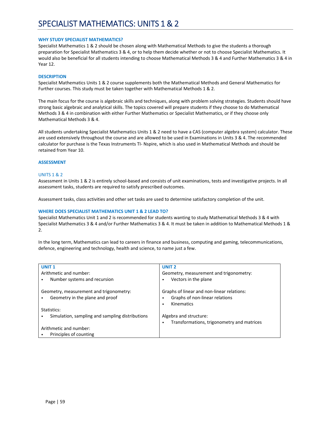# SPECIALIST MATHEMATICS: UNITS 1 & 2

#### **WHY STUDY SPECIALIST MATHEMATICS?**

Specialist Mathematics 1 & 2 should be chosen along with Mathematical Methods to give the students a thorough preparation for Specialist Mathematics 3 & 4, or to help them decide whether or not to choose Specialist Mathematics. It would also be beneficial for all students intending to choose Mathematical Methods 3 & 4 and Further Mathematics 3 & 4 in Year 12.

#### **DESCRIPTION**

Specialist Mathematics Units 1 & 2 course supplements both the Mathematical Methods and General Mathematics for Further courses. This study must be taken together with Mathematical Methods 1 & 2.

The main focus for the course is algebraic skills and techniques, along with problem solving strategies. Students should have strong basic algebraic and analytical skills. The topics covered will prepare students if they choose to do Mathematical Methods 3 & 4 in combination with either Further Mathematics or Specialist Mathematics, or if they choose only Mathematical Methods 3 & 4.

All students undertaking Specialist Mathematics Units 1 & 2 need to have a CAS (computer algebra system) calculator. These are used extensively throughout the course and are allowed to be used in Examinations in Units 3 & 4. The recommended calculator for purchase is the Texas Instruments TI‐ Nspire, which is also used in Mathematical Methods and should be retained from Year 10.

#### **ASSESSMENT**

#### UNITS 1 & 2

Assessment in Units 1 & 2 is entirely school‐based and consists of unit examinations, tests and investigative projects. In all assessment tasks, students are required to satisfy prescribed outcomes.

Assessment tasks, class activities and other set tasks are used to determine satisfactory completion of the unit.

#### **WHERE DOES SPECIALIST MATHEMATICS UNIT 1 & 2 LEAD TO?**

Specialist Mathematics Unit 1 and 2 is recommended for students wanting to study Mathematical Methods 3 & 4 with Specialist Mathematics 3 & 4 and/or Further Mathematics 3 & 4. It must be taken in addition to Mathematical Methods 1 & 2.

In the long term, Mathematics can lead to careers in finance and business, computing and gaming, telecommunications, defence, engineering and technology, health and science, to name just a few.

| <b>UNIT1</b>                                    | <b>UNIT 2</b>                                   |
|-------------------------------------------------|-------------------------------------------------|
| Arithmetic and number:                          | Geometry, measurement and trigonometry:         |
| Number systems and recursion                    | Vectors in the plane                            |
|                                                 |                                                 |
| Geometry, measurement and trigonometry:         | Graphs of linear and non-linear relations:      |
| Geometry in the plane and proof                 | Graphs of non-linear relations                  |
|                                                 | Kinematics<br>٠                                 |
|                                                 |                                                 |
| Statistics:                                     |                                                 |
| Simulation, sampling and sampling distributions | Algebra and structure:                          |
|                                                 | Transformations, trigonometry and matrices<br>٠ |
| Arithmetic and number:                          |                                                 |
| Principles of counting                          |                                                 |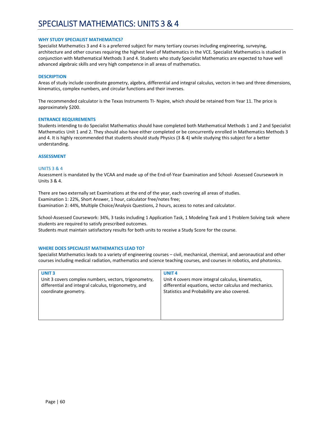# SPECIALIST MATHEMATICS: UNITS 3 & 4

### **WHY STUDY SPECIALIST MATHEMATICS?**

Specialist Mathematics 3 and 4 is a preferred subject for many tertiary courses including engineering, surveying, architecture and other courses requiring the highest level of Mathematics in the VCE. Specialist Mathematics is studied in conjunction with Mathematical Methods 3 and 4. Students who study Specialist Mathematics are expected to have well advanced algebraic skills and very high competence in all areas of mathematics.

#### **DESCRIPTION**

Areas of study include coordinate geometry, algebra, differential and integral calculus, vectors in two and three dimensions, kinematics, complex numbers, and circular functions and their inverses.

The recommended calculator is the Texas Instruments TI‐ Nspire, which should be retained from Year 11. The price is approximately \$200.

#### **ENTRANCE REQUIREMENTS**

Students intending to do Specialist Mathematics should have completed both Mathematical Methods 1 and 2 and Specialist Mathematics Unit 1 and 2. They should also have either completed or be concurrently enrolled in Mathematics Methods 3 and 4. It is highly recommended that students should study Physics (3 & 4) while studying this subject for a better understanding.

#### **ASSESSMENT**

#### UNITS 3 & 4

Assessment is mandated by the VCAA and made up of the End‐of‐Year Examination and School‐ Assessed Coursework in Units 3 & 4.

There are two externally set Examinations at the end of the year, each covering all areas of studies. Examination 1: 22%, Short Answer, 1 hour, calculator free/notes free; Examination 2: 44%, Multiple Choice/Analysis Questions, 2 hours, access to notes and calculator.

School‐Assessed Coursework: 34%, 3 tasks including 1 Application Task, 1 Modeling Task and 1 Problem Solving task where students are required to satisfy prescribed outcomes.

Students must maintain satisfactory results for both units to receive a Study Score for the course.

## **WHERE DOES SPECIALIST MATHEMATICS LEAD TO?**

Specialist Mathematics leads to a variety of engineering courses – civil, mechanical, chemical, and aeronautical and other courses including medical radiation, mathematics and science teaching courses, and courses in robotics, and photonics.

| <b>UNIT3</b>                                          | <b>UNIT4</b>                                           |
|-------------------------------------------------------|--------------------------------------------------------|
| Unit 3 covers complex numbers, vectors, trigonometry, | Unit 4 covers more integral calculus, kinematics,      |
| differential and integral calculus, trigonometry, and | differential equations, vector calculus and mechanics. |
| coordinate geometry.                                  | Statistics and Probability are also covered.           |
|                                                       |                                                        |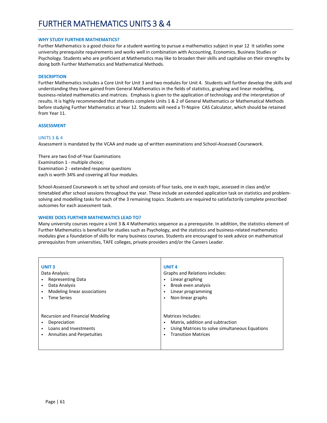### **WHY STUDY FURTHER MATHEMATICS?**

Further Mathematics is a good choice for a student wanting to pursue a mathematics subject in year 12 It satisfies some university prerequisite requirements and works well in combination with Accounting, Economics, Business Studies or Psychology. Students who are proficient at Mathematics may like to broaden their skills and capitalise on their strengths by doing both Further Mathematics and Mathematical Methods.

#### **DESCRIPTION**

Further Mathematics includes a Core Unit for Unit 3 and two modules for Unit 4. Students will further develop the skills and understanding they have gained from General Mathematics in the fields of statistics, graphing and linear modelling, business‐related mathematics and matrices. Emphasis is given to the application of technology and the interpretation of results. It is highly recommended that students complete Units 1 & 2 of General Mathematics or Mathematical Methods before studying Further Mathematics at Year 12. Students will need a TI‐Nspire CAS Calculator, which should be retained from Year 11.

#### **ASSESSMENT**

#### UNITS 3 & 4

Assessment is mandated by the VCAA and made up of written examinations and School‐Assessed Coursework.

There are two End‐of‐Year Examinations Examination 1 ‐ multiple choice; Examination 2 ‐ extended response questions each is worth 34% and covering all four modules.

School‐Assessed Coursework is set by school and consists of four tasks, one in each topic, assessed in class and/or timetabled after school sessions throughout the year. These include an extended application task on statistics and problemsolving and modelling tasks for each of the 3 remaining topics. Students are required to satisfactorily complete prescribed outcomes for each assessment task.

## **WHERE DOES FURTHER MATHEMATICS LEAD TO?**

Many university courses require a Unit 3 & 4 Mathematics sequence as a prerequisite. In addition, the statistics element of Further Mathematics is beneficial for studies such as Psychology, and the statistics and business-related mathematics modules give a foundation of skills for many business courses. Students are encouraged to seek advice on mathematical prerequisites from universities, TAFE colleges, private providers and/or the Careers Leader.

| <b>UNIT3</b><br>Data Analysis:<br><b>Representing Data</b><br>Data Analysis<br>Modeling linear associations<br><b>Time Series</b> | UNIT <sub>4</sub><br><b>Graphs and Relations includes:</b><br>Linear graphing<br>Break even analysis<br>٠<br>Linear programming<br>Non-linear graphs<br>٠ |
|-----------------------------------------------------------------------------------------------------------------------------------|-----------------------------------------------------------------------------------------------------------------------------------------------------------|
| <b>Recursion and Financial Modeling</b><br>Depreciation<br>Loans and Investments<br>Annuities and Perpetuities                    | Matrices Includes:<br>Matrix, addition and subtraction<br>٠<br>Using Matrices to solve simultaneous Equations<br>٠<br><b>Transition Matrices</b><br>٠     |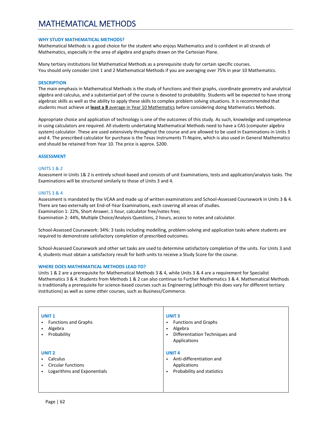# MATHEMATICAL METHODS

### **WHY STUDY MATHEMATICAL METHODS?**

Mathematical Methods is a good choice for the student who enjoys Mathematics and is confident in all strands of Mathematics, especially in the area of algebra and graphs drawn on the Cartesian Plane.

Many tertiary institutions list Mathematical Methods as a prerequisite study for certain specific courses. You should only consider Unit 1 and 2 Mathematical Methods if you are averaging over 75% in year 10 Mathematics.

#### **DESCRIPTION**

The main emphasis in Mathematical Methods is the study of functions and their graphs, coordinate geometry and analytical algebra and calculus, and a substantial part of the course is devoted to probability. Students will be expected to have strong algebraic skills as well as the ability to apply these skills to complex problem solving situations. It is recommended that students must achieve at **least a B** average in Year 10 Mathematics before considering doing Mathematics Methods.

Appropriate choice and application of technology is one of the outcomes of this study. As such, knowledge and competence in using calculators are required. All students undertaking Mathematical Methods need to have a CAS (computer algebra system) calculator. These are used extensively throughout the course and are allowed to be used in Examinations in Units 3 and 4. The prescribed calculator for purchase is the Texas Instruments TI‐Nspire, which is also used in General Mathematics and should be retained from Year 10. The price is approx. \$200.

#### **ASSESSMENT**

#### UNITS 1 & 2

Assessment in Units 1& 2 is entirely school‐based and consists of unit Examinations, tests and application/analysis tasks. The Examinations will be structured similarly to those of Units 3 and 4.

#### UNITS 3 & 4

Assessment is mandated by the VCAA and made up of written examinations and School-Assessed Coursework in Units 3 & 4. There are two externally set End‐of‐Year Examinations, each covering all areas of studies. Examination 1: 22%, Short Answer, 1 hour, calculator free/notes free; Examination 2: 44%, Multiple Choice/Analysis Questions, 2 hours, access to notes and calculator.

School‐Assessed Coursework: 34%: 3 tasks including modelling, problem‐solving and application tasks where students are required to demonstrate satisfactory completion of prescribed outcomes.

School‐Assessed Coursework and other set tasks are used to determine satisfactory completion of the units. For Units 3 and 4, students must obtain a satisfactory result for both units to receive a Study Score for the course.

#### **WHERE DOES MATHEMATICAL METHODS LEAD TO?**

Units 1 & 2 are a prerequisite for Mathematical Methods 3 & 4, while Units 3 & 4 are a requirement for Specialist Mathematics 3 & 4. Students from Methods 1 & 2 can also continue to Further Mathematics 3 & 4. Mathematical Methods is traditionally a prerequisite for science-based courses such as Engineering (although this does vary for different tertiary institutions) as well as some other courses, such as Business/Commerce.

| <b>UNIT1</b><br><b>Functions and Graphs</b><br>Algebra<br>Probability<br>٠                | <b>UNIT3</b><br><b>Functions and Graphs</b><br>$\bullet$<br>Algebra<br>٠<br>Differentiation Techniques and<br>$\bullet$<br>Applications |
|-------------------------------------------------------------------------------------------|-----------------------------------------------------------------------------------------------------------------------------------------|
| UNIT <sub>2</sub><br>Calculus<br><b>Circular functions</b><br>Logarithms and Exponentials | <b>UNIT4</b><br>Anti-differentiation and<br>٠<br>Applications<br>Probability and statistics<br>$\bullet$                                |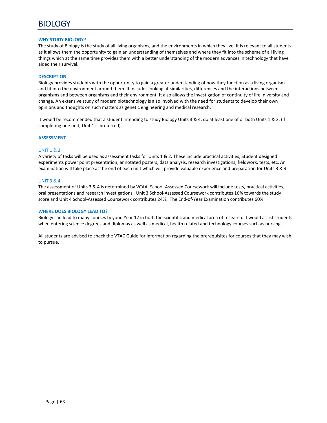### **WHY STUDY BIOLOGY?**

The study of Biology is the study of all living organisms, and the environments in which they live. It is relevant to all students as it allows them the opportunity to gain an understanding of themselves and where they fit into the scheme of all living things which at the same time provides them with a better understanding of the modern advances in technology that have aided their survival.

#### **DESCRIPTION**

Biology provides students with the opportunity to gain a greater understanding of how they function as a living organism and fit into the environment around them. It includes looking at similarities, differences and the interactions between organisms and between organisms and their environment. It also allows the investigation of continuity of life, diversity and change. An extensive study of modern biotechnology is also involved with the need for students to develop their own opinions and thoughts on such matters as genetic engineering and medical research.

It would be recommended that a student intending to study Biology Units 3 & 4, do at least one of or both Units 1 & 2. (if completing one unit, Unit 1 is preferred).

#### **ASSESSMENT**

#### UNIT 1 & 2

A variety of tasks will be used as assessment tasks for Units 1 & 2. These include practical activities, Student designed experiments power point presentation, annotated posters, data analysis, research investigations, fieldwork, tests, etc. An examination will take place at the end of each unit which will provide valuable experience and preparation for Units 3 & 4.

#### UNIT 3 & 4

The assessment of Units 3 & 4 is determined by VCAA. School‐Assessed Coursework will include tests, practical activities, oral presentations and research investigations. Unit 3 School‐Assessed Coursework contributes 16% towards the study score and Unit 4 School‐Assessed Coursework contributes 24%. The End‐of‐Year Examination contributes 60%.

#### **WHERE DOES BIOLOGY LEAD TO?**

Biology can lead to many courses beyond Year 12 in both the scientific and medical area of research. It would assist students when entering science degrees and diplomas as well as medical, health related and technology courses such as nursing.

All students are advised to check the VTAC Guide for information regarding the prerequisites for courses that they may wish to pursue.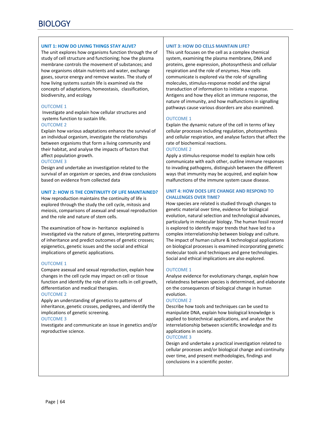# **UNIT 1: HOW DO LIVING THINGS STAY ALIVE?**

The unit explores how organisms function through the of study of cell structure and functioning; how the plasma membrane controls the movement of substances; and how organisms obtain nutrients and water, exchange gases, source energy and remove wastes. The study of how living systems sustain life is examined via the concepts of adaptations, homeostasis, classification, biodiversity, and ecology

# OUTCOME 1

 Investigate and explain how cellular structures and systems function to sustain life.

## OUTCOME 2

Explain how various adaptations enhance the survival of an individual organism, investigate the relationships between organisms that form a living community and their habitat, and analyse the impacts of factors that affect population growth.

# OUTCOME 3

Design and undertake an investigation related to the survival of an organism or species, and draw conclusions based on evidence from collected data

## **UNIT 2: HOW IS THE CONTINUITY OF LIFE MAINTAINED?**

How reproduction maintains the continuity of life is explored through the study the cell cycle, mitosis and meiosis, comparisons of asexual and sexual reproduction and the role and nature of stem cells.

The examination of how in‐ heritance explained is investigated via the nature of genes, interpreting patterns of inheritance and predict outcomes of genetic crosses; epigenetics, genetic issues and the social and ethical implications of genetic applications.

# OUTCOME 1

Compare asexual and sexual reproduction, explain how changes in the cell cycle may impact on cell or tissue function and identify the role of stem cells in cell growth, differentiation and medical therapies.

## OUTCOME 2

Apply an understanding of genetics to patterns of inheritance, genetic crosses, pedigrees, and identify the implications of genetic screening.

## OUTCOME 3

Investigate and communicate an issue in genetics and/or reproductive science.

# **UNIT 3: HOW DO CELLS MAINTAIN LIFE?**

This unit focuses on the cell as a complex chemical system, examining the plasma membrane, DNA and proteins, gene expression, photosynthesis and cellular respiration and the role of enzymes. How cells communicate is explored via the role of signalling molecules, stimulus‐response model and the signal transduction of information to initiate a response. Antigens and how they elicit an immune response, the nature of immunity, and how malfunctions in signalling pathways cause various disorders are also examined.

# OUTCOME 1

Explain the dynamic nature of the cell in terms of key cellular processes including regulation, photosynthesis and cellular respiration, and analyse factors that affect the rate of biochemical reactions.

# OUTCOME 2

Apply a stimulus‐response model to explain how cells communicate with each other, outline immune responses to invading pathogens, distinguish between the different ways that immunity may be acquired, and explain how malfunctions of the immune system cause disease.

# **UNIT 4: HOW DOES LIFE CHANGE AND RESPOND TO CHALLENGES OVER TIME?**

How species are related is studied through changes to genetic material over time, evidence for biological evolution, natural selection and technological advances, particularly in molecular biology. The human fossil record is explored to identify major trends that have led to a complex interrelationship between biology and culture. The impact of human culture & technological applications on biological processes is examined incorporating genetic molecular tools and techniques and gene technologies. Social and ethical implications are also explored.

# OUTCOME 1

Analyse evidence for evolutionary change, explain how relatedness between species is determined, and elaborate on the consequences of biological change in human evolution.

## OUTCOME 2

Describe how tools and techniques can be used to manipulate DNA, explain how biological knowledge is applied to biotechnical applications, and analyse the interrelationship between scientific knowledge and its applications in society.

## OUTCOME 3

Design and undertake a practical investigation related to cellular processes and/or biological change and continuity over time, and present methodologies, findings and conclusions in a scientific poster.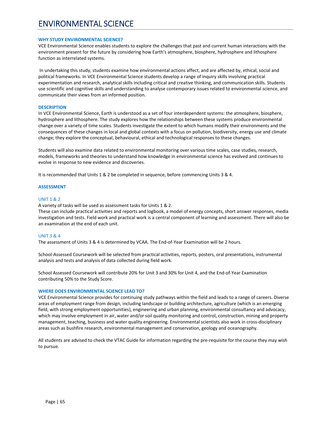# ENVIRONMENTAL SCIENCE

#### **WHY STUDY ENVIRONMENTAL SCIENCE?**

VCE Environmental Science enables students to explore the challenges that past and current human interactions with the environment present for the future by considering how Earth's atmosphere, biosphere, hydrosphere and lithosphere function as interrelated systems.

 In undertaking this study, students examine how environmental actions affect, and are affected by, ethical, social and political frameworks. In VCE Environmental Science students develop a range of inquiry skills involving practical experimentation and research, analytical skills including critical and creative thinking, and communication skills. Students use scientific and cognitive skills and understanding to analyse contemporary issues related to environmental science, and communicate their views from an informed position.

#### **DESCRIPTION**

In VCE Environmental Science, Earth is understood as a set of four interdependent systems: the atmosphere, biosphere, hydrosphere and lithosphere. The study explores how the relationships between these systems produce environmental change over a variety of time scales. Students investigate the extent to which humans modify their environments and the consequences of these changes in local and global contexts with a focus on pollution, biodiversity, energy use and climate change; they explore the conceptual, behavioural, ethical and technological responses to these changes.

Students will also examine data related to environmental monitoring over various time scales, case studies, research, models, frameworks and theories to understand how knowledge in environmental science has evolved and continues to evolve in response to new evidence and discoveries.

It is recommended that Units 1 & 2 be completed in sequence, before commencing Units 3 & 4.

#### **ASSESSMENT**

#### UNIT 1 & 2

A variety of tasks will be used as assessment tasks for Units 1 & 2.

These can include practical activities and reports and logbook, a model of energy concepts, short answer responses, media investigation and tests. Field work and practical work is a central component of learning and assessment. There will also be an examination at the end of each unit.

## UNIT 3 & 4

The assessment of Units 3 & 4 is determined by VCAA. The End‐of‐Year Examination will be 2 hours.

School‐Assessed Coursework will be selected from practical activities, reports, posters, oral presentations, instrumental analysis and tests and analysis of data collected during field work.

School Assessed Coursework will contribute 20% for Unit 3 and 30% for Unit 4, and the End‐of‐Year Examination contributing 50% to the Study Score.

## **WHERE DOES ENVIRONMENTAL SCIENCE LEAD TO?**

VCE Environmental Science provides for continuing study pathways within the field and leads to a range of careers. Diverse areas of employment range from design, including landscape or building architecture, agriculture (which is an emerging field, with strong employment opportunities), engineering and urban planning, environmental consultancy and advocacy, which may involve employment in air, water and/or soil quality monitoring and control, construction, mining and property management, teaching, business and water quality engineering. Environmental scientists also work in cross‐disciplinary areas such as bushfire research, environmental management and conservation, geology and oceanography.

All students are advised to check the VTAC Guide for information regarding the pre‐requisite for the course they may wish to pursue.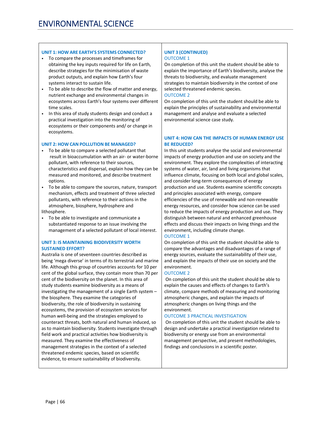# **UNIT 1: HOW ARE EARTH'S SYSTEMS CONNECTED?**

- To compare the processes and timeframes for obtaining the key inputs required for life on Earth, describe strategies for the minimisation of waste product outputs, and explain how Earth's four systems interact to sustain life.
- To be able to describe the flow of matter and energy, nutrient exchange and environmental changes in ecosystems across Earth's four systems over different time scales.
- In this area of study students design and conduct a practical investigation into the monitoring of ecosystems or their components and/ or change in ecosystems.

# **UNIT 2: HOW CAN POLLUTION BE MANAGED?**

- To be able to compare a selected pollutant that result in bioaccumulation with an air‐ or water‐borne pollutant, with reference to their sources, characteristics and dispersal, explain how they can be measured and monitored, and describe treatment options.
- To be able to compare the sources, nature, transport mechanism, effects and treatment of three selected pollutants, with reference to their actions in the atmosphere, biosphere, hydrosphere and lithosphere.
- To be able to investigate and communicate a substantiated response to an issue involving the management of a selected pollutant of local interest.

# **UNIT 3: IS MAINTAINING BIODIVERSITY WORTH SUSTAINED EFFORT?**

Australia is one of seventeen countries described as being 'mega diverse' in terms of its terrestrial and marine life. Although this group of countries accounts for 10 per cent of the global surface, they contain more than 70 per cent of the biodiversity on the planet. In this area of study students examine biodiversity as a means of investigating the management of a single Earth system – the biosphere. They examine the categories of biodiversity, the role of biodiversity in sustaining ecosystems, the provision of ecosystem services for human well‐being and the strategies employed to counteract threats, both natural and human induced, so as to maintain biodiversity. Students investigate through field work and practical activities how biodiversity is measured. They examine the effectiveness of management strategies in the context of a selected threatened endemic species, based on scientific evidence, to ensure sustainability of biodiversity.

# **UNIT 3 (CONTINUED)** OUTCOME 1

On completion of this unit the student should be able to explain the importance of Earth's biodiversity, analyse the threats to biodiversity, and evaluate management strategies to maintain biodiversity in the context of one selected threatened endemic species.

# OUTCOME 2

On completion of this unit the student should be able to explain the principles of sustainability and environmental management and analyse and evaluate a selected environmental science case study.

# **UNIT 4: HOW CAN THE IMPACTS OF HUMAN ENERGY USE BE REDUCED?**

In this unit students analyse the social and environmental impacts of energy production and use on society and the environment. They explore the complexities of interacting systems of water, air, land and living organisms that influence climate, focusing on both local and global scales, and consider long‐term consequences of energy production and use. Students examine scientific concepts and principles associated with energy, compare efficiencies of the use of renewable and non‐renewable energy resources, and consider how science can be used to reduce the impacts of energy production and use. They distinguish between natural and enhanced greenhouse effects and discuss their impacts on living things and the environment, including climate change.

## OUTCOME 1

On completion of this unit the student should be able to compare the advantages and disadvantages of a range of energy sources, evaluate the sustainability of their use, and explain the impacts of their use on society and the environment.

# OUTCOME 2

 On completion of this unit the student should be able to explain the causes and effects of changes to Earth's climate, compare methods of measuring and monitoring atmospheric changes, and explain the impacts of atmospheric changes on living things and the environment.

# **OUTCOME 3 PRACTICAL INVESTIGATION**

 On completion of this unit the student should be able to design and undertake a practical investigation related to biodiversity or energy use from an environmental management perspective, and present methodologies, findings and conclusions in a scientific poster.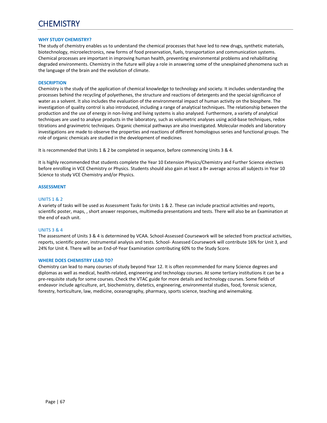# **CHEMISTRY**

#### **WHY STUDY CHEMISTRY?**

The study of chemistry enables us to understand the chemical processes that have led to new drugs, synthetic materials, biotechnology, microelectronics, new forms of food preservation, fuels, transportation and communication systems. Chemical processes are important in improving human health, preventing environmental problems and rehabilitating degraded environments. Chemistry in the future will play a role in answering some of the unexplained phenomena such as the language of the brain and the evolution of climate.

#### **DESCRIPTION**

Chemistry is the study of the application of chemical knowledge to technology and society. It includes understanding the processes behind the recycling of polyethenes, the structure and reactions of detergents and the special significance of water as a solvent. It also includes the evaluation of the environmental impact of human activity on the biosphere. The investigation of quality control is also introduced, including a range of analytical techniques. The relationship between the production and the use of energy in non‐living and living systems is also analysed. Furthermore, a variety of analytical techniques are used to analyse products in the laboratory, such as volumetric analyses using acid-base techniques, redox titrations and gravimetric techniques. Organic chemical pathways are also investigated. Molecular models and laboratory investigations are made to observe the properties and reactions of different homologous series and functional groups. The role of organic chemicals are studied in the development of medicines

It is recommended that Units 1 & 2 be completed in sequence, before commencing Units 3 & 4.

It is highly recommended that students complete the Year 10 Extension Physics/Chemistry and Further Science electives before enrolling in VCE Chemistry or Physics. Students should also gain at least a B+ average across all subjects in Year 10 Science to study VCE Chemistry and/or Physics.

#### **ASSESSMENT**

#### UNITS 1 & 2

A variety of tasks will be used as Assessment Tasks for Units 1 & 2. These can include practical activities and reports, scientific poster, maps, , short answer responses, multimedia presentations and tests. There will also be an Examination at the end of each unit.

## UNITS 3 & 4

The assessment of Units 3 & 4 is determined by VCAA. School‐Assessed Coursework will be selected from practical activities, reports, scientific poster, instrumental analysis and tests. School‐ Assessed Coursework will contribute 16% for Unit 3, and 24% for Unit 4. There will be an End‐of‐Year Examination contributing 60% to the Study Score.

#### **WHERE DOES CHEMISTRY LEAD TO?**

Chemistry can lead to many courses of study beyond Year 12. It is often recommended for many Science degrees and diplomas as well as medical, health‐related, engineering and technology courses. At some tertiary institutions it can be a pre-requisite study for some courses. Check the VTAC guide for more details and technology courses. Some fields of endeavor include agriculture, art, biochemistry, dietetics, engineering, environmental studies, food, forensic science, forestry, horticulture, law, medicine, oceanography, pharmacy, sports science, teaching and winemaking.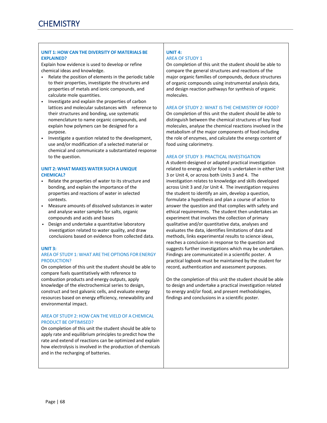## **UNIT 1: HOW CAN THE DIVERSITY OF MATERIALS BE EXPLAINED?**

Explain how evidence is used to develop or refine chemical ideas and knowledge.

- Relate the position of elements in the periodic table to their properties, investigate the structures and properties of metals and ionic compounds, and calculate mole quantities.
- Investigate and explain the properties of carbon lattices and molecular substances with reference to their structures and bonding, use systematic nomenclature to name organic compounds, and explain how polymers can be designed for a purpose.
- Investigate a question related to the development, use and/or modification of a selected material or chemical and communicate a substantiated response to the question.

## **UNIT 2: WHAT MAKES WATER SUCH A UNIQUE CHEMICAL?**

- Relate the properties of water to its structure and bonding, and explain the importance of the properties and reactions of water in selected contexts.
- Measure amounts of dissolved substances in water and analyse water samples for salts, organic compounds and acids and bases
- Design and undertake a quantitative laboratory investigation related to water quality, and draw conclusions based on evidence from collected data.

## **UNIT 3:**

# AREA OF STUDY 1: WHAT ARE THE OPTIONS FOR ENERGY PRODUCTION?

On completion of this unit the student should be able to compare fuels quantitatively with reference to combustion products and energy outputs, apply knowledge of the electrochemical series to design, construct and test galvanic cells, and evaluate energy resources based on energy efficiency, renewability and environmental impact.

# AREA OF STUDY 2: HOW CAN THE VIELD OF A CHEMICAL PRODUCT BE OPTIMISED?

On completion of this unit the student should be able to apply rate and equilibrium principles to predict how the rate and extend of reactions can be optimized and explain how electrolysis is involved in the production of chemicals and in the recharging of batteries.

# **UNIT 4:**  AREA OF STUDY 1

On completion of this unit the student should be able to compare the general structures and reactions of the major organic families of compounds, deduce structures of organic compounds using instrumental analysis data, and design reaction pathways for synthesis of organic molecules.

# AREA OF STUDY 2: WHAT IS THE CHEMISTRY OF FOOD?

On completion of this unit the student should be able to distinguish between the chemical structures of key food molecules, analyse the chemical reactions involved in the metabolism of the major components of food including the role of enzymes, and calculate the energy content of food using calorimetry.

# AREA OF STUDY 3: PRACTICAL INVESTIGATION

A student‐designed or adapted practical investigation related to energy and/or food is undertaken in either Unit 3 or Unit 4, or across both Units 3 and 4. The investigation relates to knowledge and skills developed across Unit 3 and /or Unit 4. The investigation requires the student to identify an aim, develop a question, formulate a hypothesis and plan a course of action to answer the question and that complies with safety and ethical requirements. The student then undertakes an experiment that involves the collection of primary qualitative and/or quantitative data, analyses and evaluates the data, identifies limitations of data and methods, links experimental results to science ideas, reaches a conclusion in response to the question and suggests further investigations which may be undertaken. Findings are communicated in a scientific poster. A practical logbook must be maintained by the student for record, authentication and assessment purposes.

On the completion of this unit the student should be able to design and undertake a practical investigation related to energy and/or food, and present methodologies, findings and conclusions in a scientific poster.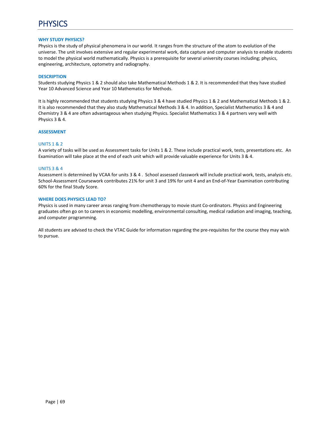# PHYSICS

#### **WHY STUDY PHYSICS?**

Physics is the study of physical phenomena in our world. It ranges from the structure of the atom to evolution of the universe. The unit involves extensive and regular experimental work, data capture and computer analysis to enable students to model the physical world mathematically. Physics is a prerequisite for several university courses including; physics, engineering, architecture, optometry and radiography.

#### **DESCRIPTION**

Students studying Physics 1 & 2 should also take Mathematical Methods 1 & 2. It is recommended that they have studied Year 10 Advanced Science and Year 10 Mathematics for Methods.

It is highly recommended that students studying Physics 3 & 4 have studied Physics 1 & 2 and Mathematical Methods 1 & 2. It is also recommended that they also study Mathematical Methods 3 & 4. In addition, Specialist Mathematics 3 & 4 and Chemistry 3 & 4 are often advantageous when studying Physics. Specialist Mathematics 3 & 4 partners very well with Physics 3 & 4.

#### **ASSESSMENT**

## UNITS 1 & 2

A variety of tasks will be used as Assessment tasks for Units 1 & 2. These include practical work, tests, presentations etc. An Examination will take place at the end of each unit which will provide valuable experience for Units 3 & 4.

#### UNITS 3 & 4

Assessment is determined by VCAA for units 3 & 4 . School assessed classwork will include practical work, tests, analysis etc. School-Assessment Coursework contributes 21% for unit 3 and 19% for unit 4 and an End-of-Year Examination contributing 60% for the final Study Score.

#### **WHERE DOES PHYSICS LEAD TO?**

Physics is used in many career areas ranging from chemotherapy to movie stunt Co-ordinators. Physics and Engineering graduates often go on to careers in economic modelling, environmental consulting, medical radiation and imaging, teaching, and computer programming.

All students are advised to check the VTAC Guide for information regarding the pre‐requisites for the course they may wish to pursue.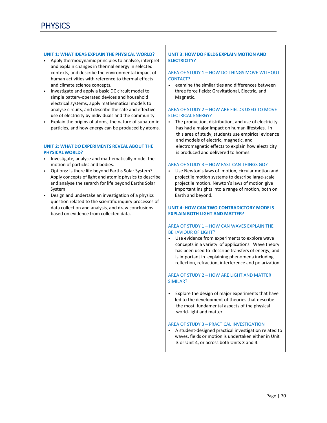## **UNIT 1: WHAT IDEAS EXPLAIN THE PHYSICAL WORLD?**

- Apply thermodynamic principles to analyse, interpret and explain changes in thermal energy in selected contexts, and describe the environmental impact of human activities with reference to thermal effects and climate science concepts.
- Investigate and apply a basic DC circuit model to simple battery‐operated devices and household electrical systems, apply mathematical models to analyse circuits, and describe the safe and effective use of electricity by individuals and the community
- Explain the origins of atoms, the nature of subatomic particles, and how energy can be produced by atoms.

# **UNIT 2: WHAT DO EXPERIMENTS REVEAL ABOUT THE PHYSICAL WORLD?**

- Investigate, analyse and mathematically model the motion of particles and bodies.
- Options: Is there life beyond Earths Solar System? Apply concepts of light and atomic physics to describe and analyse the serarch for life beyond Earths Solar System
- Design and undertake an investigation of a physics question related to the scientific inquiry processes of data collection and analysis, and draw conclusions based on evidence from collected data.

# **UNIT 3: HOW DO FIELDS EXPLAIN MOTION AND ELECTRICITY?**

### AREA OF STUDY 1 – HOW DO THINGS MOVE WITHOUT CONTACT?

• examine the similarities and differences between three force fields: Gravitational, Electric, and Magnetic.

# AREA OF STUDY 2 – HOW ARE FIELDS USED TO MOVE ELECTRICAL ENERGY?

• The production, distribution, and use of electricity has had a major impact on human lifestyles. In this area of study, students use empirical evidence and models of electric, magnetic, and electromagnetic effects to explain how electricity is produced and delivered to homes.

## AREA OF STUDY 3 – HOW FAST CAN THINGS GO?

• Use Newton's laws of motion, circular motion and projectile motion systems to describe large‐scale projectile motion. Newton's laws of motion give important insights into a range of motion, both on Earth and beyond.

# **UNIT 4: HOW CAN TWO CONTRADICTORY MODELS EXPLAIN BOTH LIGHT AND MATTER?**

# AREA OF STUDY 1 – HOW CAN WAVES EXPLAIN THE BEHAVIOUR OF LIGHT?

• Use evidence from experiments to explore wave concepts in a variety of applications. Wave theory has been used to describe transfers of energy, and is important in explaining phenomena including reflection, refraction, interference and polarization.

# AREA OF STUDY 2 – HOW ARE LIGHT AND MATTER SIMILAR?

• Explore the design of major experiments that have led to the development of theories that describe the most fundamental aspects of the physical world‐light and matter.

# AREA OF STUDY 3 – PRACTICAL INVESTIGATION

• A student‐designed practical investigation related to waves, fields or motion is undertaken either in Unit 3 or Unit 4, or across both Units 3 and 4.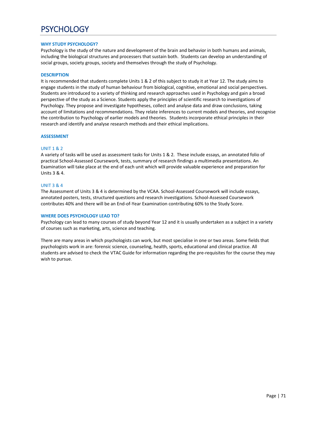# **PSYCHOLOGY**

## **WHY STUDY PSYCHOLOGY?**

Psychology is the study of the nature and development of the brain and behavior in both humans and animals, including the biological structures and processers that sustain both. Students can develop an understanding of social groups, society groups, society and themselves through the study of Psychology.

#### **DESCRIPTION**

It is recommended that students complete Units 1 & 2 of this subject to study it at Year 12. The study aims to engage students in the study of human behaviour from biological, cognitive, emotional and social perspectives. Students are introduced to a variety of thinking and research approaches used in Psychology and gain a broad perspective of the study as a Science. Students apply the principles of scientific research to investigations of Psychology. They propose and investigate hypotheses, collect and analyse data and draw conclusions, taking account of limitations and recommendations. They relate inferences to current models and theories, and recognise the contribution to Psychology of earlier models and theories. Students incorporate ethical principles in their research and identify and analyse research methods and their ethical implications.

#### **ASSESSMENT**

#### UNIT 1 & 2

A variety of tasks will be used as assessment tasks for Units 1 & 2. These include essays, an annotated folio of practical School‐Assessed Coursework, tests, summary of research findings a multimedia presentations. An Examination will take place at the end of each unit which will provide valuable experience and preparation for Units 3 & 4.

### UNIT 3 & 4

The Assessment of Units 3 & 4 is determined by the VCAA. School‐Assessed Coursework will include essays, annotated posters, tests, structured questions and research investigations. School‐Assessed Coursework contributes 40% and there will be an End‐of‐Year Examination contributing 60% to the Study Score.

#### **WHERE DOES PSYCHOLOGY LEAD TO?**

Psychology can lead to many courses of study beyond Year 12 and it is usually undertaken as a subject in a variety of courses such as marketing, arts, science and teaching.

There are many areas in which psychologists can work, but most specialise in one or two areas. Some fields that psychologists work in are: forensic science, counseling, health, sports, educational and clinical practice. All students are advised to check the VTAC Guide for information regarding the pre‐requisites for the course they may wish to pursue.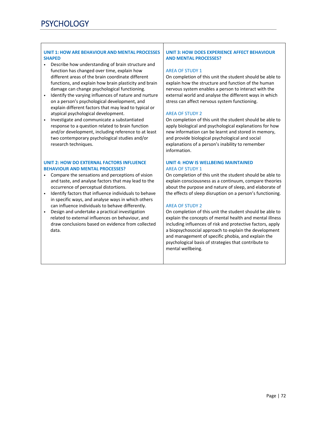# **UNIT 1: HOW ARE BEHAVIOUR AND MENTAL PROCESSES SHAPED**

- Describe how understanding of brain structure and function has changed over time, explain how different areas of the brain coordinate different functions, and explain how brain plasticity and brain damage can change psychological functioning.
- Identify the varying influences of nature and nurture on a person's psychological development, and explain different factors that may lead to typical or atypical psychological development.
- Investigate and communicate a substantiated response to a question related to brain function and/or development, including reference to at least two contemporary psychological studies and/or research techniques.

## **UNIT 2: HOW DO EXTERNAL FACTORS INFLUENCE BEHAVIOUR AND MENTAL PROCESSES?**

- Compare the sensations and perceptions of vision and taste, and analyse factors that may lead to the occurrence of perceptual distortions.
- Identify factors that influence individuals to behave in specific ways, and analyse ways in which others can influence individuals to behave differently.
- Design and undertake a practical investigation related to external influences on behaviour, and draw conclusions based on evidence from collected data.

# **UNIT 3: HOW DOES EXPERIENCE AFFECT BEHAVIOUR AND MENTAL PROCESSES?**

# AREA OF STUDY 1

On completion of this unit the student should be able to explain how the structure and function of the human nervous system enables a person to interact with the external world and analyse the different ways in which stress can affect nervous system functioning.

# AREA OF STUDY 2

On completion of this unit the student should be able to apply biological and psychological explanations for how new information can be learnt and stored in memory, and provide biological psychological and social explanations of a person's inability to remember information.

## **UNIT 4: HOW IS WELLBEING MAINTAINED**  AREA OF STUDY 1

On completion of this unit the student should be able to explain consciousness as a continuum, compare theories about the purpose and nature of sleep, and elaborate of the effects of sleep disruption on a person's functioning.

# AREA OF STUDY 2

On completion of this unit the student should be able to explain the concepts of mental health and mental illness including influences of risk and protective factors, apply a biopsychosocial approach to explain the development and management of specific phobia, and explain the psychological basis of strategies that contribute to mental wellbeing.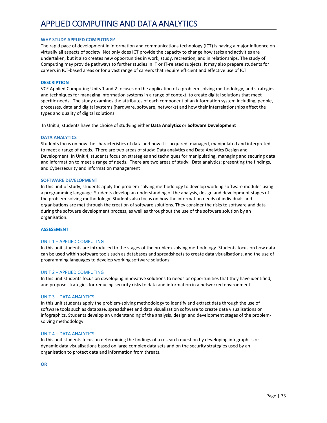## APPLIED COMPUTING AND DATA ANALYTICS

## **WHY STUDY APPLIED COMPUTING?**

The rapid pace of development in information and communications technology (ICT) is having a major influence on virtually all aspects of society. Not only does ICT provide the capacity to change how tasks and activities are undertaken, but it also creates new opportunities in work, study, recreation, and in relationships. The study of Computing may provide pathways to further studies in IT or IT‐related subjects. It may also prepare students for careers in ICT‐based areas or for a vast range of careers that require efficient and effective use of ICT.

## **DESCRIPTION**

VCE Applied Computing Units 1 and 2 focuses on the application of a problem‐solving methodology, and strategies and techniques for managing information systems in a range of context, to create digital solutions that meet specific needs. The study examines the attributes of each component of an information system including, people, processes, data and digital systems (hardware, software, networks) and how their interrelationships affect the types and quality of digital solutions.

In Unit 3, students have the choice of studying either **Data Analytics** or **Software Development** 

## **DATA ANALYTICS**

Students focus on how the characteristics of data and how it is acquired, managed, manipulated and interpreted to meet a range of needs. There are two areas of study: Data analytics and Data Analytics Design and Development. In Unit 4, students focus on strategies and techniques for manipulating, managing and securing data and information to meet a range of needs. There are two areas of study: Data analytics: presenting the findings, and Cybersecurity and information management

#### **SOFTWARE DEVELOPMENT**

In this unit of study, students apply the problem‐solving methodology to develop working software modules using a programming language. Students develop an understanding of the analysis, design and development stages of the problem‐solving methodology. Students also focus on how the information needs of individuals and organisations are met through the creation of software solutions. They consider the risks to software and data during the software development process, as well as throughout the use of the software solution by an organisation.

#### **ASSESSMENT**

## UNIT 1 – APPLIED COMPUTING

In this unit students are introduced to the stages of the problem‐solving methodology. Students focus on how data can be used within software tools such as databases and spreadsheets to create data visualisations, and the use of programming languages to develop working software solutions.

## UNIT 2 – APPLIED COMPUTING

In this unit students focus on developing innovative solutions to needs or opportunities that they have identified, and propose strategies for reducing security risks to data and information in a networked environment.

## UNIT 3 – DATA ANALYTICS

In this unit students apply the problem‐solving methodology to identify and extract data through the use of software tools such as database, spreadsheet and data visualisation software to create data visualisations or infographics. Students develop an understanding of the analysis, design and development stages of the problemsolving methodology.

#### UNIT 4 – DATA ANALYTICS

In this unit students focus on determining the findings of a research question by developing infographics or dynamic data visualisations based on large complex data sets and on the security strategies used by an organisation to protect data and information from threats.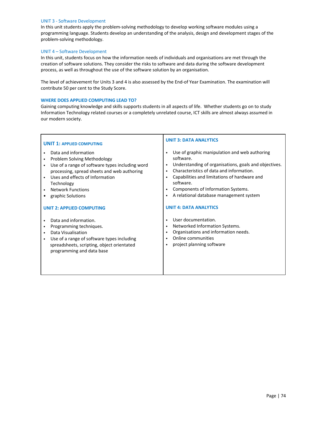## UNIT 3 ‐ Software Development

In this unit students apply the problem‐solving methodology to develop working software modules using a programming language. Students develop an understanding of the analysis, design and development stages of the problem‐solving methodology.

## UNIT 4 – Software Development

In this unit, students focus on how the information needs of individuals and organisations are met through the creation of software solutions. They consider the risks to software and data during the software development process, as well as throughout the use of the software solution by an organisation.

The level of achievement for Units 3 and 4 is also assessed by the End‐of Year Examination. The examination will contribute 50 per cent to the Study Score.

## **WHERE DOES APPLIED COMPUTING LEAD TO?**

Gaining computing knowledge and skills supports students in all aspects of life. Whether students go on to study Information Technology related courses or a completely unrelated course, ICT skills are almost always assumed in our modern society.

| <b>UNIT 1: APPLIED COMPUTING</b>                                                                                                                                                                                                                                                            | <b>UNIT 3: DATA ANALYTICS</b>                                                                                                                                                                                                                                                                                                                                                                                        |  |
|---------------------------------------------------------------------------------------------------------------------------------------------------------------------------------------------------------------------------------------------------------------------------------------------|----------------------------------------------------------------------------------------------------------------------------------------------------------------------------------------------------------------------------------------------------------------------------------------------------------------------------------------------------------------------------------------------------------------------|--|
| Data and information<br>Problem Solving Methodology<br>Use of a range of software types including word<br>processing, spread sheets and web authoring<br>Uses and effects of Information<br>Technology<br><b>Network Functions</b><br>graphic Solutions<br><b>UNIT 2: APPLIED COMPUTING</b> | Use of graphic manipulation and web authoring<br>$\bullet$<br>software.<br>Understanding of organisations, goals and objectives.<br>٠<br>Characteristics of data and information.<br>$\bullet$<br>Capabilities and limitations of hardware and<br>$\bullet$<br>software.<br>Components of Information Systems.<br>$\bullet$<br>A relational database management system<br>$\bullet$<br><b>UNIT 4: DATA ANALYTICS</b> |  |
| Data and information.<br>Programming techniques.<br>Data Visualisation<br>Use of a range of software types including<br>spreadsheets, scripting, object orientated<br>programming and data base                                                                                             | User documentation.<br>Networked Information Systems.<br>$\bullet$<br>Organisations and information needs.<br>٠<br>Online communities<br>$\bullet$<br>project planning software<br>$\bullet$                                                                                                                                                                                                                         |  |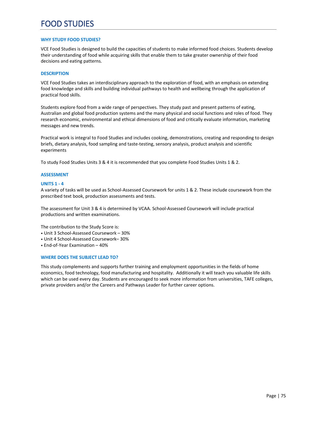## FOOD STUDIES

## **WHY STUDY FOOD STUDIES?**

VCE Food Studies is designed to build the capacities of students to make informed food choices. Students develop their understanding of food while acquiring skills that enable them to take greater ownership of their food decisions and eating patterns.

## **DESCRIPTION**

VCE Food Studies takes an interdisciplinary approach to the exploration of food, with an emphasis on extending food knowledge and skills and building individual pathways to health and wellbeing through the application of practical food skills.

Students explore food from a wide range of perspectives. They study past and present patterns of eating, Australian and global food production systems and the many physical and social functions and roles of food. They research economic, environmental and ethical dimensions of food and critically evaluate information, marketing messages and new trends.

Practical work is integral to Food Studies and includes cooking, demonstrations, creating and responding to design briefs, dietary analysis, food sampling and taste‐testing, sensory analysis, product analysis and scientific experiments

To study Food Studies Units 3 & 4 it is recommended that you complete Food Studies Units 1 & 2.

## **ASSESSMENT**

## **UNITS 1 ‐ 4**

A variety of tasks will be used as School‐Assessed Coursework for units 1 & 2. These include coursework from the prescribed text book, production assessments and tests.

The assessment for Unit 3 & 4 is determined by VCAA. School‐Assessed Coursework will include practical productions and written examinations.

The contribution to the Study Score is:

- Unit 3 School‐Assessed Coursework 30%
- Unit 4 School‐Assessed Coursework– 30%
- End‐of‐Year Examination 40%

### **WHERE DOES THE SUBJECT LEAD TO?**

This study complements and supports further training and employment opportunities in the fields of home economics, food technology, food manufacturing and hospitality. Additionally it will teach you valuable life skills which can be used every day. Students are encouraged to seek more information from universities, TAFE colleges, private providers and/or the Careers and Pathways Leader for further career options.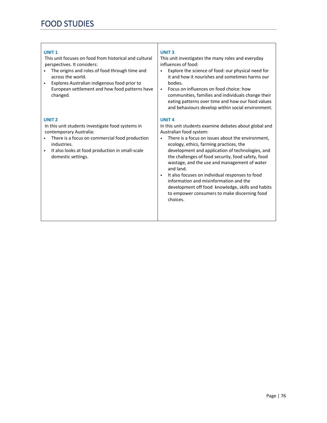## **UNIT 1**

 This unit focuses on food from historical and cultural perspectives. It considers:

- The origins and roles of food through time and across the world.
- Explores Australian indigenous food prior to European settlement and how food patterns have changed.

## **UNIT 2**

 In this unit students investigate food systems in contemporary Australia:

- There is a focus on commercial food production industries.
- It also looks at food production in small‐scale domestic settings.

## **UNIT 3**

This unit investigates the many roles and everyday influences of food:

- Explore the science of food: our physical need for it and how it nourishes and sometimes harms our bodies.
- Focus on influences on food choice: how communities, families and individuals change their eating patterns over time and how our food values and behaviours develop within social environment.

## **UNIT 4**

In this unit students examine debates about global and Australian food system:

- There is a focus on issues about the environment, ecology, ethics, farming practices, the development and application of technologies, and the challenges of food security, food safety, food wastage, and the use and management of water and land.
- It also focuses on individual responses to food information and misinformation and the development off food knowledge, skills and habits to empower consumers to make discerning food choices.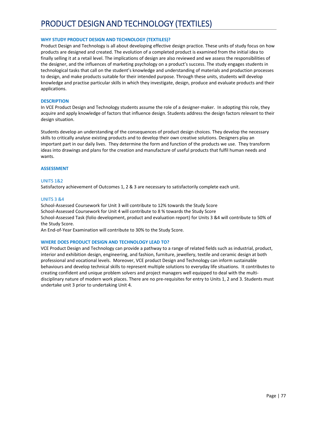## PRODUCT DESIGN AND TECHNOLOGY (TEXTILES)

## **WHY STUDY PRODUCT DESIGN AND TECHNOLOGY (TEXTILES)?**

Product Design and Technology is all about developing effective design practice. These units of study focus on how products are designed and created. The evolution of a completed product is examined from the initial idea to finally selling it at a retail level. The implications of design are also reviewed and we assess the responsibilities of the designer, and the influences of marketing psychology on a product's success. The study engages students in technological tasks that call on the student's knowledge and understanding of materials and production processes to design, and make products suitable for their intended purpose. Through these units, students will develop knowledge and practise particular skills in which they investigate, design, produce and evaluate products and their applications.

## **DESCRIPTION**

In VCE Product Design and Technology students assume the role of a designer-maker. In adopting this role, they acquire and apply knowledge of factors that influence design. Students address the design factors relevant to their design situation.

Students develop an understanding of the consequences of product design choices. They develop the necessary skills to critically analyse existing products and to develop their own creative solutions. Designers play an important part in our daily lives. They determine the form and function of the products we use. They transform ideas into drawings and plans for the creation and manufacture of useful products that fulfil human needs and wants.

## **ASSESSMENT**

## UNITS 1&2

Satisfactory achievement of Outcomes 1, 2 & 3 are necessary to satisfactorily complete each unit.

## UNITS 3 &4

School‐Assessed Coursework for Unit 3 will contribute to 12% towards the Study Score School‐Assessed Coursework for Unit 4 will contribute to 8 % towards the Study Score School‐Assessed Task (folio development, product and evaluation report) for Units 3 &4 will contribute to 50% of the Study Score.

An End‐of‐Year Examination will contribute to 30% to the Study Score.

#### **WHERE DOES PRODUCT DESIGN AND TECHNOLOGY LEAD TO?**

VCE Product Design and Technology can provide a pathway to a range of related fields such as industrial, product, interior and exhibition design, engineering, and fashion, furniture, jewellery, textile and ceramic design at both professional and vocational levels. Moreover, VCE product Design and Technology can inform sustainable behaviours and develop technical skills to represent multiple solutions to everyday life situations. It contributes to creating confident and unique problem solvers and project managers well equipped to deal with the multi‐ disciplinary nature of modern work places. There are no pre-requisites for entry to Units 1, 2 and 3. Students must undertake unit 3 prior to undertaking Unit 4.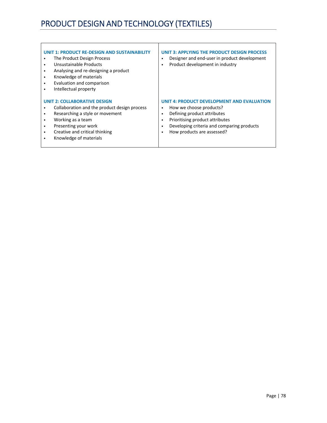# PRODUCT DESIGN AND TECHNOLOGY (TEXTILES)

| UNIT 1: PRODUCT RE-DESIGN AND SUSTAINABILITY<br>The Product Design Process<br>٠<br>Unsustainable Products<br>$\bullet$<br>Analysing and re-designing a product<br>$\bullet$<br>Knowledge of materials<br>$\bullet$<br>Evaluation and comparison<br>$\bullet$<br>Intellectual property<br>$\bullet$ | UNIT 3: APPLYING THE PRODUCT DESIGN PROCESS<br>Designer and end-user in product development<br>٠<br>Product development in industry                                                                                      |
|----------------------------------------------------------------------------------------------------------------------------------------------------------------------------------------------------------------------------------------------------------------------------------------------------|--------------------------------------------------------------------------------------------------------------------------------------------------------------------------------------------------------------------------|
| <b>UNIT 2: COLLABORATIVE DESIGN</b><br>Collaboration and the product design process<br>$\bullet$<br>Researching a style or movement<br>$\bullet$<br>Working as a team<br>٠<br>Presenting your work<br>$\bullet$<br>Creative and critical thinking<br>$\bullet$<br>Knowledge of materials<br>٠      | UNIT 4: PRODUCT DEVELOPMENT AND EVALUATION<br>How we choose products?<br>٠<br>Defining product attributes<br>Prioritising product attributes<br>Developing criteria and comparing products<br>How products are assessed? |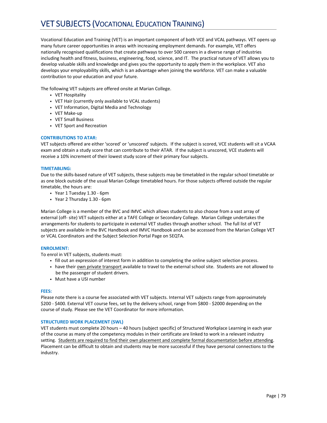## VET SUBJECTS (VOCATIONAL EDUCATION TRAINING)

Vocational Education and Training (VET) is an important component of both VCE and VCAL pathways. VET opens up many future career opportunities in areas with increasing employment demands. For example, VET offers nationally recognised qualifications that create pathways to over 500 careers in a diverse range of industries including health and fitness, business, engineering, food, science, and IT. The practical nature of VET allows you to develop valuable skills and knowledge and gives you the opportunity to apply them in the workplace. VET also develops your employability skills, which is an advantage when joining the workforce. VET can make a valuable contribution to your education and your future.

The following VET subjects are offered onsite at Marian College.

- VET Hospitality
- VET Hair (currently only available to VCAL students)
- VET Information, Digital Media and Technology
- VET Make‐up
- VET Small Business
- VET Sport and Recreation

## **CONTRIBUTIONS TO ATAR:**

VET subjects offered are either 'scored' or 'unscored' subjects. If the subject is scored, VCE students will sit a VCAA exam and obtain a study score that can contribute to their ATAR. If the subject is unscored, VCE students will receive a 10% increment of their lowest study score of their primary four subjects.

## **TIMETABLING:**

Due to the skills-based nature of VET subjects, these subjects may be timetabled in the regular school timetable or as one block outside of the usual Marian College timetabled hours. For those subjects offered outside the regular timetable, the hours are:

- Year 1 Tuesday 1.30 ‐ 6pm
- Year 2 Thursday 1.30 ‐ 6pm

Marian College is a member of the BVC and IMVC which allows students to also choose from a vast array of external (off‐ site) VET subjects either at a TAFE College or Secondary College. Marian College undertakes the arrangements for students to participate in external VET studies through another school. The full list of VET subjects are available in the BVC Handbook and IMVC Handbook and can be accessed from the Marian College VET or VCAL Coordinators and the Subject Selection Portal Page on SEQTA.

## **ENROLMENT:**

To enrol in VET subjects, students must:

- fill out an expression of interest form in addition to completing the online subject selection process.
- have their own private transport available to travel to the external school site. Students are not allowed to be the passenger of student drivers.
- Must have a USI number

## **FEES:**

Please note there is a course fee associated with VET subjects. Internal VET subjects range from approximately \$200 ‐ \$400. External VET course fees, set by the delivery school, range from \$800 ‐ \$2000 depending on the course of study. Please see the VET Coordinator for more information.

## **STRUCTURED WORK PLACEMENT (SWL)**

VET students must complete 20 hours – 40 hours (subject specific) of Structured Workplace Learning in each year of the course as many of the competency modules in their certificate are linked to work in a relevant industry setting. Students are required to find their own placement and complete formal documentation before attending. Placement can be difficult to obtain and students may be more successful if they have personal connections to the industry.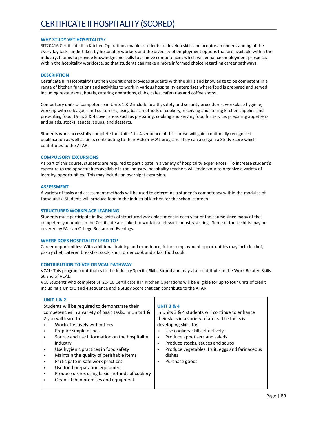## **WHY STUDY VET HOSPITALITY?**

SIT20416 Certificate II in Kitchen Operations enables students to develop skills and acquire an understanding of the everyday tasks undertaken by hospitality workers and the diversity of employment options that are available within the industry. It aims to provide knowledge and skills to achieve competencies which will enhance employment prospects within the hospitality workforce, so that students can make a more informed choice regarding career pathways.

## **DESCRIPTION**

Certificate II in Hospitality (Kitchen Operations) provides students with the skills and knowledge to be competent in a range of kitchen functions and activities to work in various hospitality enterprises where food is prepared and served, including restaurants, hotels, catering operations, clubs, cafes, cafeterias and coffee shops.

Compulsory units of competence in Units 1 & 2 include health, safety and security procedures, workplace hygiene, working with colleagues and customers, using basic methods of cookery, receiving and storing kitchen supplies and presenting food. Units 3 & 4 cover areas such as preparing, cooking and serving food for service, preparing appetisers and salads, stocks, sauces, soups, and desserts.

Students who successfully complete the Units 1 to 4 sequence of this course will gain a nationally recognised qualification as well as units contributing to their VCE or VCAL program. They can also gain a Study Score which contributes to the ATAR.

## **COMPULSORY EXCURSIONS**

As part of this course, students are required to participate in a variety of hospitality experiences. To increase student's exposure to the opportunities available in the industry, hospitality teachers will endeavour to organize a variety of learning opportunities. This may include an overnight excursion.

### **ASSESSMENT**

A variety of tasks and assessment methods will be used to determine a student's competency within the modules of these units. Students will produce food in the industrial kitchen for the school canteen.

### **STRUCTURED WORKPLACE LEARNING**

Students must participate in five shifts of structured work placement in each year of the course since many of the competency modules in the Certificate are linked to work in a relevant industry setting. Some of these shifts may be covered by Marian College Restaurant Evenings.

## **WHERE DOES HOSPITALITY LEAD TO?**

Career opportunities: With additional training and experience, future employment opportunities may include chef, pastry chef, caterer, breakfast cook, short order cook and a fast food cook.

## **CONTRIBUTION TO VCE OR VCAL PATHWAY**

VCAL: This program contributes to the Industry Specific Skills Strand and may also contribute to the Work Related Skills Strand of VCAL.

VCE Students who complete SIT20416 Certificate II in Kitchen Operations will be eligible for up to four units of credit including a Units 3 and 4 sequence and a Study Score that can contribute to the ATAR.

| <b>UNIT 1 &amp; 2</b>                                  |                                                      |
|--------------------------------------------------------|------------------------------------------------------|
| Students will be required to demonstrate their         | <b>UNIT 3 &amp; 4</b>                                |
| competencies in a variety of basic tasks. In Units 1 & | In Units 3 & 4 students will continue to enhance     |
| 2 you will learn to:                                   | their skills in a variety of areas. The focus is     |
| Work effectively with others                           | developing skills to:                                |
| Prepare simple dishes                                  | Use cookery skills effectively<br>٠                  |
| Source and use information on the hospitality          | Produce appetisers and salads<br>٠                   |
| industry                                               | Produce stocks, sauces and soups<br>٠                |
| Use hygienic practices in food safety                  | Produce vegetables, fruit, eggs and farinaceous<br>٠ |
| Maintain the quality of perishable items               | dishes                                               |
| Participate in safe work practices                     | Purchase goods<br>٠                                  |
| Use food preparation equipment                         |                                                      |
| Produce dishes using basic methods of cookery          |                                                      |
| Clean kitchen premises and equipment                   |                                                      |
|                                                        |                                                      |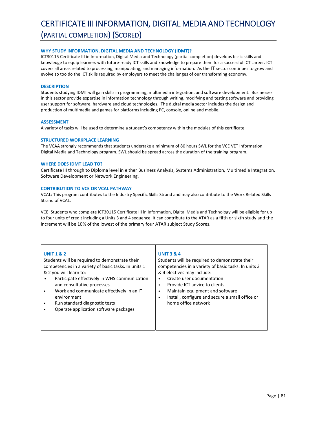## CERTIFICATE III INFORMATION, DIGITAL MEDIA AND TECHNOLOGY (PARTIAL COMPLETION) (SCORED)

## **WHY STUDY INFORMATION, DIGITAL MEDIA AND TECHNOLOGY (IDMT)?**

ICT30115 Certificate III in Information, Digital Media and Technology (partial completion) develops basic skills and knowledge to equip learners with future-ready ICT skills and knowledge to prepare them for a successful ICT career. ICT covers all areas related to processing, manipulating, and managing information. As the IT sector continues to grow and evolve so too do the ICT skills required by employers to meet the challenges of our transforming economy.

## **DESCRIPTION**

Students studying IDMT will gain skills in programming, multimedia integration, and software development. Businesses in this sector provide expertise in information technology through writing, modifying and testing software and providing user support for software, hardware and cloud technologies. The digital media sector includes the design and production of multimedia and games for platforms including PC, console, online and mobile.

#### **ASSESSMENT**

A variety of tasks will be used to determine a student's competency within the modules of this certificate.

## **STRUCTURED WORKPLACE LEARNING**

The VCAA strongly recommends that students undertake a minimum of 80 hours SWL for the VCE VET Information, Digital Media and Technology program. SWL should be spread across the duration of the training program.

## **WHERE DOES IDMT LEAD TO?**

Certificate III through to Diploma level in either Business Analysis, Systems Administration, Multimedia Integration, Software Development or Network Engineering.

## **CONTRIBUTION TO VCE OR VCAL PATHWAY**

VCAL: This program contributes to the Industry Specific Skills Strand and may also contribute to the Work Related Skills Strand of VCAL.

VCE: Students who complete ICT30115 Certificate III in Information, Digital Media and Technology will be eligible for up to four units of credit including a Units 3 and 4 sequence. It can contribute to the ATAR as a fifth or sixth study and the increment will be 10% of the lowest of the primary four ATAR subject Study Scores.

## **UNIT 1 & 2**

Students will be required to demonstrate their competencies in a variety of basic tasks. In units 1 & 2 you will learn to:

- Participate effectively in WHS communication and consultative processes
- Work and communicate effectively in an IT environment
- Run standard diagnostic tests
- Operate application software packages

## **UNIT 3 & 4**

Students will be required to demonstrate their competencies in a variety of basic tasks. In units 3 & 4 electives may include:

- Create user documentation
- Provide ICT advice to clients
- Maintain equipment and software
- Install, configure and secure a small office or home office network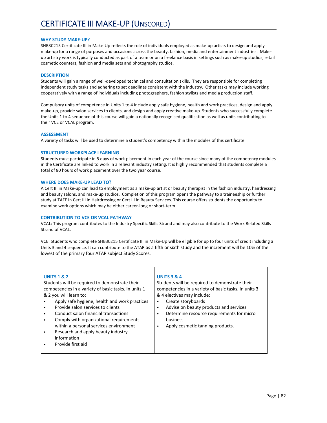## **WHY STUDY MAKE‐UP?**

SHB30215 Certificate III in Make‐Up reflects the role of individuals employed as make‐up artists to design and apply make-up for a range of purposes and occasions across the beauty, fashion, media and entertainment industries. Makeup artistry work is typically conducted as part of a team or on a freelance basis in settings such as make‐up studios, retail cosmetic counters, fashion and media sets and photography studios.

## **DESCRIPTION**

Students will gain a range of well‐developed technical and consultation skills. They are responsible for completing independent study tasks and adhering to set deadlines consistent with the industry. Other tasks may include working cooperatively with a range of individuals including photographers, fashion stylists and media production staff.

Compulsory units of competence in Units 1 to 4 include apply safe hygiene, health and work practices, design and apply make-up, provide salon services to clients, and design and apply creative make-up. Students who successfully complete the Units 1 to 4 sequence of this course will gain a nationally recognised qualification as well as units contributing to their VCE or VCAL program.

## **ASSESSMENT**

A variety of tasks will be used to determine a student's competency within the modules of this certificate.

## **STRUCTURED WORKPLACE LEARNING**

Students must participate in 5 days of work placement in each year of the course since many of the competency modules in the Certificate are linked to work in a relevant industry setting. It is highly recommended that students complete a total of 80 hours of work placement over the two year course.

## **WHERE DOES MAKE‐UP LEAD TO?**

A Cert III in Make‐up can lead to employment as a make‐up artist or beauty therapist in the fashion industry, hairdressing and beauty salons, and make‐up studios. Completion of this program opens the pathway to a traineeship or further study at TAFE in Cert III in Hairdressing or Cert III in Beauty Services. This course offers students the opportunity to examine work options which may be either career‐long or short‐term.

### **CONTRIBUTION TO VCE OR VCAL PATHWAY**

VCAL: This program contributes to the Industry Specific Skills Strand and may also contribute to the Work Related Skills Strand of VCAL.

VCE: Students who complete SHB30215 Certificate III in Make‐Up will be eligible for up to four units of credit including a Units 3 and 4 sequence. It can contribute to the ATAR as a fifth or sixth study and the increment will be 10% of the lowest of the primary four ATAR subject Study Scores.

#### **UNITS 1 & 2**

Students will be required to demonstrate their competencies in a variety of basic tasks. In units 1 & 2 you will learn to:

- Apply safe hygiene, health and work practices
- Provide salon services to clients
- Conduct salon financial transactions
- Comply with organizational requirements within a personal services environment
- Research and apply beauty industry
- information
- Provide first aid

#### **UNITS 3 & 4**

Students will be required to demonstrate their competencies in a variety of basic tasks. In units 3 & 4 electives may include:

- Create storyboards
- Advise on beauty products and services
- Determine resource requirements for micro business
- Apply cosmetic tanning products.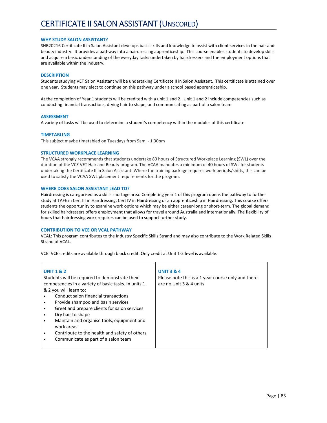## **WHY STUDY SALON ASSISTANT?**

SHB20216 Certificate II in Salon Assistant develops basic skills and knowledge to assist with client services in the hair and beauty industry. It provides a pathway into a hairdressing apprenticeship. This course enables students to develop skills and acquire a basic understanding of the everyday tasks undertaken by hairdressers and the employment options that are available within the industry.

## **DESCRIPTION**

Students studying VET Salon Assistant will be undertaking Certificate II in Salon Assistant. This certificate is attained over one year. Students may elect to continue on this pathway under a school based apprenticeship.

At the completion of Year 1 students will be credited with a unit 1 and 2. Unit 1 and 2 include competencies such as conducting financial transactions, drying hair to shape, and communicating as part of a salon team.

## **ASSESSMENT**

A variety of tasks will be used to determine a student's competency within the modules of this certificate.

## **TIMETABLING**

This subject maybe timetabled on Tuesdays from 9am ‐ 1.30pm

## **STRUCTURED WORKPLACE LEARNING**

The VCAA strongly recommends that students undertake 80 hours of Structured Workplace Learning (SWL) over the duration of the VCE VET Hair and Beauty program. The VCAA mandates a minimum of 40 hours of SWL for students undertaking the Certificate II in Salon Assistant. Where the training package requires work periods/shifts, this can be used to satisfy the VCAA SWL placement requirements for the program.

## **WHERE DOES SALON ASSISTANT LEAD TO?**

Hairdressing is categorised as a skills shortage area. Completing year 1 of this program opens the pathway to further study at TAFE in Cert III in Hairdressing, Cert IV in Hairdressing or an apprenticeship in Hairdressing. This course offers students the opportunity to examine work options which may be either career-long or short-term. The global demand for skilled hairdressers offers employment that allows for travel around Australia and internationally. The flexibility of hours that hairdressing work requires can be used to support further study.

## **CONTRIBUTION TO VCE OR VCAL PATHWAY**

VCAL: This program contributes to the Industry Specific Skills Strand and may also contribute to the Work Related Skills Strand of VCAL.

VCE: VCE credits are available through block credit. Only credit at Unit 1‐2 level is available.

| <b>UNIT 1 &amp; 2</b>                                | <b>UNIT 3 &amp; 4</b>                              |
|------------------------------------------------------|----------------------------------------------------|
| Students will be required to demonstrate their       | Please note this is a 1 year course only and there |
| competencies in a variety of basic tasks. In units 1 | are no Unit 3 & 4 units.                           |
| & 2 you will learn to:                               |                                                    |
| Conduct salon financial transactions                 |                                                    |
| Provide shampoo and basin services                   |                                                    |
| Greet and prepare clients for salon services<br>٠    |                                                    |
| Dry hair to shape                                    |                                                    |
| Maintain and organise tools, equipment and<br>٠      |                                                    |
| work areas                                           |                                                    |
| Contribute to the health and safety of others<br>٠   |                                                    |
| Communicate as part of a salon team                  |                                                    |
|                                                      |                                                    |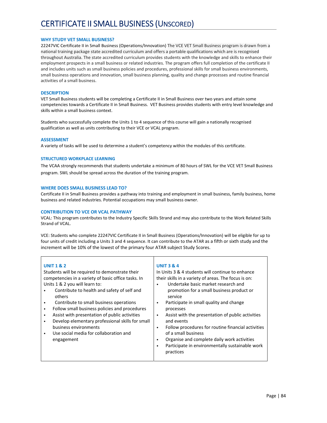## **WHY STUDY VET SMALL BUSINESS?**

22247VIC Certificate II in Small Business (Operations/Innovation) The VCE VET Small Business program is drawn from a national training package state accredited curriculum and offers a portable qualifications which are is recognised throughout Australia. The state accredited curriculum provides students with the knowledge and skills to enhance their employment prospects in a small business or related industries. The program offers full completion of the certificate II and includes units such as small business policies and procedures, professional skills for small business environments, small business operations and innovation, small business planning, quality and change processes and routine financial activities of a small business.

### **DESCRIPTION**

VET Small Business students will be completing a Certificate II in Small Business over two years and attain some competencies towards a Certificate II in Small Business. VET Business provides students with entry level knowledge and skills within a small business context.

Students who successfully complete the Units 1 to 4 sequence of this course will gain a nationally recognised qualification as well as units contributing to their VCE or VCAL program.

#### **ASSESSMENT**

A variety of tasks will be used to determine a student's competency within the modules of this certificate.

## **STRUCTURED WORKPLACE LEARNING**

The VCAA strongly recommends that students undertake a minimum of 80 hours of SWL for the VCE VET Small Business program. SWL should be spread across the duration of the training program.

## **WHERE DOES SMALL BUSINESS LEAD TO?**

Certificate II in Small Business provides a pathway into training and employment in small business, family business, home business and related industries. Potential occupations may small business owner.

### **CONTRIBUTION TO VCE OR VCAL PATHWAY**

VCAL: This program contributes to the Industry Specific Skills Strand and may also contribute to the Work Related Skills Strand of VCAL.

VCE: Students who complete 22247VIC Certificate II in Small Business (Operations/Innovation) will be eligible for up to four units of credit including a Units 3 and 4 sequence. It can contribute to the ATAR as a fifth or sixth study and the increment will be 10% of the lowest of the primary four ATAR subject Study Scores.

## **UNIT 1 & 2**

Students will be required to demonstrate their competencies in a variety of basic office tasks. In Units 1 & 2 you will learn to:

- Contribute to health and safety of self and others
- Contribute to small business operations
- Follow small business policies and procedures
- Assist with presentation of public activities
- Develop elementary professional skills for small business environments
- Use social media for collaboration and engagement

## **UNIT 3 & 4**

In Units 3 & 4 students will continue to enhance their skills in a variety of areas. The focus is on:

- Undertake basic market research and promotion for a small business product or service
- Participate in small quality and change processes
- Assist with the presentation of public activities and events
- Follow procedures for routine financial activities of a small business
- Organise and complete daily work activities
- Participate in environmentally sustainable work practices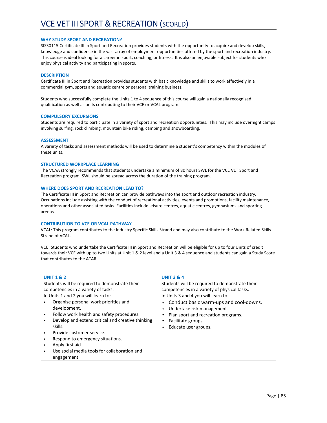## **WHY STUDY SPORT AND RECREATION?**

SIS30115 Certificate III in Sport and Recreation provides students with the opportunity to acquire and develop skills, knowledge and confidence in the vast array of employment opportunities offered by the sport and recreation industry. This course is ideal looking for a career in sport, coaching, or fitness. It is also an enjoyable subject for students who enjoy physical activity and participating in sports.

### **DESCRIPTION**

Certificate III in Sport and Recreation provides students with basic knowledge and skills to work effectively in a commercial gym, sports and aquatic centre or personal training business.

Students who successfully complete the Units 1 to 4 sequence of this course will gain a nationally recognised qualification as well as units contributing to their VCE or VCAL program.

## **COMPULSORY EXCURSIONS**

Students are required to participate in a variety of sport and recreation opportunities. This may include overnight camps involving surfing, rock climbing, mountain bike riding, camping and snowboarding.

#### **ASSESSMENT**

A variety of tasks and assessment methods will be used to determine a student's competency within the modules of these units.

## **STRUCTURED WORKPLACE LEARNING**

The VCAA strongly recommends that students undertake a minimum of 80 hours SWL for the VCE VET Sport and Recreation program. SWL should be spread across the duration of the training program.

#### **WHERE DOES SPORT AND RECREATION LEAD TO?**

The Certificate III in Sport and Recreation can provide pathways into the sport and outdoor recreation industry. Occupations include assisting with the conduct of recreational activities, events and promotions, facility maintenance, operations and other associated tasks. Facilities include leisure centres, aquatic centres, gymnasiums and sporting arenas.

### **CONTRIBUTION TO VCE OR VCAL PATHWAY**

VCAL: This program contributes to the Industry Specific Skills Strand and may also contribute to the Work Related Skills Strand of VCAL.

VCE: Students who undertake the Certificate III in Sport and Recreation will be eligible for up to four Units of credit towards their VCE with up to two Units at Unit 1 & 2 level and a Unit 3 & 4 sequence and students can gain a Study Score that contributes to the ATAR.

| <b>UNIT 1 &amp; 2</b><br>Students will be required to demonstrate their<br>competencies in a variety of tasks.<br>In Units 1 and 2 you will learn to:<br>Organise personal work priorities and<br>development.<br>Follow work health and safety procedures.<br>Develop and extend critical and creative thinking<br>$\bullet$<br>skills.<br>Provide customer service.<br>Respond to emergency situations.<br>Apply first aid.<br>Use social media tools for collaboration and<br>engagement | <b>UNIT 3 &amp; 4</b><br>Students will be required to demonstrate their<br>competencies in a variety of physical tasks.<br>In Units 3 and 4 you will learn to:<br>Conduct basic warm-ups and cool-downs.<br>Undertake risk management.<br>Plan sport and recreation programs.<br>Facilitate groups.<br>Educate user groups. |
|---------------------------------------------------------------------------------------------------------------------------------------------------------------------------------------------------------------------------------------------------------------------------------------------------------------------------------------------------------------------------------------------------------------------------------------------------------------------------------------------|-----------------------------------------------------------------------------------------------------------------------------------------------------------------------------------------------------------------------------------------------------------------------------------------------------------------------------|
|---------------------------------------------------------------------------------------------------------------------------------------------------------------------------------------------------------------------------------------------------------------------------------------------------------------------------------------------------------------------------------------------------------------------------------------------------------------------------------------------|-----------------------------------------------------------------------------------------------------------------------------------------------------------------------------------------------------------------------------------------------------------------------------------------------------------------------------|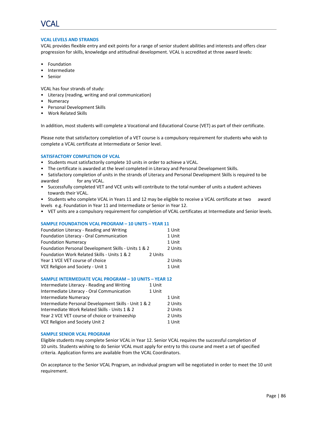

## **VCAL LEVELS AND STRANDS**

VCAL provides flexible entry and exit points for a range of senior student abilities and interests and offers clear progression for skills, knowledge and attitudinal development. VCAL is accredited at three award levels:

- Foundation
- **Intermediate**
- Senior

VCAL has four strands of study:

- Literacy (reading, writing and oral communication)
- Numeracy
- Personal Development Skills
- Work Related Skills

In addition, most students will complete a Vocational and Educational Course (VET) as part of their certificate.

Please note that satisfactory completion of a VET course is a compulsory requirement for students who wish to complete a VCAL certificate at Intermediate or Senior level.

## **SATISFACTORY COMPLETION OF VCAL**

- Students must satisfactorily complete 10 units in order to achieve a VCAL.
- The certificate is awarded at the level completed in Literacy and Personal Development Skills.
- Satisfactory completion of units in the strands of Literacy and Personal Development Skills is required to be awarded for any VCAL.
- Successfully completed VET and VCE units will contribute to the total number of units a student achieves towards their VCAL.
- Students who complete VCAL in Years 11 and 12 may be eligible to receive a VCAL certificate at two award levels e.g. Foundation in Year 11 and Intermediate or Senior in Year 12.
- VET units are a compulsory requirement for completion of VCAL certificates at Intermediate and Senior levels.

#### **SAMPLE FOUNDATION VCAL PROGRAM – 10 UNITS – YEAR 11**

| Foundation Literacy - Reading and Writing               |         |  |
|---------------------------------------------------------|---------|--|
| Foundation Literacy - Oral Communication                |         |  |
| <b>Foundation Numeracy</b>                              | 1 Unit  |  |
| Foundation Personal Development Skills - Units 1 & 2    |         |  |
| Foundation Work Related Skills - Units 1 & 2<br>2 Units |         |  |
| Year 1 VCE VET course of choice                         | 2 Units |  |
| VCE Religion and Society - Unit 1                       | 1 Unit  |  |

#### **SAMPLE INTERMEDIATE VCAL PROGRAM – 10 UNITS – YEAR 12**

| Intermediate Literacy - Reading and Writing           | 1 Unit |         |
|-------------------------------------------------------|--------|---------|
| Intermediate Literacy - Oral Communication            | 1 Unit |         |
| Intermediate Numeracy                                 |        | 1 Unit  |
| Intermediate Personal Development Skills - Unit 1 & 2 |        | 2 Units |
| Intermediate Work Related Skills - Units 1 & 2        |        | 2 Units |
| Year 2 VCE VET course of choice or traineeship        |        |         |
| <b>VCE Religion and Society Unit 2</b>                |        | 1 Unit  |
|                                                       |        |         |

#### **SAMPLE SENIOR VCAL PROGRAM**

Eligible students may complete Senior VCAL in Year 12. Senior VCAL requires the successful completion of 10 units. Students wishing to do Senior VCAL must apply for entry to this course and meet a set of specified criteria. Application forms are available from the VCAL Coordinators.

On acceptance to the Senior VCAL Program, an individual program will be negotiated in order to meet the 10 unit requirement.